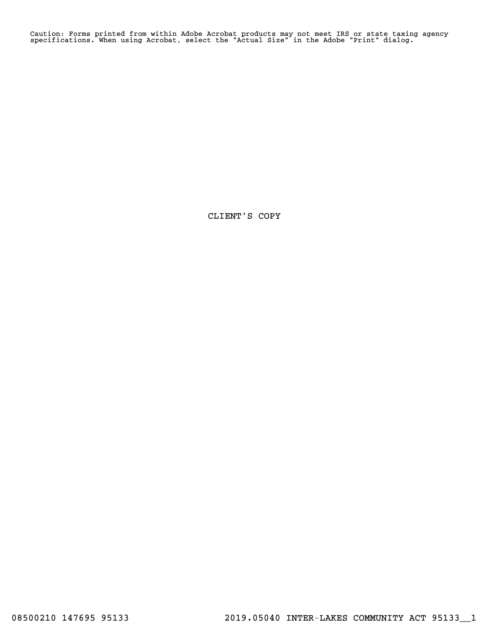Caution: Forms printed from within Adobe Acrobat products may not meet IRS or state taxing agency specifications. When using Acrobat, select the "Actual Size" in the Adobe "Print" dialog.

CLIENT'S COPY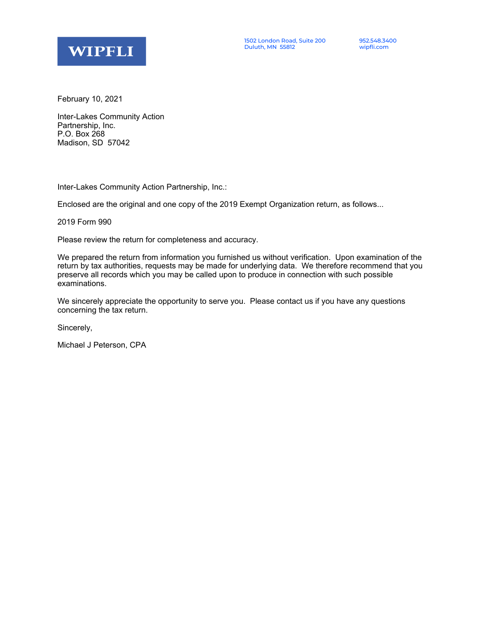

February 10, 2021

Inter-Lakes Community Action Partnership, Inc. P.O. Box 268 Madison, SD 57042

Inter-Lakes Community Action Partnership, Inc.:

Enclosed are the original and one copy of the 2019 Exempt Organization return, as follows...

2019 Form 990

Please review the return for completeness and accuracy.

We prepared the return from information you furnished us without verification. Upon examination of the return by tax authorities, requests may be made for underlying data. We therefore recommend that you preserve all records which you may be called upon to produce in connection with such possible examinations.

We sincerely appreciate the opportunity to serve you. Please contact us if you have any questions concerning the tax return.

Sincerely,

Michael J Peterson, CPA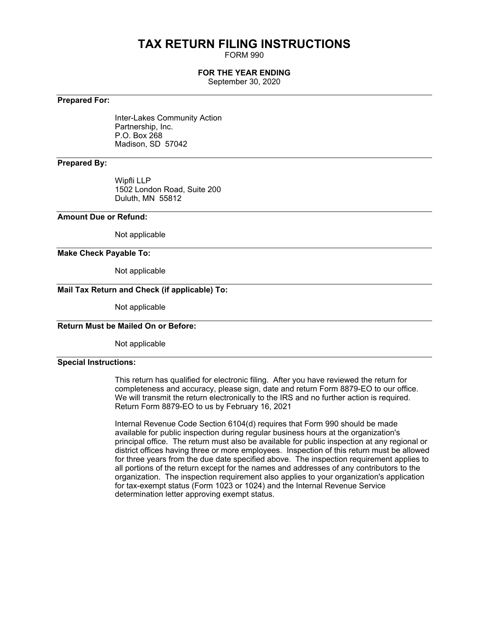## **TAX RETURN FILING INSTRUCTIONS**

FORM 990

### **FOR THE YEAR ENDING**

September 30, 2020

### **Prepared For:**

Inter-Lakes Community Action Partnership, Inc. P.O. Box 268 Madison, SD 57042

### **Prepared By:**

Wipfli LLP 1502 London Road, Suite 200 Duluth, MN 55812

### **Amount Due or Refund:**

Not applicable

### **Make Check Payable To:**

Not applicable

### **Mail Tax Return and Check (if applicable) To:**

Not applicable

### **Return Must be Mailed On or Before:**

Not applicable

### **Special Instructions:**

This return has qualified for electronic filing. After you have reviewed the return for completeness and accuracy, please sign, date and return Form 8879-EO to our office. We will transmit the return electronically to the IRS and no further action is required. Return Form 8879-EO to us by February 16, 2021

Internal Revenue Code Section 6104(d) requires that Form 990 should be made available for public inspection during regular business hours at the organization's principal office. The return must also be available for public inspection at any regional or district offices having three or more employees. Inspection of this return must be allowed for three years from the due date specified above. The inspection requirement applies to all portions of the return except for the names and addresses of any contributors to the organization. The inspection requirement also applies to your organization's application for tax-exempt status (Form 1023 or 1024) and the Internal Revenue Service determination letter approving exempt status.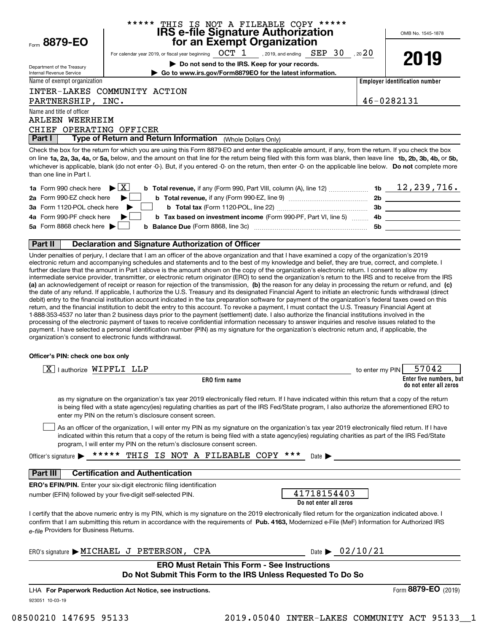|                                                                     | ****** THIS IS NOT A FILEABLE COPY ******<br>IRS e-file Signature Authorization                                                                                                                                                                                                                                              |                                       |
|---------------------------------------------------------------------|------------------------------------------------------------------------------------------------------------------------------------------------------------------------------------------------------------------------------------------------------------------------------------------------------------------------------|---------------------------------------|
| Form 8879-EO                                                        | for an Exempt Organization                                                                                                                                                                                                                                                                                                   | OMB No. 1545-1878                     |
|                                                                     | For calendar year 2019, or fiscal year beginning $\boxed{OCT\_1}$ , 2019, and ending $\boxed{SEP\_30}$ , 20 $20$                                                                                                                                                                                                             |                                       |
|                                                                     | Do not send to the IRS. Keep for your records.                                                                                                                                                                                                                                                                               | 2019                                  |
| Department of the Treasury<br>Internal Revenue Service              | Go to www.irs.gov/Form8879EO for the latest information.                                                                                                                                                                                                                                                                     |                                       |
| Name of exempt organization                                         |                                                                                                                                                                                                                                                                                                                              | <b>Employer identification number</b> |
|                                                                     | INTER-LAKES COMMUNITY ACTION                                                                                                                                                                                                                                                                                                 |                                       |
| PARTNERSHIP, INC.                                                   |                                                                                                                                                                                                                                                                                                                              | 46-0282131                            |
| Name and title of officer                                           |                                                                                                                                                                                                                                                                                                                              |                                       |
| ARLEEN WEERHEIM                                                     |                                                                                                                                                                                                                                                                                                                              |                                       |
| CHIEF OPERATING OFFICER                                             |                                                                                                                                                                                                                                                                                                                              |                                       |
| Part I                                                              | Type of Return and Return Information (Whole Dollars Only)                                                                                                                                                                                                                                                                   |                                       |
| than one line in Part I.                                            | on line 1a, 2a, 3a, 4a, or 5a, below, and the amount on that line for the return being filed with this form was blank, then leave line 1b, 2b, 3b, 4b, or 5b,<br>whichever is applicable, blank (do not enter -0-). But, if you entered -0- on the return, then enter -0- on the applicable line below. Do not complete more |                                       |
| <b>1a</b> Form 990 check here $\blacktriangleright$ $\mid$ X $\mid$ | b Total revenue, if any (Form 990, Part VIII, column (A), line 12)                                                                                                                                                                                                                                                           | 1b $\frac{12,239,716.}{}$             |
| 2a Form 990-EZ check here                                           |                                                                                                                                                                                                                                                                                                                              |                                       |
| 3a Form 1120-POL check here                                         |                                                                                                                                                                                                                                                                                                                              |                                       |
| 4a Form 990-PF check here                                           | b Tax based on investment income (Form 990-PF, Part VI, line 5)  4b ______________________                                                                                                                                                                                                                                   |                                       |
| 5a Form 8868 check here                                             | b                                                                                                                                                                                                                                                                                                                            | 5b                                    |
|                                                                     |                                                                                                                                                                                                                                                                                                                              |                                       |
| Part II                                                             | Declaration and Signature Authorization of Officer                                                                                                                                                                                                                                                                           |                                       |
|                                                                     | Under penalties of perjury, I declare that I am an officer of the above organization and that I have examined a copy of the organization's 2019                                                                                                                                                                              |                                       |
|                                                                     | electronic return and accompanying schedules and statements and to the best of my knowledge and belief, they are true, correct, and complete. I<br>further declare that the amount in Part Labove is the amount shown on the seny of the erganization's electronic return. Loopsent to allow my                              |                                       |

**(a)** an acknowledgement of receipt or reason for rejection of the transmission, (b) the reason for any delay in processing the return or refund, and (c) electronic return and accompanying schedules and statements and to the best of my knowledge and belief, they are true, correct, and complete. I further declare that the amount in Part I above is the amount shown on the copy of the organization's electronic return. I consent to allow my intermediate service provider, transmitter, or electronic return originator (ERO) to send the organization's return to the IRS and to receive from the IRS the date of any refund. If applicable, I authorize the U.S. Treasury and its designated Financial Agent to initiate an electronic funds withdrawal (direct debit) entry to the financial institution account indicated in the tax preparation software for payment of the organization's federal taxes owed on this return, and the financial institution to debit the entry to this account. To revoke a payment, I must contact the U.S. Treasury Financial Agent at 1-888-353-4537 no later than 2 business days prior to the payment (settlement) date. I also authorize the financial institutions involved in the processing of the electronic payment of taxes to receive confidential information necessary to answer inquiries and resolve issues related to the payment. I have selected a personal identification number (PIN) as my signature for the organization's electronic return and, if applicable, the organization's consent to electronic funds withdrawal.

### **Officer's PIN: check one box only**

| lauthorize WIPFLI LLP                                                                                                                                                                                                                                                                                                                                                            | to enter my PIN | 57042                                             |
|----------------------------------------------------------------------------------------------------------------------------------------------------------------------------------------------------------------------------------------------------------------------------------------------------------------------------------------------------------------------------------|-----------------|---------------------------------------------------|
| <b>ERO</b> firm name                                                                                                                                                                                                                                                                                                                                                             |                 | Enter five numbers, but<br>do not enter all zeros |
| as my signature on the organization's tax year 2019 electronically filed return. If I have indicated within this return that a copy of the return<br>is being filed with a state agency(ies) regulating charities as part of the IRS Fed/State program, I also authorize the aforementioned ERO to<br>enter my PIN on the return's disclosure consent screen.                    |                 |                                                   |
| As an officer of the organization, I will enter my PIN as my signature on the organization's tax year 2019 electronically filed return. If I have<br>indicated within this return that a copy of the return is being filed with a state agency(ies) regulating charities as part of the IRS Fed/State<br>program, I will enter my PIN on the return's disclosure consent screen. |                 |                                                   |
| ***** THIS IS NOT A FILEABLE COPY ***<br>Officer's signature $\blacktriangleright$<br>Date $\blacktriangleright$                                                                                                                                                                                                                                                                 |                 |                                                   |
| <b>Part III</b><br><b>Certification and Authentication</b>                                                                                                                                                                                                                                                                                                                       |                 |                                                   |
| <b>ERO's EFIN/PIN.</b> Enter your six-digit electronic filing identification<br>41718154403<br>number (EFIN) followed by your five-digit self-selected PIN.<br>Do not enter all zeros                                                                                                                                                                                            |                 |                                                   |
| I certify that the above numeric entry is my PIN, which is my signature on the 2019 electronically filed return for the organization indicated above. I<br>confirm that I am submitting this return in accordance with the requirements of Pub. 4163, Modernized e-File (MeF) Information for Authorized IRS<br>e-file Providers for Business Returns.                           |                 |                                                   |
| Date $\triangleright$ 02/10/21<br>ERO's signature $\blacktriangleright$ MICHAEL J PETERSON, CPA                                                                                                                                                                                                                                                                                  |                 |                                                   |
| <b>ERO Must Retain This Form - See Instructions</b><br>Do Not Submit This Form to the IRS Unless Requested To Do So                                                                                                                                                                                                                                                              |                 |                                                   |
| LHA For Paperwork Reduction Act Notice, see instructions.                                                                                                                                                                                                                                                                                                                        |                 | Form 8879-EO<br>(2019)                            |
| 923051 10-03-19                                                                                                                                                                                                                                                                                                                                                                  |                 |                                                   |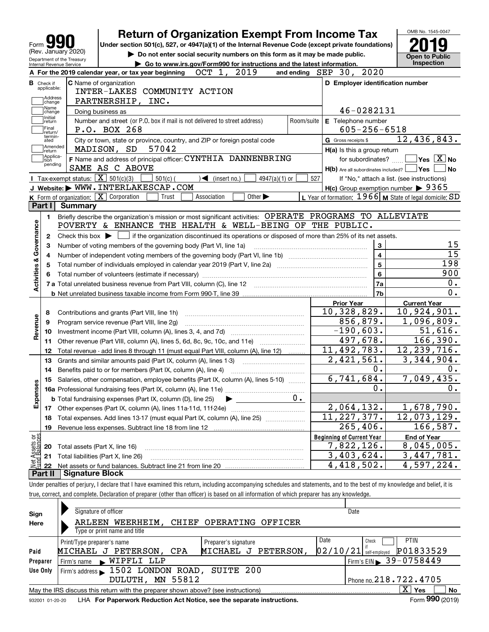|                                                                                        | Under section 501(c), 527, or 4947(a)(1) of the Internal Revenue Code (except private foundations)<br>(Rev. January 2020)                   |                             |            |                                                           |                |                                            |
|----------------------------------------------------------------------------------------|---------------------------------------------------------------------------------------------------------------------------------------------|-----------------------------|------------|-----------------------------------------------------------|----------------|--------------------------------------------|
| Department of the Treasury                                                             | Do not enter social security numbers on this form as it may be made public.                                                                 |                             |            |                                                           |                | <b>Open to Public</b>                      |
| Internal Revenue Service                                                               | Go to www.irs.gov/Form990 for instructions and the latest information.                                                                      |                             |            |                                                           |                | <b>Inspection</b>                          |
|                                                                                        | OCT 1, 2019<br>A For the 2019 calendar year, or tax year beginning                                                                          |                             |            | and ending SEP 30, 2020                                   |                |                                            |
| <b>B</b> Check if<br>applicable:                                                       | <b>C</b> Name of organization<br>INTER-LAKES COMMUNITY ACTION                                                                               |                             |            | D Employer identification number                          |                |                                            |
| Address<br> change                                                                     | PARTNERSHIP, INC.                                                                                                                           |                             |            |                                                           |                |                                            |
| Name                                                                                   |                                                                                                                                             |                             |            | 46-0282131                                                |                |                                            |
| change<br>Initial                                                                      | Doing business as<br>Number and street (or P.O. box if mail is not delivered to street address)                                             |                             | Room/suite |                                                           |                |                                            |
| return<br>Final                                                                        | P.O. BOX 268                                                                                                                                |                             |            | E Telephone number<br>$605 - 256 - 6518$                  |                |                                            |
| return/<br>termin-<br>ated                                                             | City or town, state or province, country, and ZIP or foreign postal code                                                                    |                             |            | G Gross receipts \$                                       |                | 12,436,843.                                |
| Amended                                                                                | MADISON, SD<br>57042                                                                                                                        |                             |            | H(a) Is this a group return                               |                |                                            |
| return<br>1 Applica-                                                                   | F Name and address of principal officer: CYNTHIA DANNENBRING                                                                                |                             |            | for subordinates?                                         |                | $Yes \ \boxed{X}$ No                       |
| tion<br>pending                                                                        | SAME AS C ABOVE                                                                                                                             |                             |            | $H(b)$ Are all subordinates included?                     |                | Yes                                        |
|                                                                                        | Tax-exempt status: $\boxed{\mathbf{X}}$ 501(c)(3)<br>$501(c)$ (<br>$\triangleleft$ (insert no.)                                             | $4947(a)(1)$ or             |            | 527                                                       |                | If "No," attach a list. (see instructions) |
|                                                                                        | J Website: WWW. INTERLAKESCAP.COM                                                                                                           |                             |            | $H(c)$ Group exemption number $\triangleright$ 9365       |                |                                            |
|                                                                                        | K Form of organization: X Corporation<br>Association<br>Trust                                                                               | Other $\blacktriangleright$ |            | L Year of formation: $1966$ M State of legal domicile: SD |                |                                            |
| Part I                                                                                 | <b>Summary</b>                                                                                                                              |                             |            |                                                           |                |                                            |
| 1.                                                                                     | Briefly describe the organization's mission or most significant activities: OPERATE PROGRAMS TO ALLEVIATE                                   |                             |            |                                                           |                |                                            |
|                                                                                        | POVERTY & ENHANCE THE HEALTH & WELL-BEING OF THE PUBLIC.                                                                                    |                             |            |                                                           |                |                                            |
| 2                                                                                      | Check this box $\blacktriangleright$ $\Box$ if the organization discontinued its operations or disposed of more than 25% of its net assets. |                             |            |                                                           |                |                                            |
| з                                                                                      | Number of voting members of the governing body (Part VI, line 1a)                                                                           |                             |            |                                                           | 3              |                                            |
|                                                                                        |                                                                                                                                             |                             |            |                                                           |                |                                            |
|                                                                                        |                                                                                                                                             |                             |            |                                                           |                |                                            |
| 4                                                                                      |                                                                                                                                             |                             |            |                                                           | $\overline{4}$ |                                            |
|                                                                                        |                                                                                                                                             |                             |            |                                                           | 5              | 198                                        |
|                                                                                        |                                                                                                                                             |                             |            |                                                           | 6              | 900                                        |
|                                                                                        |                                                                                                                                             |                             |            |                                                           | <b>7a</b>      |                                            |
|                                                                                        |                                                                                                                                             |                             |            |                                                           | 7b             |                                            |
|                                                                                        |                                                                                                                                             |                             |            | <b>Prior Year</b>                                         |                | <b>Current Year</b>                        |
| 8                                                                                      | Contributions and grants (Part VIII, line 1h)                                                                                               |                             |            | $\overline{10}$ , 328, 829.                               |                | 10,924,901.                                |
| 9                                                                                      | Program service revenue (Part VIII, line 2g)                                                                                                |                             |            | 856,879.                                                  |                | $\overline{1,096,809}$ .                   |
| 10                                                                                     |                                                                                                                                             |                             |            | $-190,603.$                                               |                | 51,616.                                    |
| 11                                                                                     | Other revenue (Part VIII, column (A), lines 5, 6d, 8c, 9c, 10c, and 11e)                                                                    |                             |            | 497,678.                                                  |                | 166,390.                                   |
| 12                                                                                     | Total revenue - add lines 8 through 11 (must equal Part VIII, column (A), line 12)                                                          |                             |            | 11,492,783.                                               |                | 12, 239, 716.                              |
| 13                                                                                     | Grants and similar amounts paid (Part IX, column (A), lines 1-3)                                                                            |                             |            | 2,421,561.                                                |                | 3,344,904.                                 |
| 14                                                                                     | Benefits paid to or for members (Part IX, column (A), line 4)                                                                               |                             |            |                                                           | 0.             |                                            |
|                                                                                        | 15 Salaries, other compensation, employee benefits (Part IX, column (A), lines 5-10)                                                        |                             |            | 6,741,684.                                                |                | 7,049,435.                                 |
|                                                                                        |                                                                                                                                             |                             |            |                                                           | 0.             |                                            |
|                                                                                        | <b>b</b> Total fundraising expenses (Part IX, column (D), line 25)                                                                          |                             | $0 \cdot$  |                                                           |                |                                            |
| 17                                                                                     |                                                                                                                                             |                             |            | 2,064,132.                                                |                | 1,678,790.                                 |
| 18                                                                                     | Total expenses. Add lines 13-17 (must equal Part IX, column (A), line 25)                                                                   |                             |            | $\overline{11,2}27,377.$                                  |                | 12,073,129.                                |
| 19                                                                                     |                                                                                                                                             |                             |            | $\overline{265}$ , 406.                                   |                | $\overline{1}66,587.$                      |
|                                                                                        |                                                                                                                                             |                             |            | <b>Beginning of Current Year</b>                          |                | <b>End of Year</b>                         |
| Activities & Governance<br>Revenue<br>w<br>Expense<br>t Assets or<br>id Balances<br>20 | Total assets (Part X, line 16)                                                                                                              |                             |            | 7,822,126.                                                |                | 8,045,005.                                 |
| 21<br>혩<br>22                                                                          | Total liabilities (Part X, line 26)                                                                                                         |                             |            | 3,403,624.<br>4,418,502.                                  |                | 3,447,781.<br>4,597,224.                   |

| Sign     | Signature of officer                                                                                         | Date                                         |  |  |  |  |  |  |
|----------|--------------------------------------------------------------------------------------------------------------|----------------------------------------------|--|--|--|--|--|--|
| Here     | OPERATING OFFICER<br>WEERHEIM, CHIEF<br>ARLEEN                                                               |                                              |  |  |  |  |  |  |
|          | Type or print name and title                                                                                 |                                              |  |  |  |  |  |  |
|          | Print/Type preparer's name<br>Preparer's signature                                                           | Date<br><b>PTIN</b><br>Check                 |  |  |  |  |  |  |
| Paid     | MICHAEL J PETERSON,<br>MICHAEL J PETERSON,<br>CPA                                                            | P01833529<br> 02/10/21 <br>self-emploved     |  |  |  |  |  |  |
| Preparer | WIPFLI LLP<br>Firm's name<br>$\blacksquare$                                                                  | $I$ Firm's EIN $\triangleright$ 39 - 0758449 |  |  |  |  |  |  |
| Use Only | Firm's address 1502 LONDON ROAD, SUITE 200                                                                   |                                              |  |  |  |  |  |  |
|          | DULUTH, MN 55812                                                                                             | Phone no. $218.722.4705$                     |  |  |  |  |  |  |
|          | X.<br>Yes<br>No<br>May the IRS discuss this return with the preparer shown above? (see instructions)         |                                              |  |  |  |  |  |  |
|          | Form 990 (2019)<br>LHA For Paperwork Reduction Act Notice, see the separate instructions.<br>932001 01-20-20 |                                              |  |  |  |  |  |  |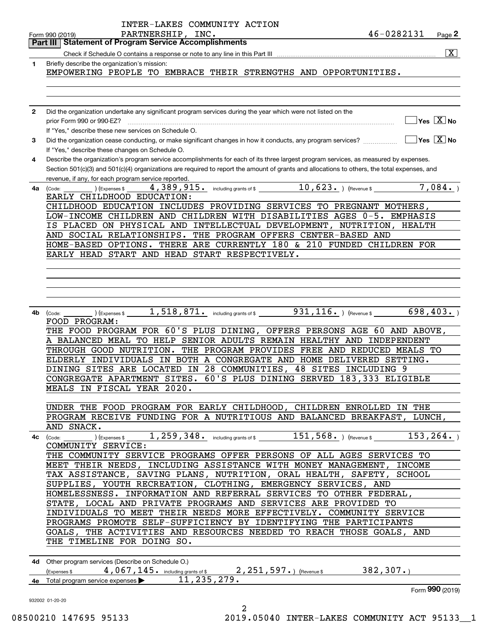|              | INTER-LAKES COMMUNITY ACTION                                                                                                                           |
|--------------|--------------------------------------------------------------------------------------------------------------------------------------------------------|
|              | 46-0282131<br>PARTNERSHIP, INC.<br>Page $2$<br>Form 990 (2019)                                                                                         |
|              | Part III   Statement of Program Service Accomplishments                                                                                                |
|              | $\boxed{\mathbf{X}}$                                                                                                                                   |
| 1            | Briefly describe the organization's mission:                                                                                                           |
|              | EMPOWERING PEOPLE TO EMBRACE THEIR STRENGTHS AND OPPORTUNITIES.                                                                                        |
|              |                                                                                                                                                        |
|              |                                                                                                                                                        |
|              |                                                                                                                                                        |
| $\mathbf{2}$ | Did the organization undertake any significant program services during the year which were not listed on the                                           |
|              | $Yes \quad X \quad No$<br>prior Form 990 or 990-EZ?                                                                                                    |
|              | If "Yes," describe these new services on Schedule O.                                                                                                   |
| 3            | $\sqrt{}$ Yes $\sqrt{}$ X $\sqrt{}$ No<br>Did the organization cease conducting, or make significant changes in how it conducts, any program services? |
|              | If "Yes," describe these changes on Schedule O.                                                                                                        |
| 4            | Describe the organization's program service accomplishments for each of its three largest program services, as measured by expenses.                   |
|              | Section 501(c)(3) and 501(c)(4) organizations are required to report the amount of grants and allocations to others, the total expenses, and           |
|              | revenue, if any, for each program service reported                                                                                                     |
| 4a           | 4, 389, 915. including grants of \$ 10, 623. ) (Revenue \$<br>7,084.<br>(Code:<br>) (Expenses \$                                                       |
|              | EARLY CHILDHOOD EDUCATION:                                                                                                                             |
|              | CHILDHOOD EDUCATION INCLUDES PROVIDING SERVICES TO PREGNANT MOTHERS,                                                                                   |
|              | LOW-INCOME CHILDREN AND CHILDREN WITH DISABILITIES AGES 0-5. EMPHASIS                                                                                  |
|              | IS PLACED ON PHYSICAL AND INTELLECTUAL DEVELOPMENT, NUTRITION, HEALTH                                                                                  |
|              | AND SOCIAL RELATIONSHIPS. THE PROGRAM OFFERS CENTER-BASED AND                                                                                          |
|              | HOME-BASED OPTIONS. THERE ARE CURRENTLY 180 & 210 FUNDED CHILDREN FOR                                                                                  |
|              | EARLY HEAD START AND HEAD START RESPECTIVELY.                                                                                                          |
|              |                                                                                                                                                        |
|              |                                                                                                                                                        |
|              |                                                                                                                                                        |
|              |                                                                                                                                                        |
|              |                                                                                                                                                        |
| 4b           | $1$ , $518$ , $871$ $\cdot$ including grants of \$ $931$ , $116$ $\cdot$ ) (Revenue \$ $-$<br>698, 403.<br>(Code:<br>) (Expenses \$                    |
|              | FOOD PROGRAM:                                                                                                                                          |
|              | THE FOOD PROGRAM FOR 60'S PLUS DINING, OFFERS PERSONS AGE 60 AND ABOVE,                                                                                |
|              | A BALANCED MEAL TO HELP SENIOR ADULTS REMAIN HEALTHY AND INDEPENDENT                                                                                   |
|              | THROUGH GOOD NUTRITION. THE PROGRAM PROVIDES FREE AND REDUCED MEALS TO                                                                                 |
|              | ELDERLY INDIVIDUALS IN BOTH A CONGREGATE AND HOME DELIVERED SETTING.                                                                                   |
|              | DINING SITES ARE LOCATED IN<br>28 COMMUNITIES, 48 SITES INCLUDING 9                                                                                    |
|              | CONGREGATE APARTMENT SITES.<br>60'S PLUS DINING SERVED 183,333 ELIGIBLE                                                                                |
|              | MEALS IN FISCAL YEAR 2020.                                                                                                                             |
|              |                                                                                                                                                        |
|              | UNDER THE FOOD PROGRAM FOR EARLY CHILDHOOD, CHILDREN ENROLLED IN THE                                                                                   |
|              | PROGRAM RECEIVE FUNDING FOR A NUTRITIOUS AND BALANCED BREAKFAST, LUNCH,                                                                                |
|              | AND SNACK.                                                                                                                                             |
|              |                                                                                                                                                        |
|              | COMMUNITY SERVICE:                                                                                                                                     |
|              | THE COMMUNITY SERVICE PROGRAMS OFFER PERSONS OF ALL AGES SERVICES TO                                                                                   |
|              | MEET THEIR NEEDS, INCLUDING ASSISTANCE WITH MONEY MANAGEMENT, INCOME                                                                                   |
|              | TAX ASSISTANCE, SAVING PLANS, NUTRITION, ORAL HEALTH, SAFETY, SCHOOL                                                                                   |
|              | SUPPLIES, YOUTH RECREATION, CLOTHING, EMERGENCY SERVICES, AND                                                                                          |
|              | HOMELESSNESS. INFORMATION AND REFERRAL SERVICES TO OTHER FEDERAL,                                                                                      |
|              | STATE, LOCAL AND PRIVATE PROGRAMS AND SERVICES ARE PROVIDED TO                                                                                         |
|              | INDIVIDUALS TO MEET THEIR NEEDS MORE EFFECTIVELY. COMMUNITY SERVICE                                                                                    |
|              | PROGRAMS PROMOTE SELF-SUFFICIENCY BY IDENTIFYING THE PARTICIPANTS                                                                                      |
|              | GOALS, THE ACTIVITIES AND RESOURCES NEEDED TO REACH THOSE GOALS, AND                                                                                   |
|              | THE TIMELINE FOR DOING SO.                                                                                                                             |
|              |                                                                                                                                                        |
|              | 4d Other program services (Describe on Schedule O.)                                                                                                    |
|              | (Expenses \$4,067,145. including grants of \$2,251,597.) (Revenue \$382,307.)<br>4e Total program service expenses ▶11,235,279.                        |
|              |                                                                                                                                                        |
|              | Form 990 (2019)                                                                                                                                        |
|              | 932002 01-20-20                                                                                                                                        |
|              | 2                                                                                                                                                      |

08500210 147695 95133 2019.05040 INTER-LAKES COMMUNITY ACT 95133 1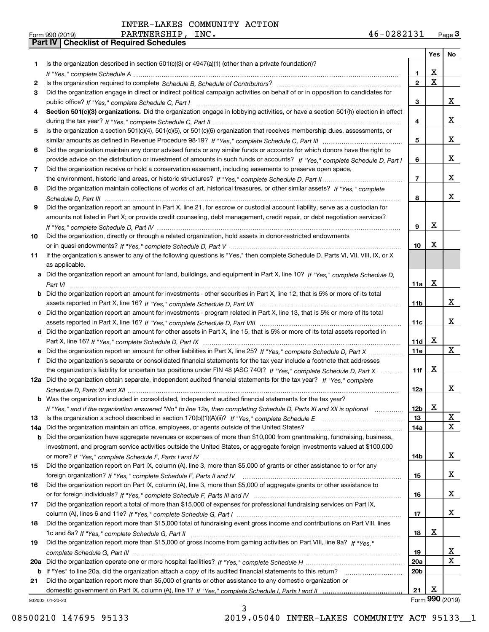|     |                                                                                                                                  |                 | Yes             | No                      |
|-----|----------------------------------------------------------------------------------------------------------------------------------|-----------------|-----------------|-------------------------|
| 1   | Is the organization described in section 501(c)(3) or 4947(a)(1) (other than a private foundation)?                              |                 |                 |                         |
|     |                                                                                                                                  | 1               | X               |                         |
| 2   |                                                                                                                                  | $\overline{2}$  | $\mathbf X$     |                         |
| 3   | Did the organization engage in direct or indirect political campaign activities on behalf of or in opposition to candidates for  |                 |                 |                         |
|     |                                                                                                                                  | 3               |                 | X.                      |
| 4   | Section 501(c)(3) organizations. Did the organization engage in lobbying activities, or have a section 501(h) election in effect |                 |                 |                         |
|     |                                                                                                                                  | 4               |                 | X.                      |
| 5   | Is the organization a section 501(c)(4), 501(c)(5), or 501(c)(6) organization that receives membership dues, assessments, or     |                 |                 | x                       |
|     |                                                                                                                                  | 5               |                 |                         |
| 6   | Did the organization maintain any donor advised funds or any similar funds or accounts for which donors have the right to        |                 |                 | X.                      |
|     | provide advice on the distribution or investment of amounts in such funds or accounts? If "Yes," complete Schedule D, Part I     | 6               |                 |                         |
| 7   | Did the organization receive or hold a conservation easement, including easements to preserve open space,                        | 7               |                 | x                       |
|     | Did the organization maintain collections of works of art, historical treasures, or other similar assets? If "Yes," complete     |                 |                 |                         |
| 8   |                                                                                                                                  | 8               |                 | x                       |
| 9   | Did the organization report an amount in Part X, line 21, for escrow or custodial account liability, serve as a custodian for    |                 |                 |                         |
|     | amounts not listed in Part X; or provide credit counseling, debt management, credit repair, or debt negotiation services?        |                 |                 |                         |
|     |                                                                                                                                  | 9               | х               |                         |
| 10  | Did the organization, directly or through a related organization, hold assets in donor-restricted endowments                     |                 |                 |                         |
|     |                                                                                                                                  | 10              | x               |                         |
| 11  | If the organization's answer to any of the following questions is "Yes," then complete Schedule D, Parts VI, VII, VIII, IX, or X |                 |                 |                         |
|     | as applicable.                                                                                                                   |                 |                 |                         |
|     | a Did the organization report an amount for land, buildings, and equipment in Part X, line 10? If "Yes," complete Schedule D,    |                 |                 |                         |
|     |                                                                                                                                  | 11a             | X               |                         |
| b   | Did the organization report an amount for investments - other securities in Part X, line 12, that is 5% or more of its total     |                 |                 |                         |
|     |                                                                                                                                  | 11b             |                 | X.                      |
|     | c Did the organization report an amount for investments - program related in Part X, line 13, that is 5% or more of its total    |                 |                 |                         |
|     |                                                                                                                                  | 11c             |                 | x                       |
|     | d Did the organization report an amount for other assets in Part X, line 15, that is 5% or more of its total assets reported in  |                 |                 |                         |
|     |                                                                                                                                  | 11d             | X.              |                         |
|     | Did the organization report an amount for other liabilities in Part X, line 25? If "Yes," complete Schedule D, Part X            | 11e             |                 | X                       |
| f   | Did the organization's separate or consolidated financial statements for the tax year include a footnote that addresses          |                 |                 |                         |
|     | the organization's liability for uncertain tax positions under FIN 48 (ASC 740)? If "Yes," complete Schedule D, Part X           | 11f             | x               |                         |
|     | 12a Did the organization obtain separate, independent audited financial statements for the tax year? If "Yes," complete          |                 |                 |                         |
|     |                                                                                                                                  | 12a             |                 | x                       |
|     | <b>b</b> Was the organization included in consolidated, independent audited financial statements for the tax year?               |                 |                 |                         |
|     | If "Yes," and if the organization answered "No" to line 12a, then completing Schedule D, Parts XI and XII is optional            | 12 <sub>b</sub> | x               |                         |
| 13  | Is the organization a school described in section 170(b)(1)(A)(ii)? If "Yes," complete Schedule E                                | 13              |                 | X                       |
| 14a | Did the organization maintain an office, employees, or agents outside of the United States?                                      | 14a             |                 | X                       |
| b   | Did the organization have aggregate revenues or expenses of more than \$10,000 from grantmaking, fundraising, business,          |                 |                 |                         |
|     | investment, and program service activities outside the United States, or aggregate foreign investments valued at \$100,000       |                 |                 |                         |
|     |                                                                                                                                  | 14b             |                 | x                       |
| 15  | Did the organization report on Part IX, column (A), line 3, more than \$5,000 of grants or other assistance to or for any        |                 |                 |                         |
|     |                                                                                                                                  | 15              |                 | X                       |
| 16  | Did the organization report on Part IX, column (A), line 3, more than \$5,000 of aggregate grants or other assistance to         |                 |                 |                         |
|     |                                                                                                                                  | 16              |                 | X.                      |
| 17  | Did the organization report a total of more than \$15,000 of expenses for professional fundraising services on Part IX,          |                 |                 |                         |
|     |                                                                                                                                  | 17              |                 | X.                      |
| 18  | Did the organization report more than \$15,000 total of fundraising event gross income and contributions on Part VIII, lines     |                 |                 |                         |
|     |                                                                                                                                  | 18              | x               |                         |
| 19  | Did the organization report more than \$15,000 of gross income from gaming activities on Part VIII, line 9a? If "Yes."           |                 |                 |                         |
|     |                                                                                                                                  | 19              |                 | X                       |
| 20a |                                                                                                                                  | <b>20a</b>      |                 | $\overline{\mathbf{X}}$ |
|     | b If "Yes" to line 20a, did the organization attach a copy of its audited financial statements to this return?                   | 20 <sub>b</sub> |                 |                         |
| 21  | Did the organization report more than \$5,000 of grants or other assistance to any domestic organization or                      |                 |                 |                         |
|     |                                                                                                                                  | 21              | x               |                         |
|     | 932003 01-20-20                                                                                                                  |                 | Form 990 (2019) |                         |

932003 01-20-20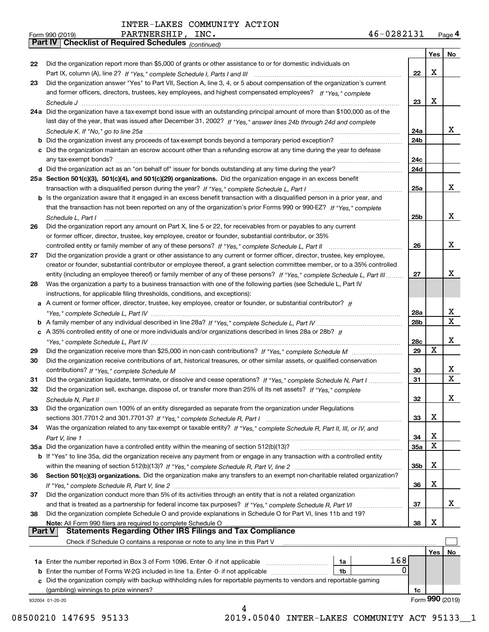*(continued)*

| Form 990 (2019) | PARTNERSHIP,                                                 | INC. | 46-0282131 | Page 4 |
|-----------------|--------------------------------------------------------------|------|------------|--------|
|                 | <b>Part IV   Checklist of Required Schedules (Continued)</b> |      |            |        |

|               |                                                                                                                              |                 | Yes | No              |
|---------------|------------------------------------------------------------------------------------------------------------------------------|-----------------|-----|-----------------|
| 22            | Did the organization report more than \$5,000 of grants or other assistance to or for domestic individuals on                |                 |     |                 |
|               |                                                                                                                              | 22              | х   |                 |
| 23            | Did the organization answer "Yes" to Part VII, Section A, line 3, 4, or 5 about compensation of the organization's current   |                 |     |                 |
|               | and former officers, directors, trustees, key employees, and highest compensated employees? If "Yes." complete               |                 |     |                 |
|               |                                                                                                                              | 23              | х   |                 |
|               | 24a Did the organization have a tax-exempt bond issue with an outstanding principal amount of more than \$100,000 as of the  |                 |     |                 |
|               | last day of the year, that was issued after December 31, 2002? If "Yes," answer lines 24b through 24d and complete           |                 |     |                 |
|               |                                                                                                                              | 24a             |     | x               |
|               |                                                                                                                              | 24 <sub>b</sub> |     |                 |
|               | c Did the organization maintain an escrow account other than a refunding escrow at any time during the year to defease       |                 |     |                 |
|               |                                                                                                                              | 24c             |     |                 |
|               |                                                                                                                              | 24d             |     |                 |
|               | 25a Section 501(c)(3), 501(c)(4), and 501(c)(29) organizations. Did the organization engage in an excess benefit             |                 |     |                 |
|               |                                                                                                                              | 25a             |     | х               |
|               | b Is the organization aware that it engaged in an excess benefit transaction with a disqualified person in a prior year, and |                 |     |                 |
|               | that the transaction has not been reported on any of the organization's prior Forms 990 or 990-EZ? If "Yes," complete        |                 |     |                 |
|               | Schedule L. Part I                                                                                                           | 25b             |     | х               |
| 26            | Did the organization report any amount on Part X, line 5 or 22, for receivables from or payables to any current              |                 |     |                 |
|               | or former officer, director, trustee, key employee, creator or founder, substantial contributor, or 35%                      |                 |     |                 |
|               | controlled entity or family member of any of these persons? If "Yes," complete Schedule L, Part II                           | 26              |     | х               |
| 27            | Did the organization provide a grant or other assistance to any current or former officer, director, trustee, key employee,  |                 |     |                 |
|               | creator or founder, substantial contributor or employee thereof, a grant selection committee member, or to a 35% controlled  |                 |     |                 |
|               | entity (including an employee thereof) or family member of any of these persons? If "Yes," complete Schedule L, Part III     | 27              |     | x               |
| 28            | Was the organization a party to a business transaction with one of the following parties (see Schedule L, Part IV            |                 |     |                 |
|               | instructions, for applicable filing thresholds, conditions, and exceptions):                                                 |                 |     |                 |
|               | a A current or former officer, director, trustee, key employee, creator or founder, or substantial contributor? If           |                 |     |                 |
|               |                                                                                                                              | 28a             |     | х               |
|               |                                                                                                                              | 28b             |     | X               |
|               | c A 35% controlled entity of one or more individuals and/or organizations described in lines 28a or 28b? If                  |                 |     |                 |
|               |                                                                                                                              | 28c             |     | х               |
| 29            |                                                                                                                              | 29              | X   |                 |
| 30            | Did the organization receive contributions of art, historical treasures, or other similar assets, or qualified conservation  |                 |     |                 |
|               |                                                                                                                              | 30              |     | х               |
| 31            | Did the organization liquidate, terminate, or dissolve and cease operations? If "Yes," complete Schedule N, Part I           | 31              |     | X               |
| 32            | Did the organization sell, exchange, dispose of, or transfer more than 25% of its net assets? If "Yes," complete             |                 |     |                 |
|               |                                                                                                                              | 32              |     | х               |
| 33            | Did the organization own 100% of an entity disregarded as separate from the organization under Regulations                   |                 |     |                 |
|               |                                                                                                                              | 33              | х   |                 |
| 34            | Was the organization related to any tax-exempt or taxable entity? If "Yes," complete Schedule R, Part II, III, or IV, and    |                 |     |                 |
|               |                                                                                                                              | 34              | х   |                 |
|               | 35a Did the organization have a controlled entity within the meaning of section 512(b)(13)?                                  | 35a             | Χ   |                 |
|               | b If "Yes" to line 35a, did the organization receive any payment from or engage in any transaction with a controlled entity  |                 |     |                 |
|               |                                                                                                                              | 35b             | х   |                 |
| 36            | Section 501(c)(3) organizations. Did the organization make any transfers to an exempt non-charitable related organization?   |                 |     |                 |
|               |                                                                                                                              | 36              | х   |                 |
| 37            | Did the organization conduct more than 5% of its activities through an entity that is not a related organization             |                 |     |                 |
|               | and that is treated as a partnership for federal income tax purposes? If "Yes," complete Schedule R, Part VI                 | 37              |     | X.              |
| 38            | Did the organization complete Schedule O and provide explanations in Schedule O for Part VI, lines 11b and 19?               |                 |     |                 |
|               | Note: All Form 990 filers are required to complete Schedule O                                                                | 38              | х   |                 |
| <b>Part V</b> | <b>Statements Regarding Other IRS Filings and Tax Compliance</b>                                                             |                 |     |                 |
|               | Check if Schedule O contains a response or note to any line in this Part V                                                   |                 |     |                 |
|               |                                                                                                                              |                 | Yes | No              |
|               | 168<br>1a Enter the number reported in Box 3 of Form 1096. Enter -0- if not applicable<br>1a                                 |                 |     |                 |
|               | 0<br><b>b</b> Enter the number of Forms W-2G included in line 1a. Enter -0- if not applicable<br>1b                          |                 |     |                 |
|               | c Did the organization comply with backup withholding rules for reportable payments to vendors and reportable gaming         |                 |     |                 |
|               | (gambling) winnings to prize winners?                                                                                        | 1c              |     |                 |
|               | 932004 01-20-20                                                                                                              |                 |     | Form 990 (2019) |
|               | 4                                                                                                                            |                 |     |                 |

08500210 147695 95133 2019.05040 INTER-LAKES COMMUNITY ACT 95133\_1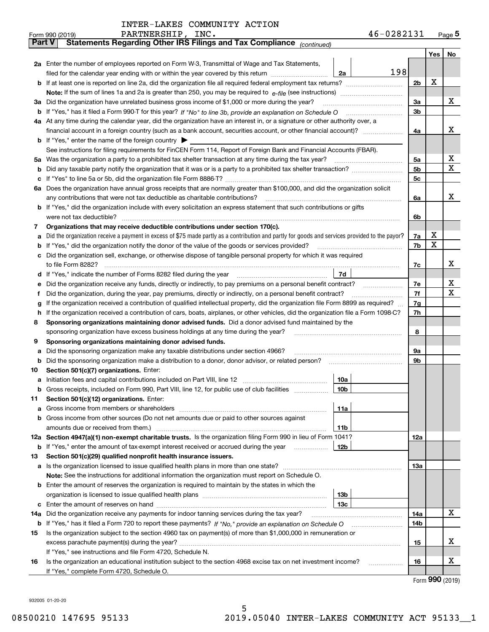| INTER-LAKES COMMUNITY ACTION |  |  |
|------------------------------|--|--|
|------------------------------|--|--|

|               | 46-0282131<br>PARTNERSHIP, INC.<br>Form 990 (2019)                                                                                              |     |     | $_{\text{Page}}$ 5 |
|---------------|-------------------------------------------------------------------------------------------------------------------------------------------------|-----|-----|--------------------|
| <b>Part V</b> | Statements Regarding Other IRS Filings and Tax Compliance (continued)                                                                           |     |     |                    |
|               |                                                                                                                                                 |     | Yes | No                 |
|               | 2a Enter the number of employees reported on Form W-3, Transmittal of Wage and Tax Statements,                                                  |     |     |                    |
|               | 198<br>filed for the calendar year ending with or within the year covered by this return <i>manumumumum</i><br>2a                               |     |     |                    |
|               |                                                                                                                                                 | 2b  | x   |                    |
|               |                                                                                                                                                 |     |     |                    |
|               | 3a Did the organization have unrelated business gross income of \$1,000 or more during the year?                                                | 3a  |     | х                  |
|               |                                                                                                                                                 | 3b  |     |                    |
|               | 4a At any time during the calendar year, did the organization have an interest in, or a signature or other authority over, a                    |     |     |                    |
|               |                                                                                                                                                 | 4a  |     | х                  |
|               | <b>b</b> If "Yes," enter the name of the foreign country $\blacktriangleright$                                                                  |     |     |                    |
|               | See instructions for filing requirements for FinCEN Form 114, Report of Foreign Bank and Financial Accounts (FBAR).                             |     |     |                    |
|               |                                                                                                                                                 | 5а  |     | х                  |
|               |                                                                                                                                                 | 5b  |     | X                  |
|               |                                                                                                                                                 | 5c  |     |                    |
|               | 6a Does the organization have annual gross receipts that are normally greater than \$100,000, and did the organization solicit                  |     |     |                    |
|               |                                                                                                                                                 | 6a  |     | х                  |
|               | <b>b</b> If "Yes," did the organization include with every solicitation an express statement that such contributions or gifts                   |     |     |                    |
|               |                                                                                                                                                 | 6b  |     |                    |
| 7             | Organizations that may receive deductible contributions under section 170(c).                                                                   |     |     |                    |
| а             | Did the organization receive a payment in excess of \$75 made partly as a contribution and partly for goods and services provided to the payor? | 7a  | х   |                    |
|               | <b>b</b> If "Yes," did the organization notify the donor of the value of the goods or services provided?                                        | 7b  | X   |                    |
|               | c Did the organization sell, exchange, or otherwise dispose of tangible personal property for which it was required                             |     |     |                    |
|               |                                                                                                                                                 | 7c  |     | х                  |
|               | 7d                                                                                                                                              |     |     |                    |
| е             |                                                                                                                                                 | 7e  |     | х                  |
| f             | Did the organization, during the year, pay premiums, directly or indirectly, on a personal benefit contract?                                    | 7f  |     | X                  |
| g             | If the organization received a contribution of qualified intellectual property, did the organization file Form 8899 as required?                | 7g  |     |                    |
| h.            | If the organization received a contribution of cars, boats, airplanes, or other vehicles, did the organization file a Form 1098-C?              | 7h  |     |                    |
| 8             | Sponsoring organizations maintaining donor advised funds. Did a donor advised fund maintained by the                                            |     |     |                    |
|               | sponsoring organization have excess business holdings at any time during the year?                                                              | 8   |     |                    |
| 9             | Sponsoring organizations maintaining donor advised funds.                                                                                       |     |     |                    |
| а             | Did the sponsoring organization make any taxable distributions under section 4966?                                                              | 9а  |     |                    |
|               | <b>b</b> Did the sponsoring organization make a distribution to a donor, donor advisor, or related person?                                      | 9b  |     |                    |
| 10            | Section 501(c)(7) organizations. Enter:                                                                                                         |     |     |                    |
|               | 10a                                                                                                                                             |     |     |                    |
|               | 10b <br>Gross receipts, included on Form 990, Part VIII, line 12, for public use of club facilities                                             |     |     |                    |
| 11            | Section 501(c)(12) organizations. Enter:                                                                                                        |     |     |                    |
|               | 11a                                                                                                                                             |     |     |                    |
|               | b Gross income from other sources (Do not net amounts due or paid to other sources against                                                      |     |     |                    |
|               | <b>11b</b>                                                                                                                                      |     |     |                    |
|               | 12a Section 4947(a)(1) non-exempt charitable trusts. Is the organization filing Form 990 in lieu of Form 1041?                                  | 12a |     |                    |
|               | 12b<br><b>b</b> If "Yes," enter the amount of tax-exempt interest received or accrued during the year                                           |     |     |                    |
| 13            | Section 501(c)(29) qualified nonprofit health insurance issuers.                                                                                |     |     |                    |
|               | <b>a</b> Is the organization licensed to issue qualified health plans in more than one state?                                                   | 13a |     |                    |
|               | Note: See the instructions for additional information the organization must report on Schedule O.                                               |     |     |                    |
|               | <b>b</b> Enter the amount of reserves the organization is required to maintain by the states in which the                                       |     |     |                    |
|               | 13b                                                                                                                                             |     |     |                    |
|               | 13с                                                                                                                                             |     |     |                    |
| 14a           | Did the organization receive any payments for indoor tanning services during the tax year?                                                      | 14a |     | х                  |
|               | <b>b</b> If "Yes," has it filed a Form 720 to report these payments? If "No," provide an explanation on Schedule O                              | 14b |     |                    |
| 15            | Is the organization subject to the section 4960 tax on payment(s) of more than \$1,000,000 in remuneration or                                   |     |     | х                  |
|               |                                                                                                                                                 | 15  |     |                    |
|               | If "Yes," see instructions and file Form 4720, Schedule N.                                                                                      |     |     | х                  |
| 16            | Is the organization an educational institution subject to the section 4968 excise tax on net investment income?                                 | 16  |     |                    |
|               | If "Yes," complete Form 4720, Schedule O.                                                                                                       |     |     |                    |

Form (2019) **990**

932005 01-20-20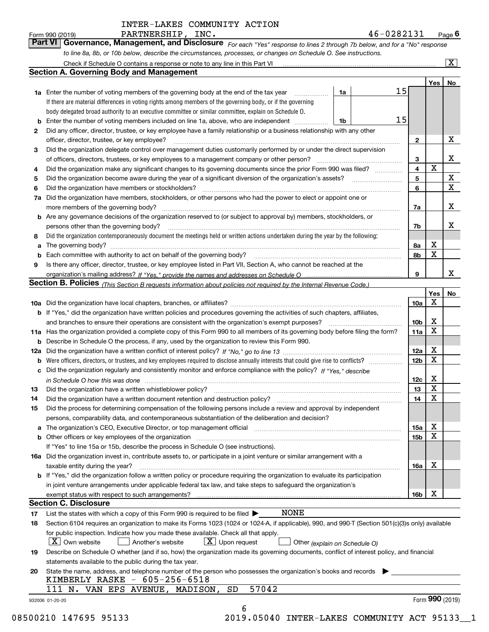*For each "Yes" response to lines 2 through 7b below, and for a "No" response to line 8a, 8b, or 10b below, describe the circumstances, processes, or changes on Schedule O. See instructions.* Form 990 (2019) **PARTNERSHIP, INC.**<br>**Part VI Governance, Management, and Disclosure** For each "Yes" response to lines 2 through 7b below, and for a "No" response

|     | Check if Schedule O contains a response or note to any line in this Part VI                                                                                                                                                    |    |    |                         |     | $\mathbf{x}$    |
|-----|--------------------------------------------------------------------------------------------------------------------------------------------------------------------------------------------------------------------------------|----|----|-------------------------|-----|-----------------|
|     | Section A. Governing Body and Management                                                                                                                                                                                       |    |    |                         |     |                 |
|     |                                                                                                                                                                                                                                |    |    |                         | Yes | No              |
|     | <b>1a</b> Enter the number of voting members of the governing body at the end of the tax year                                                                                                                                  | 1a | 15 |                         |     |                 |
|     | If there are material differences in voting rights among members of the governing body, or if the governing                                                                                                                    |    |    |                         |     |                 |
|     | body delegated broad authority to an executive committee or similar committee, explain on Schedule O.                                                                                                                          |    |    |                         |     |                 |
| b   | Enter the number of voting members included on line 1a, above, who are independent                                                                                                                                             | 1b | 15 |                         |     |                 |
| 2   | Did any officer, director, trustee, or key employee have a family relationship or a business relationship with any other                                                                                                       |    |    |                         |     |                 |
|     | officer, director, trustee, or key employee?                                                                                                                                                                                   |    |    | 2                       |     | X               |
| 3   | Did the organization delegate control over management duties customarily performed by or under the direct supervision                                                                                                          |    |    |                         |     |                 |
|     | of officers, directors, trustees, or key employees to a management company or other person?                                                                                                                                    |    |    | 3                       |     | x               |
| 4   | Did the organization make any significant changes to its governing documents since the prior Form 990 was filed?                                                                                                               |    |    | $\overline{\mathbf{4}}$ | X   |                 |
| 5   |                                                                                                                                                                                                                                |    |    | 5                       |     | X               |
| 6   | Did the organization have members or stockholders?                                                                                                                                                                             |    |    | 6                       |     | $\mathbf x$     |
| 7a  | Did the organization have members, stockholders, or other persons who had the power to elect or appoint one or                                                                                                                 |    |    |                         |     |                 |
|     | more members of the governing body?                                                                                                                                                                                            |    |    | 7a                      |     | x               |
|     | <b>b</b> Are any governance decisions of the organization reserved to (or subject to approval by) members, stockholders, or                                                                                                    |    |    |                         |     |                 |
|     | persons other than the governing body?                                                                                                                                                                                         |    |    | 7b                      |     | х               |
|     | Did the organization contemporaneously document the meetings held or written actions undertaken during the year by the following:                                                                                              |    |    |                         |     |                 |
| 8   |                                                                                                                                                                                                                                |    |    |                         | х   |                 |
| a   | The governing body?                                                                                                                                                                                                            |    |    | 8a                      | X   |                 |
| b   |                                                                                                                                                                                                                                |    |    | 8b                      |     |                 |
| 9   | Is there any officer, director, trustee, or key employee listed in Part VII, Section A, who cannot be reached at the                                                                                                           |    |    |                         |     | x               |
|     |                                                                                                                                                                                                                                |    |    | 9                       |     |                 |
|     | <b>Section B. Policies</b> (This Section B requests information about policies not required by the Internal Revenue Code.)                                                                                                     |    |    |                         |     |                 |
|     |                                                                                                                                                                                                                                |    |    |                         | Yes | No              |
|     |                                                                                                                                                                                                                                |    |    | 10a                     | Х   |                 |
|     | <b>b</b> If "Yes," did the organization have written policies and procedures governing the activities of such chapters, affiliates,                                                                                            |    |    |                         |     |                 |
|     | and branches to ensure their operations are consistent with the organization's exempt purposes?                                                                                                                                |    |    | 10 <sub>b</sub>         | х   |                 |
|     | 11a Has the organization provided a complete copy of this Form 990 to all members of its governing body before filing the form?                                                                                                |    |    | 11a                     | X   |                 |
| b   | Describe in Schedule O the process, if any, used by the organization to review this Form 990.                                                                                                                                  |    |    |                         |     |                 |
| 12a |                                                                                                                                                                                                                                |    |    | 12a                     | X   |                 |
| b   |                                                                                                                                                                                                                                |    |    | 12 <sub>b</sub>         | X   |                 |
| с   | Did the organization regularly and consistently monitor and enforce compliance with the policy? If "Yes." describe                                                                                                             |    |    |                         |     |                 |
|     | in Schedule O how this was done measured and contained a state of the state of the state of the state of the s                                                                                                                 |    |    | 12c                     | х   |                 |
| 13  | Did the organization have a written whistleblower policy?                                                                                                                                                                      |    |    | 13                      | X   |                 |
| 14  | Did the organization have a written document retention and destruction policy?                                                                                                                                                 |    |    | 14                      | X   |                 |
| 15  | Did the process for determining compensation of the following persons include a review and approval by independent                                                                                                             |    |    |                         |     |                 |
|     | persons, comparability data, and contemporaneous substantiation of the deliberation and decision?                                                                                                                              |    |    |                         |     |                 |
| а   | The organization's CEO, Executive Director, or top management official manufactured content of the organization's CEO, Executive Director, or top management official                                                          |    |    | 15a                     | Χ   |                 |
|     | b Other officers or key employees of the organization manufactured content to the content of the organization manufactured content of the organization manufactured content of the organization manufactured content of the or |    |    | 15b                     | x   |                 |
|     | If "Yes" to line 15a or 15b, describe the process in Schedule O (see instructions).                                                                                                                                            |    |    |                         |     |                 |
|     | 16a Did the organization invest in, contribute assets to, or participate in a joint venture or similar arrangement with a                                                                                                      |    |    |                         |     |                 |
|     | taxable entity during the year?                                                                                                                                                                                                |    |    | 16a                     | X   |                 |
|     | b If "Yes," did the organization follow a written policy or procedure requiring the organization to evaluate its participation                                                                                                 |    |    |                         |     |                 |
|     | in joint venture arrangements under applicable federal tax law, and take steps to safequard the organization's                                                                                                                 |    |    |                         |     |                 |
|     | exempt status with respect to such arrangements?                                                                                                                                                                               |    |    | 16b                     | X   |                 |
|     | Section C. Disclosure                                                                                                                                                                                                          |    |    |                         |     |                 |
| 17  | <b>NONE</b><br>List the states with which a copy of this Form 990 is required to be filed $\blacktriangleright$                                                                                                                |    |    |                         |     |                 |
| 18  | Section 6104 requires an organization to make its Forms 1023 (1024 or 1024-A, if applicable), 990, and 990-T (Section 501(c)(3)s only) available                                                                               |    |    |                         |     |                 |
|     | for public inspection. Indicate how you made these available. Check all that apply.                                                                                                                                            |    |    |                         |     |                 |
|     | $X$ Own website<br>$X$ Upon request<br>Another's website<br>Other (explain on Schedule O)                                                                                                                                      |    |    |                         |     |                 |
| 19  | Describe on Schedule O whether (and if so, how) the organization made its governing documents, conflict of interest policy, and financial                                                                                      |    |    |                         |     |                 |
|     | statements available to the public during the tax year.                                                                                                                                                                        |    |    |                         |     |                 |
| 20  | State the name, address, and telephone number of the person who possesses the organization's books and records                                                                                                                 |    |    |                         |     |                 |
|     | KIMBERLY RASKE $-605-256-6518$                                                                                                                                                                                                 |    |    |                         |     |                 |
|     | 57042<br>111 N. VAN EPS AVENUE, MADISON,<br>SD                                                                                                                                                                                 |    |    |                         |     |                 |
|     | 932006 01-20-20                                                                                                                                                                                                                |    |    |                         |     | Form 990 (2019) |
|     | 6                                                                                                                                                                                                                              |    |    |                         |     |                 |
|     |                                                                                                                                                                                                                                |    |    |                         |     |                 |

08500210 147695 95133 2019.05040 INTER-LAKES COMMUNITY ACT 95133\_\_1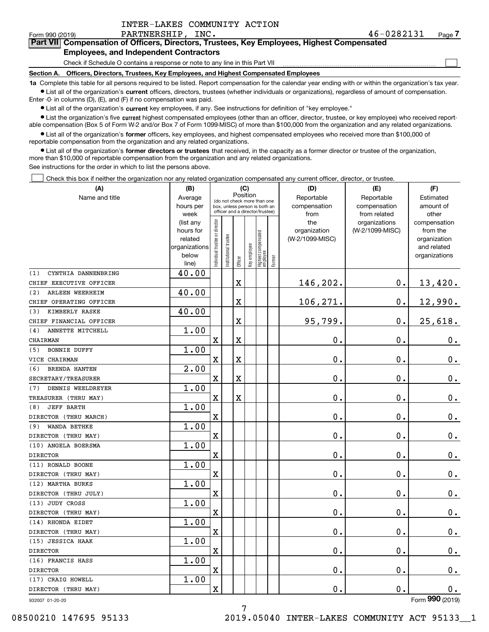$\mathcal{L}^{\text{max}}$ 

### Form 990 (2019) PARTNERSHIP, INC . 4 6-0 2 8 2 1 3 1 <sub>Page</sub> **7Part VII Compensation of Officers, Directors, Trustees, Key Employees, Highest Compensated**

### **Employees, and Independent Contractors**

Check if Schedule O contains a response or note to any line in this Part VII

**Section A. Officers, Directors, Trustees, Key Employees, and Highest Compensated Employees**

**1a**  Complete this table for all persons required to be listed. Report compensation for the calendar year ending with or within the organization's tax year. **•** List all of the organization's current officers, directors, trustees (whether individuals or organizations), regardless of amount of compensation.

Enter -0- in columns (D), (E), and (F) if no compensation was paid.

 $\bullet$  List all of the organization's  $\,$ current key employees, if any. See instructions for definition of "key employee."

**•** List the organization's five current highest compensated employees (other than an officer, director, trustee, or key employee) who received reportable compensation (Box 5 of Form W-2 and/or Box 7 of Form 1099-MISC) of more than \$100,000 from the organization and any related organizations.

**•** List all of the organization's former officers, key employees, and highest compensated employees who received more than \$100,000 of reportable compensation from the organization and any related organizations.

**former directors or trustees**  ¥ List all of the organization's that received, in the capacity as a former director or trustee of the organization, more than \$10,000 of reportable compensation from the organization and any related organizations.

See instructions for the order in which to list the persons above.

Check this box if neither the organization nor any related organization compensated any current officer, director, or trustee.  $\mathcal{L}^{\text{max}}$ 

| Position<br>Name and title<br>Reportable<br>Reportable<br>Average<br>Estimated<br>(do not check more than one<br>hours per<br>compensation<br>compensation<br>amount of<br>box, unless person is both an<br>officer and a director/trustee)<br>week<br>from<br>from related<br>other<br>ndividual trustee or director<br>the<br>(list any<br>organizations<br>compensation<br>hours for<br>organization<br>(W-2/1099-MISC)<br>from the<br>Highest compensated<br> employee<br>Institutional trustee<br>(W-2/1099-MISC)<br>related<br>organization<br>Key employee<br>organizations<br>and related<br>below<br>organizations<br>Former<br>Officer<br>line)<br>40.00<br>CYNTHIA DANNENBRING<br>$\mathbf 0$ .<br>$\overline{\textbf{X}}$<br>146,202.<br>13,420.<br>40.00<br>ARLEEN WEERHEIM<br>106,271.<br>0.<br>X<br>12,990.<br>40.00<br>KIMBERLY RASKE<br>95,799.<br>$\overline{\textbf{X}}$<br>$\mathbf 0$ .<br>25,618.<br>1.00<br>ANNETTE MITCHELL<br>$\overline{\textbf{X}}$<br>X<br>0.<br>$\mathbf 0$ .<br>0.<br>1.00<br><b>BONNIE DUFFY</b><br>(5)<br>$\mathbf X$<br>X<br>$0$ .<br>$\mathbf 0$ .<br>$0_{.}$<br>2.00<br><b>BRENDA HANTEN</b><br>(6)<br>$\overline{\textbf{X}}$<br>0.<br>$\mathbf 0$ .<br>X<br>$\mathbf 0$ .<br>1.00<br>DENNIS WEELDREYER<br>(7)<br>$\overline{\text{X}}$<br>$\overline{\text{X}}$<br>$\mathbf 0$ .<br>$\mathbf 0$ .<br>$0_{.}$<br>1.00<br><b>JEFF BARTH</b><br>(8)<br>0.<br>$\mathbf 0$ .<br>$\mathbf x$<br>0.<br>1.00<br>WANDA BETHKE<br>(9)<br>$\mathbf 0$ .<br>$\overline{\textbf{X}}$<br>0.<br>$\mathbf 0$ .<br>1.00<br>$\overline{\text{X}}$<br>$\mathbf 0$ .<br>$\mathbf 0$ .<br>$\mathbf 0$ .<br>1.00<br>X<br>0.<br>0.<br>$\mathbf 0$ .<br>1.00<br>$\mathbf 0$ .<br>$\mathbf X$<br>0.<br>$\mathbf 0$ .<br>1.00<br>X<br>0.<br>0.<br>$\mathbf 0$ .<br>1.00<br>$\mathbf X$<br>$\mathbf 0$ .<br>$\mathbf 0$ .<br>$\mathbf 0$ .<br>1.00<br>X<br>0.<br>0.<br>$\mathbf 0$ .<br>1.00<br>$\mathbf 0$ .<br>$\mathbf 0$ .<br>$\rm X$<br>$\mathbf 0$ .<br>1.00<br>0.<br>X<br>$0$ .<br>0.<br>$\overline{2}$ | (A)                     | (B) |  | (C) |  | (D) | (E) | (F) |
|------------------------------------------------------------------------------------------------------------------------------------------------------------------------------------------------------------------------------------------------------------------------------------------------------------------------------------------------------------------------------------------------------------------------------------------------------------------------------------------------------------------------------------------------------------------------------------------------------------------------------------------------------------------------------------------------------------------------------------------------------------------------------------------------------------------------------------------------------------------------------------------------------------------------------------------------------------------------------------------------------------------------------------------------------------------------------------------------------------------------------------------------------------------------------------------------------------------------------------------------------------------------------------------------------------------------------------------------------------------------------------------------------------------------------------------------------------------------------------------------------------------------------------------------------------------------------------------------------------------------------------------------------------------------------------------------------------------------------------------------------------------------------------------------------------------------------------------------------------------------------------------------------------------------------------------------------------------------------------------------------------------------------------------|-------------------------|-----|--|-----|--|-----|-----|-----|
|                                                                                                                                                                                                                                                                                                                                                                                                                                                                                                                                                                                                                                                                                                                                                                                                                                                                                                                                                                                                                                                                                                                                                                                                                                                                                                                                                                                                                                                                                                                                                                                                                                                                                                                                                                                                                                                                                                                                                                                                                                          |                         |     |  |     |  |     |     |     |
|                                                                                                                                                                                                                                                                                                                                                                                                                                                                                                                                                                                                                                                                                                                                                                                                                                                                                                                                                                                                                                                                                                                                                                                                                                                                                                                                                                                                                                                                                                                                                                                                                                                                                                                                                                                                                                                                                                                                                                                                                                          |                         |     |  |     |  |     |     |     |
|                                                                                                                                                                                                                                                                                                                                                                                                                                                                                                                                                                                                                                                                                                                                                                                                                                                                                                                                                                                                                                                                                                                                                                                                                                                                                                                                                                                                                                                                                                                                                                                                                                                                                                                                                                                                                                                                                                                                                                                                                                          |                         |     |  |     |  |     |     |     |
|                                                                                                                                                                                                                                                                                                                                                                                                                                                                                                                                                                                                                                                                                                                                                                                                                                                                                                                                                                                                                                                                                                                                                                                                                                                                                                                                                                                                                                                                                                                                                                                                                                                                                                                                                                                                                                                                                                                                                                                                                                          |                         |     |  |     |  |     |     |     |
|                                                                                                                                                                                                                                                                                                                                                                                                                                                                                                                                                                                                                                                                                                                                                                                                                                                                                                                                                                                                                                                                                                                                                                                                                                                                                                                                                                                                                                                                                                                                                                                                                                                                                                                                                                                                                                                                                                                                                                                                                                          |                         |     |  |     |  |     |     |     |
|                                                                                                                                                                                                                                                                                                                                                                                                                                                                                                                                                                                                                                                                                                                                                                                                                                                                                                                                                                                                                                                                                                                                                                                                                                                                                                                                                                                                                                                                                                                                                                                                                                                                                                                                                                                                                                                                                                                                                                                                                                          |                         |     |  |     |  |     |     |     |
|                                                                                                                                                                                                                                                                                                                                                                                                                                                                                                                                                                                                                                                                                                                                                                                                                                                                                                                                                                                                                                                                                                                                                                                                                                                                                                                                                                                                                                                                                                                                                                                                                                                                                                                                                                                                                                                                                                                                                                                                                                          |                         |     |  |     |  |     |     |     |
|                                                                                                                                                                                                                                                                                                                                                                                                                                                                                                                                                                                                                                                                                                                                                                                                                                                                                                                                                                                                                                                                                                                                                                                                                                                                                                                                                                                                                                                                                                                                                                                                                                                                                                                                                                                                                                                                                                                                                                                                                                          |                         |     |  |     |  |     |     |     |
|                                                                                                                                                                                                                                                                                                                                                                                                                                                                                                                                                                                                                                                                                                                                                                                                                                                                                                                                                                                                                                                                                                                                                                                                                                                                                                                                                                                                                                                                                                                                                                                                                                                                                                                                                                                                                                                                                                                                                                                                                                          | (1)                     |     |  |     |  |     |     |     |
|                                                                                                                                                                                                                                                                                                                                                                                                                                                                                                                                                                                                                                                                                                                                                                                                                                                                                                                                                                                                                                                                                                                                                                                                                                                                                                                                                                                                                                                                                                                                                                                                                                                                                                                                                                                                                                                                                                                                                                                                                                          | CHIEF EXECUTIVE OFFICER |     |  |     |  |     |     |     |
|                                                                                                                                                                                                                                                                                                                                                                                                                                                                                                                                                                                                                                                                                                                                                                                                                                                                                                                                                                                                                                                                                                                                                                                                                                                                                                                                                                                                                                                                                                                                                                                                                                                                                                                                                                                                                                                                                                                                                                                                                                          | (2)                     |     |  |     |  |     |     |     |
|                                                                                                                                                                                                                                                                                                                                                                                                                                                                                                                                                                                                                                                                                                                                                                                                                                                                                                                                                                                                                                                                                                                                                                                                                                                                                                                                                                                                                                                                                                                                                                                                                                                                                                                                                                                                                                                                                                                                                                                                                                          | CHIEF OPERATING OFFICER |     |  |     |  |     |     |     |
|                                                                                                                                                                                                                                                                                                                                                                                                                                                                                                                                                                                                                                                                                                                                                                                                                                                                                                                                                                                                                                                                                                                                                                                                                                                                                                                                                                                                                                                                                                                                                                                                                                                                                                                                                                                                                                                                                                                                                                                                                                          | (3)                     |     |  |     |  |     |     |     |
|                                                                                                                                                                                                                                                                                                                                                                                                                                                                                                                                                                                                                                                                                                                                                                                                                                                                                                                                                                                                                                                                                                                                                                                                                                                                                                                                                                                                                                                                                                                                                                                                                                                                                                                                                                                                                                                                                                                                                                                                                                          | CHIEF FINANCIAL OFFICER |     |  |     |  |     |     |     |
|                                                                                                                                                                                                                                                                                                                                                                                                                                                                                                                                                                                                                                                                                                                                                                                                                                                                                                                                                                                                                                                                                                                                                                                                                                                                                                                                                                                                                                                                                                                                                                                                                                                                                                                                                                                                                                                                                                                                                                                                                                          | (4)                     |     |  |     |  |     |     |     |
|                                                                                                                                                                                                                                                                                                                                                                                                                                                                                                                                                                                                                                                                                                                                                                                                                                                                                                                                                                                                                                                                                                                                                                                                                                                                                                                                                                                                                                                                                                                                                                                                                                                                                                                                                                                                                                                                                                                                                                                                                                          | CHAIRMAN                |     |  |     |  |     |     |     |
|                                                                                                                                                                                                                                                                                                                                                                                                                                                                                                                                                                                                                                                                                                                                                                                                                                                                                                                                                                                                                                                                                                                                                                                                                                                                                                                                                                                                                                                                                                                                                                                                                                                                                                                                                                                                                                                                                                                                                                                                                                          |                         |     |  |     |  |     |     |     |
|                                                                                                                                                                                                                                                                                                                                                                                                                                                                                                                                                                                                                                                                                                                                                                                                                                                                                                                                                                                                                                                                                                                                                                                                                                                                                                                                                                                                                                                                                                                                                                                                                                                                                                                                                                                                                                                                                                                                                                                                                                          | VICE CHAIRMAN           |     |  |     |  |     |     |     |
|                                                                                                                                                                                                                                                                                                                                                                                                                                                                                                                                                                                                                                                                                                                                                                                                                                                                                                                                                                                                                                                                                                                                                                                                                                                                                                                                                                                                                                                                                                                                                                                                                                                                                                                                                                                                                                                                                                                                                                                                                                          |                         |     |  |     |  |     |     |     |
|                                                                                                                                                                                                                                                                                                                                                                                                                                                                                                                                                                                                                                                                                                                                                                                                                                                                                                                                                                                                                                                                                                                                                                                                                                                                                                                                                                                                                                                                                                                                                                                                                                                                                                                                                                                                                                                                                                                                                                                                                                          | SECRETARY/TREASURER     |     |  |     |  |     |     |     |
|                                                                                                                                                                                                                                                                                                                                                                                                                                                                                                                                                                                                                                                                                                                                                                                                                                                                                                                                                                                                                                                                                                                                                                                                                                                                                                                                                                                                                                                                                                                                                                                                                                                                                                                                                                                                                                                                                                                                                                                                                                          |                         |     |  |     |  |     |     |     |
|                                                                                                                                                                                                                                                                                                                                                                                                                                                                                                                                                                                                                                                                                                                                                                                                                                                                                                                                                                                                                                                                                                                                                                                                                                                                                                                                                                                                                                                                                                                                                                                                                                                                                                                                                                                                                                                                                                                                                                                                                                          | TREASURER (THRU MAY)    |     |  |     |  |     |     |     |
|                                                                                                                                                                                                                                                                                                                                                                                                                                                                                                                                                                                                                                                                                                                                                                                                                                                                                                                                                                                                                                                                                                                                                                                                                                                                                                                                                                                                                                                                                                                                                                                                                                                                                                                                                                                                                                                                                                                                                                                                                                          |                         |     |  |     |  |     |     |     |
|                                                                                                                                                                                                                                                                                                                                                                                                                                                                                                                                                                                                                                                                                                                                                                                                                                                                                                                                                                                                                                                                                                                                                                                                                                                                                                                                                                                                                                                                                                                                                                                                                                                                                                                                                                                                                                                                                                                                                                                                                                          | DIRECTOR (THRU MARCH)   |     |  |     |  |     |     |     |
|                                                                                                                                                                                                                                                                                                                                                                                                                                                                                                                                                                                                                                                                                                                                                                                                                                                                                                                                                                                                                                                                                                                                                                                                                                                                                                                                                                                                                                                                                                                                                                                                                                                                                                                                                                                                                                                                                                                                                                                                                                          |                         |     |  |     |  |     |     |     |
|                                                                                                                                                                                                                                                                                                                                                                                                                                                                                                                                                                                                                                                                                                                                                                                                                                                                                                                                                                                                                                                                                                                                                                                                                                                                                                                                                                                                                                                                                                                                                                                                                                                                                                                                                                                                                                                                                                                                                                                                                                          | DIRECTOR (THRU MAY)     |     |  |     |  |     |     |     |
|                                                                                                                                                                                                                                                                                                                                                                                                                                                                                                                                                                                                                                                                                                                                                                                                                                                                                                                                                                                                                                                                                                                                                                                                                                                                                                                                                                                                                                                                                                                                                                                                                                                                                                                                                                                                                                                                                                                                                                                                                                          | (10) ANGELA BOERSMA     |     |  |     |  |     |     |     |
|                                                                                                                                                                                                                                                                                                                                                                                                                                                                                                                                                                                                                                                                                                                                                                                                                                                                                                                                                                                                                                                                                                                                                                                                                                                                                                                                                                                                                                                                                                                                                                                                                                                                                                                                                                                                                                                                                                                                                                                                                                          | <b>DIRECTOR</b>         |     |  |     |  |     |     |     |
|                                                                                                                                                                                                                                                                                                                                                                                                                                                                                                                                                                                                                                                                                                                                                                                                                                                                                                                                                                                                                                                                                                                                                                                                                                                                                                                                                                                                                                                                                                                                                                                                                                                                                                                                                                                                                                                                                                                                                                                                                                          | (11) RONALD BOONE       |     |  |     |  |     |     |     |
|                                                                                                                                                                                                                                                                                                                                                                                                                                                                                                                                                                                                                                                                                                                                                                                                                                                                                                                                                                                                                                                                                                                                                                                                                                                                                                                                                                                                                                                                                                                                                                                                                                                                                                                                                                                                                                                                                                                                                                                                                                          | DIRECTOR (THRU MAY)     |     |  |     |  |     |     |     |
|                                                                                                                                                                                                                                                                                                                                                                                                                                                                                                                                                                                                                                                                                                                                                                                                                                                                                                                                                                                                                                                                                                                                                                                                                                                                                                                                                                                                                                                                                                                                                                                                                                                                                                                                                                                                                                                                                                                                                                                                                                          | (12) MARTHA BURKS       |     |  |     |  |     |     |     |
|                                                                                                                                                                                                                                                                                                                                                                                                                                                                                                                                                                                                                                                                                                                                                                                                                                                                                                                                                                                                                                                                                                                                                                                                                                                                                                                                                                                                                                                                                                                                                                                                                                                                                                                                                                                                                                                                                                                                                                                                                                          | DIRECTOR (THRU JULY)    |     |  |     |  |     |     |     |
|                                                                                                                                                                                                                                                                                                                                                                                                                                                                                                                                                                                                                                                                                                                                                                                                                                                                                                                                                                                                                                                                                                                                                                                                                                                                                                                                                                                                                                                                                                                                                                                                                                                                                                                                                                                                                                                                                                                                                                                                                                          | (13) JUDY CROSS         |     |  |     |  |     |     |     |
|                                                                                                                                                                                                                                                                                                                                                                                                                                                                                                                                                                                                                                                                                                                                                                                                                                                                                                                                                                                                                                                                                                                                                                                                                                                                                                                                                                                                                                                                                                                                                                                                                                                                                                                                                                                                                                                                                                                                                                                                                                          | DIRECTOR (THRU MAY)     |     |  |     |  |     |     |     |
|                                                                                                                                                                                                                                                                                                                                                                                                                                                                                                                                                                                                                                                                                                                                                                                                                                                                                                                                                                                                                                                                                                                                                                                                                                                                                                                                                                                                                                                                                                                                                                                                                                                                                                                                                                                                                                                                                                                                                                                                                                          | (14) RHONDA EIDET       |     |  |     |  |     |     |     |
|                                                                                                                                                                                                                                                                                                                                                                                                                                                                                                                                                                                                                                                                                                                                                                                                                                                                                                                                                                                                                                                                                                                                                                                                                                                                                                                                                                                                                                                                                                                                                                                                                                                                                                                                                                                                                                                                                                                                                                                                                                          | DIRECTOR (THRU MAY)     |     |  |     |  |     |     |     |
|                                                                                                                                                                                                                                                                                                                                                                                                                                                                                                                                                                                                                                                                                                                                                                                                                                                                                                                                                                                                                                                                                                                                                                                                                                                                                                                                                                                                                                                                                                                                                                                                                                                                                                                                                                                                                                                                                                                                                                                                                                          | (15) JESSICA HAAK       |     |  |     |  |     |     |     |
|                                                                                                                                                                                                                                                                                                                                                                                                                                                                                                                                                                                                                                                                                                                                                                                                                                                                                                                                                                                                                                                                                                                                                                                                                                                                                                                                                                                                                                                                                                                                                                                                                                                                                                                                                                                                                                                                                                                                                                                                                                          | <b>DIRECTOR</b>         |     |  |     |  |     |     |     |
|                                                                                                                                                                                                                                                                                                                                                                                                                                                                                                                                                                                                                                                                                                                                                                                                                                                                                                                                                                                                                                                                                                                                                                                                                                                                                                                                                                                                                                                                                                                                                                                                                                                                                                                                                                                                                                                                                                                                                                                                                                          | (16) FRANCIS HASS       |     |  |     |  |     |     |     |
|                                                                                                                                                                                                                                                                                                                                                                                                                                                                                                                                                                                                                                                                                                                                                                                                                                                                                                                                                                                                                                                                                                                                                                                                                                                                                                                                                                                                                                                                                                                                                                                                                                                                                                                                                                                                                                                                                                                                                                                                                                          | <b>DIRECTOR</b>         |     |  |     |  |     |     |     |
|                                                                                                                                                                                                                                                                                                                                                                                                                                                                                                                                                                                                                                                                                                                                                                                                                                                                                                                                                                                                                                                                                                                                                                                                                                                                                                                                                                                                                                                                                                                                                                                                                                                                                                                                                                                                                                                                                                                                                                                                                                          | (17) CRAIG HOWELL       |     |  |     |  |     |     |     |
|                                                                                                                                                                                                                                                                                                                                                                                                                                                                                                                                                                                                                                                                                                                                                                                                                                                                                                                                                                                                                                                                                                                                                                                                                                                                                                                                                                                                                                                                                                                                                                                                                                                                                                                                                                                                                                                                                                                                                                                                                                          | DIRECTOR (THRU MAY)     |     |  |     |  |     |     |     |

932007 01-20-20

Form (2019) **990**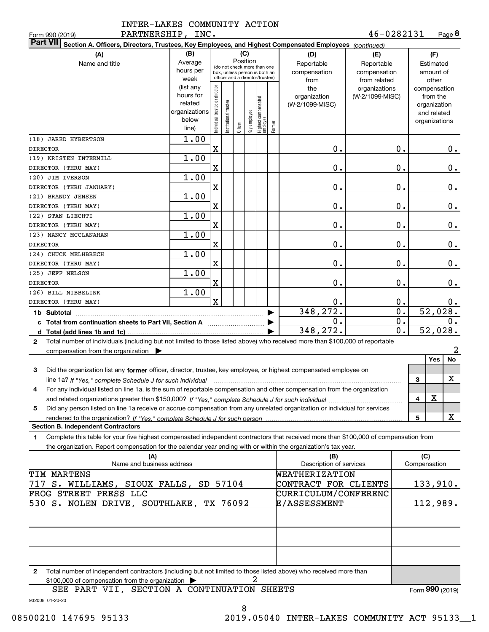| INTER-LAKES COMMUNITY ACTION |  |
|------------------------------|--|
|                              |  |

PARTNERSHIP, INC.

| PARTNERSHIP, INC.<br>Form 990 (2019)                                                                                                      |               |                                |                       |          |              |                                                              |        |                             | 46-0282131      |                  |              | Page 8        |
|-------------------------------------------------------------------------------------------------------------------------------------------|---------------|--------------------------------|-----------------------|----------|--------------|--------------------------------------------------------------|--------|-----------------------------|-----------------|------------------|--------------|---------------|
| <b>Part VII</b><br>Section A. Officers, Directors, Trustees, Key Employees, and Highest Compensated Employees (continued)                 |               |                                |                       |          |              |                                                              |        |                             |                 |                  |              |               |
| (A)                                                                                                                                       | (B)           |                                |                       | (C)      |              |                                                              |        | (D)                         | (E)             |                  |              | (F)           |
| Name and title                                                                                                                            | Average       |                                |                       | Position |              |                                                              |        | Reportable                  | Reportable      |                  |              | Estimated     |
|                                                                                                                                           | hours per     |                                |                       |          |              | (do not check more than one<br>box, unless person is both an |        | compensation                | compensation    |                  |              | amount of     |
|                                                                                                                                           | week          |                                |                       |          |              | officer and a director/trustee)                              |        | from                        | from related    |                  |              | other         |
|                                                                                                                                           | (list any     |                                |                       |          |              |                                                              |        | the                         | organizations   |                  |              | compensation  |
|                                                                                                                                           | hours for     |                                |                       |          |              |                                                              |        | organization                | (W-2/1099-MISC) |                  |              | from the      |
|                                                                                                                                           | related       |                                |                       |          |              |                                                              |        | (W-2/1099-MISC)             |                 |                  |              | organization  |
|                                                                                                                                           | organizations |                                |                       |          |              |                                                              |        |                             |                 |                  |              | and related   |
|                                                                                                                                           | below         | Individual trustee or director | Institutional trustee |          | Key employee | Highest compensated<br> employee                             | Former |                             |                 |                  |              | organizations |
|                                                                                                                                           | line)         |                                |                       | Officer  |              |                                                              |        |                             |                 |                  |              |               |
| (18) JARED HYBERTSON                                                                                                                      | 1.00          |                                |                       |          |              |                                                              |        |                             |                 |                  |              |               |
| <b>DIRECTOR</b>                                                                                                                           |               | $\mathbf x$                    |                       |          |              |                                                              |        | 0.                          |                 | 0.               |              | 0.            |
| (19) KRISTEN INTERMILL                                                                                                                    | 1.00          |                                |                       |          |              |                                                              |        |                             |                 |                  |              |               |
| DIRECTOR (THRU MAY)                                                                                                                       |               | X                              |                       |          |              |                                                              |        | 0.                          |                 | 0.               |              | 0.            |
| (20) JIM IVERSON                                                                                                                          | 1.00          |                                |                       |          |              |                                                              |        |                             |                 |                  |              |               |
| DIRECTOR (THRU JANUARY)                                                                                                                   |               | X                              |                       |          |              |                                                              |        | 0.                          |                 | $\mathbf 0$ .    |              | 0.            |
| (21) BRANDY JENSEN                                                                                                                        | 1.00          |                                |                       |          |              |                                                              |        |                             |                 |                  |              |               |
| DIRECTOR (THRU MAY)                                                                                                                       |               | X                              |                       |          |              |                                                              |        | 0.                          |                 | $\mathbf 0$ .    |              | 0.            |
| (22) STAN LIECHTI                                                                                                                         | 1.00          |                                |                       |          |              |                                                              |        |                             |                 |                  |              |               |
| DIRECTOR (THRU MAY)                                                                                                                       |               | $\mathbf X$                    |                       |          |              |                                                              |        | 0.                          |                 | $\mathbf 0$ .    |              | 0.            |
| (23) NANCY MCCLANAHAN                                                                                                                     | 1.00          |                                |                       |          |              |                                                              |        |                             |                 |                  |              |               |
| <b>DIRECTOR</b>                                                                                                                           |               | $\mathbf X$                    |                       |          |              |                                                              |        | 0.                          |                 | $\mathbf 0$ .    |              | 0.            |
| (24) CHUCK MELHBRECH                                                                                                                      | 1.00          |                                |                       |          |              |                                                              |        |                             |                 |                  |              |               |
| DIRECTOR (THRU MAY)                                                                                                                       | 1.00          | X                              |                       |          |              |                                                              |        | 0.                          |                 | $\mathbf 0$ .    |              | 0.            |
| (25) JEFF NELSON<br><b>DIRECTOR</b>                                                                                                       |               | X                              |                       |          |              |                                                              |        | 0.                          |                 | $\mathbf 0$ .    |              | 0.            |
| (26) BILL NIBBELINK                                                                                                                       | 1.00          |                                |                       |          |              |                                                              |        |                             |                 |                  |              |               |
| DIRECTOR (THRU MAY)                                                                                                                       |               | $\mathbf x$                    |                       |          |              |                                                              |        | 0.                          |                 | 0.               |              | $0$ .         |
|                                                                                                                                           |               |                                |                       |          |              |                                                              |        | 348, 272.                   |                 | $\overline{0}$ . |              | 52,028.       |
| c Total from continuation sheets to Part VII, Section A                                                                                   |               |                                |                       |          |              |                                                              |        | 0.                          |                 | $0$ .            |              | 0.            |
|                                                                                                                                           |               |                                |                       |          |              |                                                              |        | 348,272.                    |                 | 0.               |              | 52,028.       |
| Total number of individuals (including but not limited to those listed above) who received more than \$100,000 of reportable<br>2         |               |                                |                       |          |              |                                                              |        |                             |                 |                  |              |               |
| compensation from the organization $\blacktriangleright$                                                                                  |               |                                |                       |          |              |                                                              |        |                             |                 |                  |              | 2             |
|                                                                                                                                           |               |                                |                       |          |              |                                                              |        |                             |                 |                  |              | Yes<br>No     |
| Did the organization list any former officer, director, trustee, key employee, or highest compensated employee on<br>3                    |               |                                |                       |          |              |                                                              |        |                             |                 |                  |              |               |
| line 1a? If "Yes," complete Schedule J for such individual manufactured contained and the Ves," complete Schedule J for such individual   |               |                                |                       |          |              |                                                              |        |                             |                 |                  | 3            | X             |
| For any individual listed on line 1a, is the sum of reportable compensation and other compensation from the organization                  |               |                                |                       |          |              |                                                              |        |                             |                 |                  |              |               |
|                                                                                                                                           |               |                                |                       |          |              |                                                              |        |                             |                 |                  | 4            | х             |
| Did any person listed on line 1a receive or accrue compensation from any unrelated organization or individual for services<br>5           |               |                                |                       |          |              |                                                              |        |                             |                 |                  |              |               |
|                                                                                                                                           |               |                                |                       |          |              |                                                              |        |                             |                 |                  | 5            | X             |
| <b>Section B. Independent Contractors</b>                                                                                                 |               |                                |                       |          |              |                                                              |        |                             |                 |                  |              |               |
| Complete this table for your five highest compensated independent contractors that received more than \$100,000 of compensation from<br>1 |               |                                |                       |          |              |                                                              |        |                             |                 |                  |              |               |
| the organization. Report compensation for the calendar year ending with or within the organization's tax year.                            |               |                                |                       |          |              |                                                              |        |                             |                 |                  |              |               |
| (A)                                                                                                                                       |               |                                |                       |          |              |                                                              |        | (B)                         |                 |                  | (C)          |               |
| Name and business address                                                                                                                 |               |                                |                       |          |              |                                                              |        | Description of services     |                 |                  | Compensation |               |
| TIM MARTENS                                                                                                                               |               |                                |                       |          |              |                                                              |        | WEATHERIZATION              |                 |                  |              |               |
| 717 S. WILLIAMS, SIOUX FALLS, SD 57104                                                                                                    |               |                                |                       |          |              |                                                              |        | CONTRACT FOR CLIENTS        |                 |                  |              | 133,910.      |
| FROG STREET PRESS LLC                                                                                                                     |               |                                |                       |          |              |                                                              |        | <b>CURRICULUM/CONFERENC</b> |                 |                  |              |               |
| 530 S. NOLEN DRIVE, SOUTHLAKE,                                                                                                            |               |                                |                       | TX 76092 |              |                                                              |        | <b>E/ASSESSMENT</b>         |                 |                  |              | 112,989.      |
|                                                                                                                                           |               |                                |                       |          |              |                                                              |        |                             |                 |                  |              |               |
|                                                                                                                                           |               |                                |                       |          |              |                                                              |        |                             |                 |                  |              |               |
|                                                                                                                                           |               |                                |                       |          |              |                                                              |        |                             |                 |                  |              |               |
|                                                                                                                                           |               |                                |                       |          |              |                                                              |        |                             |                 |                  |              |               |
|                                                                                                                                           |               |                                |                       |          |              |                                                              |        |                             |                 |                  |              |               |
|                                                                                                                                           |               |                                |                       |          |              |                                                              |        |                             |                 |                  |              |               |
| Total number of independent contractors (including but not limited to those listed above) who received more than<br>2                     |               |                                |                       |          |              |                                                              |        |                             |                 |                  |              |               |

\$100,000 of compensation from the organization  $\quadblacktriangleright$   $\qquad \qquad$  2

932008 01-20-20 SEE PART VII, SECTION A CONTINUATION SHEETS

Form (2019) **990**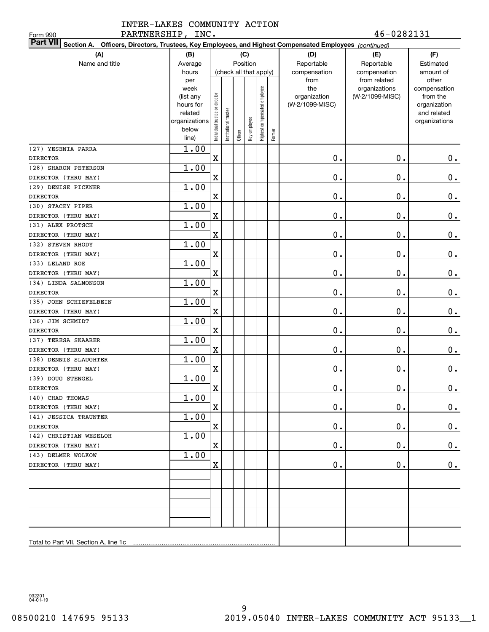| PARTNERSHIP, INC.<br>Form 990                                                                                             |                                        |                                |                      |         |              |                              |        |                                 | 46-0282131      |                          |  |  |  |
|---------------------------------------------------------------------------------------------------------------------------|----------------------------------------|--------------------------------|----------------------|---------|--------------|------------------------------|--------|---------------------------------|-----------------|--------------------------|--|--|--|
| <b>Part VII</b><br>Section A. Officers, Directors, Trustees, Key Employees, and Highest Compensated Employees (continued) |                                        |                                |                      |         |              |                              |        |                                 |                 |                          |  |  |  |
|                                                                                                                           | (A)<br>(D)<br>(F)<br>(B)<br>(C)<br>(E) |                                |                      |         |              |                              |        |                                 |                 |                          |  |  |  |
| Name and title                                                                                                            | Average                                |                                |                      |         | Position     |                              |        | Reportable                      | Reportable      | Estimated                |  |  |  |
|                                                                                                                           | hours                                  |                                |                      |         |              | (check all that apply)       |        | compensation                    | compensation    | amount of                |  |  |  |
|                                                                                                                           | per                                    |                                |                      |         |              |                              |        | from                            | from related    | other                    |  |  |  |
|                                                                                                                           | week                                   |                                |                      |         |              |                              |        | the                             | organizations   | compensation             |  |  |  |
|                                                                                                                           | (list any<br>hours for                 |                                |                      |         |              |                              |        | organization<br>(W-2/1099-MISC) | (W-2/1099-MISC) | from the<br>organization |  |  |  |
|                                                                                                                           | related                                |                                |                      |         |              |                              |        |                                 |                 | and related              |  |  |  |
|                                                                                                                           | organizations                          |                                |                      |         |              |                              |        |                                 |                 | organizations            |  |  |  |
|                                                                                                                           | below                                  | Individual trustee or director | nstitutional trustee |         | key employee | Highest compensated employee |        |                                 |                 |                          |  |  |  |
|                                                                                                                           | line)                                  |                                |                      | Officer |              |                              | Former |                                 |                 |                          |  |  |  |
| (27) YESENIA PARRA                                                                                                        | 1.00                                   |                                |                      |         |              |                              |        |                                 |                 |                          |  |  |  |
| <b>DIRECTOR</b>                                                                                                           |                                        | $\mathbf X$                    |                      |         |              |                              |        | 0.                              | $0$ .           | $0$ .                    |  |  |  |
| (28) SHARON PETERSON                                                                                                      | 1.00                                   |                                |                      |         |              |                              |        |                                 |                 |                          |  |  |  |
| DIRECTOR (THRU MAY)                                                                                                       |                                        | X                              |                      |         |              |                              |        | 0.                              | $0$ .           | $\mathbf 0$ .            |  |  |  |
| (29) DENISE PICKNER                                                                                                       | 1.00                                   |                                |                      |         |              |                              |        |                                 |                 |                          |  |  |  |
| <b>DIRECTOR</b>                                                                                                           |                                        | X                              |                      |         |              |                              |        | 0.                              | $0$ .           | $\mathbf 0$ .            |  |  |  |
| (30) STACEY PIPER                                                                                                         | 1.00                                   |                                |                      |         |              |                              |        |                                 |                 |                          |  |  |  |
| DIRECTOR (THRU MAY)                                                                                                       |                                        | X                              |                      |         |              |                              |        | 0.                              | $0$ .           | $\mathbf 0$ .            |  |  |  |
| (31) ALEX PROTSCH                                                                                                         | 1.00                                   |                                |                      |         |              |                              |        |                                 |                 |                          |  |  |  |
| DIRECTOR (THRU MAY)                                                                                                       |                                        | X                              |                      |         |              |                              |        | 0.                              | $0$ .           | $\mathbf 0$ .            |  |  |  |
| (32) STEVEN RHODY                                                                                                         | 1.00                                   |                                |                      |         |              |                              |        |                                 |                 |                          |  |  |  |
| DIRECTOR (THRU MAY)                                                                                                       |                                        | X                              |                      |         |              |                              |        | 0.                              | $0$ .           | $\mathbf 0$ .            |  |  |  |
| (33) LELAND ROE                                                                                                           | 1.00                                   |                                |                      |         |              |                              |        |                                 |                 |                          |  |  |  |
| DIRECTOR (THRU MAY)                                                                                                       |                                        | X                              |                      |         |              |                              |        | 0.                              | $0$ .           | $\mathbf 0$ .            |  |  |  |
| (34) LINDA SALMONSON                                                                                                      | 1.00                                   |                                |                      |         |              |                              |        |                                 |                 |                          |  |  |  |
| <b>DIRECTOR</b>                                                                                                           |                                        | X                              |                      |         |              |                              |        | 0.                              | $0$ .           | $\mathbf 0$ .            |  |  |  |
| (35) JOHN SCHIEFELBEIN                                                                                                    | 1.00                                   |                                |                      |         |              |                              |        |                                 |                 |                          |  |  |  |
| DIRECTOR (THRU MAY)                                                                                                       |                                        | X                              |                      |         |              |                              |        | 0.                              | $0$ .           | $\mathbf 0$ .            |  |  |  |
| (36) JIM SCHMIDT                                                                                                          | 1.00                                   |                                |                      |         |              |                              |        | $\mathbf 0$ .                   | $0$ .           |                          |  |  |  |
| <b>DIRECTOR</b><br>(37) TERESA SKAARER                                                                                    | 1.00                                   | X                              |                      |         |              |                              |        |                                 |                 | 0.                       |  |  |  |
| DIRECTOR (THRU MAY)                                                                                                       |                                        | X                              |                      |         |              |                              |        | $\mathbf 0$ .                   | $0$ .           |                          |  |  |  |
| (38) DENNIS SLAUGHTER                                                                                                     | 1.00                                   |                                |                      |         |              |                              |        |                                 |                 | $0\,.$                   |  |  |  |
| DIRECTOR (THRU MAY)                                                                                                       |                                        | X                              |                      |         |              |                              |        | $\mathbf 0$ .                   | $0$ .           | $0\,.$                   |  |  |  |
| (39) DOUG STENGEL                                                                                                         | 1.00                                   |                                |                      |         |              |                              |        |                                 |                 |                          |  |  |  |
| <b>DIRECTOR</b>                                                                                                           |                                        | X                              |                      |         |              |                              |        | $\mathbf 0$ .                   | $\mathbf 0$ .   | 0.                       |  |  |  |
| (40) CHAD THOMAS                                                                                                          | 1.00                                   |                                |                      |         |              |                              |        |                                 |                 |                          |  |  |  |
| DIRECTOR (THRU MAY)                                                                                                       |                                        | X                              |                      |         |              |                              |        | 0.                              | 0.              | $0_{.}$                  |  |  |  |
| (41) JESSICA TRAUNTER                                                                                                     | 1.00                                   |                                |                      |         |              |                              |        |                                 |                 |                          |  |  |  |
| DIRECTOR                                                                                                                  |                                        | X                              |                      |         |              |                              |        | 0.                              | $\mathbf 0$ .   | 0.                       |  |  |  |
| (42) CHRISTIAN WESELOH                                                                                                    | 1.00                                   |                                |                      |         |              |                              |        |                                 |                 |                          |  |  |  |
| DIRECTOR (THRU MAY)                                                                                                       |                                        | X                              |                      |         |              |                              |        | 0.                              | $\mathbf 0$ .   | 0.                       |  |  |  |
| (43) DELMER WOLKOW                                                                                                        | 1.00                                   |                                |                      |         |              |                              |        |                                 |                 |                          |  |  |  |
| DIRECTOR (THRU MAY)                                                                                                       |                                        | x                              |                      |         |              |                              |        | 0.                              | $\mathbf 0$ .   | 0.                       |  |  |  |
|                                                                                                                           |                                        |                                |                      |         |              |                              |        |                                 |                 |                          |  |  |  |
|                                                                                                                           |                                        |                                |                      |         |              |                              |        |                                 |                 |                          |  |  |  |
|                                                                                                                           |                                        |                                |                      |         |              |                              |        |                                 |                 |                          |  |  |  |
|                                                                                                                           |                                        |                                |                      |         |              |                              |        |                                 |                 |                          |  |  |  |
|                                                                                                                           |                                        |                                |                      |         |              |                              |        |                                 |                 |                          |  |  |  |
|                                                                                                                           |                                        |                                |                      |         |              |                              |        |                                 |                 |                          |  |  |  |
|                                                                                                                           |                                        |                                |                      |         |              |                              |        |                                 |                 |                          |  |  |  |
|                                                                                                                           |                                        |                                |                      |         |              |                              |        |                                 |                 |                          |  |  |  |

932201 04-01-19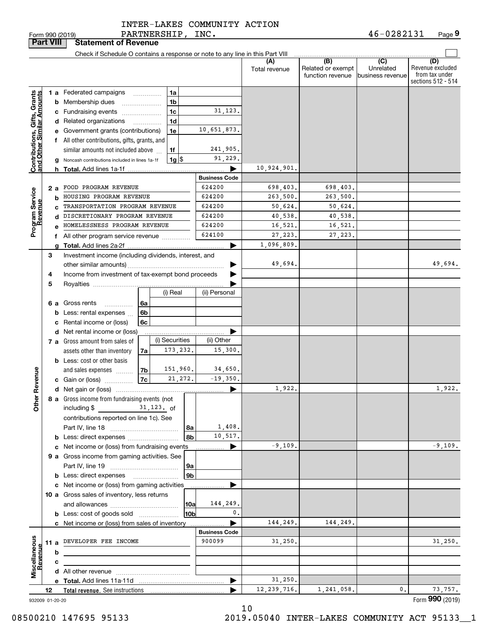PARTNERSHIP, INC. INTER-LAKES COMMUNITY ACTION

| <b>Part VIII</b>                                          |    |    | <b>Statement of Revenue</b>                                                   |                |                    |                      |                      |                                              |                                                 |                                                                 |
|-----------------------------------------------------------|----|----|-------------------------------------------------------------------------------|----------------|--------------------|----------------------|----------------------|----------------------------------------------|-------------------------------------------------|-----------------------------------------------------------------|
|                                                           |    |    | Check if Schedule O contains a response or note to any line in this Part VIII |                |                    |                      |                      |                                              |                                                 |                                                                 |
|                                                           |    |    |                                                                               |                |                    |                      | (A)<br>Total revenue | (B)<br>Related or exempt<br>function revenue | $\overline{C}$<br>Unrelated<br>business revenue | (D)<br>Revenue excluded<br>from tax under<br>sections 512 - 514 |
|                                                           |    |    | 1 a Federated campaigns                                                       | .              | 1a                 |                      |                      |                                              |                                                 |                                                                 |
| Contributions, Gifts, Grants<br>and Other Similar Amounts |    |    | <b>b</b> Membership dues                                                      |                | 1b                 |                      |                      |                                              |                                                 |                                                                 |
|                                                           |    |    | c Fundraising events                                                          |                | 1c                 | 31, 123.             |                      |                                              |                                                 |                                                                 |
|                                                           |    |    | d Related organizations                                                       |                | 1 <sub>d</sub>     |                      |                      |                                              |                                                 |                                                                 |
|                                                           |    |    | e Government grants (contributions)                                           |                | 1e                 | 10,651,873.          |                      |                                              |                                                 |                                                                 |
|                                                           |    |    | f All other contributions, gifts, grants, and                                 |                |                    |                      |                      |                                              |                                                 |                                                                 |
|                                                           |    |    | similar amounts not included above                                            |                | 1f                 | 241,905.             |                      |                                              |                                                 |                                                                 |
|                                                           |    |    | g Noncash contributions included in lines 1a-1f                               |                | $1g$ $\frac{1}{3}$ | 91,229.              |                      |                                              |                                                 |                                                                 |
|                                                           |    |    |                                                                               |                |                    |                      | 10,924,901.          |                                              |                                                 |                                                                 |
|                                                           |    |    |                                                                               |                |                    | <b>Business Code</b> |                      |                                              |                                                 |                                                                 |
|                                                           |    | 2а | FOOD PROGRAM REVENUE                                                          |                |                    | 624200               | 698,403.             | 698,403.                                     |                                                 |                                                                 |
| Program Service<br>Revenue                                |    | b  | HOUSING PROGRAM REVENUE                                                       |                |                    | 624200               | 263,500.             | 263,500.                                     |                                                 |                                                                 |
|                                                           |    | C  | TRANSPORTATION PROGRAM REVENUE                                                |                |                    | 624200               | 50,624.              | 50,624.                                      |                                                 |                                                                 |
|                                                           |    | d  | DISCRETIONARY PROGRAM REVENUE                                                 |                |                    | 624200               | 40,538.              | 40,538.                                      |                                                 |                                                                 |
|                                                           |    |    | HOMELESSNESS PROGRAM REVENUE                                                  |                |                    | 624200               | 16,521.              | 16,521.                                      |                                                 |                                                                 |
|                                                           |    |    | f All other program service revenue                                           |                |                    | 624100               | 27,223.              | 27,223.                                      |                                                 |                                                                 |
|                                                           |    | a  |                                                                               |                |                    | ▶                    | 1,096,809.           |                                              |                                                 |                                                                 |
|                                                           | 3  |    | Investment income (including dividends, interest, and                         |                |                    |                      |                      |                                              |                                                 |                                                                 |
|                                                           |    |    |                                                                               |                |                    |                      | 49,694.              |                                              |                                                 | 49,694.                                                         |
|                                                           | 4  |    | Income from investment of tax-exempt bond proceeds                            |                |                    |                      |                      |                                              |                                                 |                                                                 |
|                                                           | 5  |    |                                                                               |                |                    |                      |                      |                                              |                                                 |                                                                 |
|                                                           |    |    |                                                                               |                | (i) Real           | (ii) Personal        |                      |                                              |                                                 |                                                                 |
|                                                           |    |    | 6 a Gross rents<br>.                                                          | 6а             |                    |                      |                      |                                              |                                                 |                                                                 |
|                                                           |    |    | <b>b</b> Less: rental expenses                                                | 6b             |                    |                      |                      |                                              |                                                 |                                                                 |
|                                                           |    |    | c Rental income or (loss)                                                     | 6c             |                    |                      |                      |                                              |                                                 |                                                                 |
|                                                           |    |    | <b>d</b> Net rental income or (loss)                                          |                |                    |                      |                      |                                              |                                                 |                                                                 |
|                                                           |    |    | 7 a Gross amount from sales of                                                |                | (i) Securities     | (ii) Other           |                      |                                              |                                                 |                                                                 |
|                                                           |    |    | assets other than inventory                                                   | 7a             | 173, 232.          | 15,300.              |                      |                                              |                                                 |                                                                 |
|                                                           |    |    | <b>b</b> Less: cost or other basis                                            |                |                    |                      |                      |                                              |                                                 |                                                                 |
|                                                           |    |    | and sales expenses                                                            | 7b             | 151,960.           | 34,650.              |                      |                                              |                                                 |                                                                 |
|                                                           |    |    | c Gain or (loss)                                                              | 7c             | 21, 272.           | $-19,350.$           |                      |                                              |                                                 |                                                                 |
| Revenue                                                   |    |    |                                                                               |                |                    | ▶                    | 1,922.               |                                              |                                                 | 1,922.                                                          |
|                                                           |    |    | 8 a Gross income from fundraising events (not                                 |                |                    |                      |                      |                                              |                                                 |                                                                 |
| <b>Othe</b>                                               |    |    | including $$$                                                                 | $31, 123$ . of |                    |                      |                      |                                              |                                                 |                                                                 |
|                                                           |    |    | contributions reported on line 1c). See                                       |                |                    |                      |                      |                                              |                                                 |                                                                 |
|                                                           |    |    |                                                                               |                | 8a                 | 1,408.               |                      |                                              |                                                 |                                                                 |
|                                                           |    |    |                                                                               |                | 8b                 | 10,517.              |                      |                                              |                                                 |                                                                 |
|                                                           |    |    | c Net income or (loss) from fundraising events                                |                |                    | ▶                    | $-9,109.$            |                                              |                                                 | $-9,109.$                                                       |
|                                                           |    |    | 9 a Gross income from gaming activities. See                                  |                |                    |                      |                      |                                              |                                                 |                                                                 |
|                                                           |    |    |                                                                               |                | ∣9a                |                      |                      |                                              |                                                 |                                                                 |
|                                                           |    |    | <b>b</b> Less: direct expenses <b>manually</b>                                |                | 9 <sub>b</sub>     |                      |                      |                                              |                                                 |                                                                 |
|                                                           |    |    | c Net income or (loss) from gaming activities                                 |                |                    |                      |                      |                                              |                                                 |                                                                 |
|                                                           |    |    | 10 a Gross sales of inventory, less returns                                   |                |                    |                      |                      |                                              |                                                 |                                                                 |
|                                                           |    |    |                                                                               |                | 10a                | 144,249.             |                      |                                              |                                                 |                                                                 |
|                                                           |    |    | <b>b</b> Less: cost of goods sold                                             |                | 10b                | 0.                   |                      |                                              |                                                 |                                                                 |
|                                                           |    |    | c Net income or (loss) from sales of inventory                                |                |                    |                      | 144,249.             | 144,249.                                     |                                                 |                                                                 |
|                                                           |    |    |                                                                               |                |                    | <b>Business Code</b> |                      |                                              |                                                 |                                                                 |
|                                                           |    |    | 11 a DEVELOPER FEE INCOME                                                     |                |                    | 900099               | 31,250.              |                                              |                                                 | 31,250.                                                         |
| Miscellaneous<br>Revenue                                  |    | b  |                                                                               |                |                    |                      |                      |                                              |                                                 |                                                                 |
|                                                           |    | c  |                                                                               |                |                    |                      |                      |                                              |                                                 |                                                                 |
|                                                           |    |    |                                                                               |                |                    |                      |                      |                                              |                                                 |                                                                 |
|                                                           |    |    |                                                                               |                |                    | ▶                    | 31,250.              |                                              |                                                 |                                                                 |
|                                                           | 12 |    |                                                                               |                |                    |                      | 12, 239, 716.        | 1,241,058.                                   | 0.                                              | 73,757.                                                         |
| 932009 01-20-20                                           |    |    |                                                                               |                |                    |                      |                      |                                              |                                                 | Form 990 (2019)                                                 |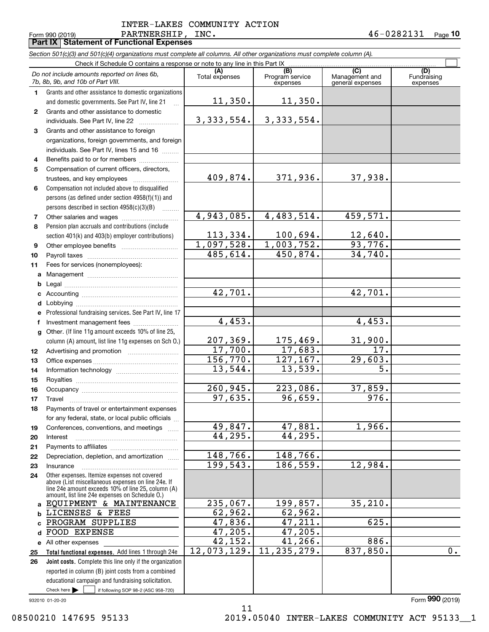### Form 990 (2019) Page **Part IX Statement of Functional Expenses** PARTNERSHIP, INC. 46-0282131 INTER-LAKES COMMUNITY ACTION

|              | Section 501(c)(3) and 501(c)(4) organizations must complete all columns. All other organizations must complete column (A). |                       |                                    |                                    |                         |
|--------------|----------------------------------------------------------------------------------------------------------------------------|-----------------------|------------------------------------|------------------------------------|-------------------------|
|              | Check if Schedule O contains a response or note to any line in this Part IX                                                | (A)                   |                                    | (C)                                | (D)                     |
|              | Do not include amounts reported on lines 6b,<br>7b, 8b, 9b, and 10b of Part VIII.                                          | Total expenses        | (B)<br>Program service<br>expenses | Management and<br>general expenses | Fundraising<br>expenses |
| 1            | Grants and other assistance to domestic organizations                                                                      |                       |                                    |                                    |                         |
|              | and domestic governments. See Part IV, line 21<br>$\mathbf{r}$                                                             | 11,350.               | 11,350.                            |                                    |                         |
| $\mathbf{2}$ | Grants and other assistance to domestic                                                                                    |                       |                                    |                                    |                         |
|              | individuals. See Part IV, line 22                                                                                          | 3,333,554.            | 3, 333, 554.                       |                                    |                         |
| 3            | Grants and other assistance to foreign                                                                                     |                       |                                    |                                    |                         |
|              | organizations, foreign governments, and foreign                                                                            |                       |                                    |                                    |                         |
|              | individuals. See Part IV, lines 15 and 16                                                                                  |                       |                                    |                                    |                         |
| 4            | Benefits paid to or for members                                                                                            |                       |                                    |                                    |                         |
| 5            | Compensation of current officers, directors,                                                                               | 409,874.              |                                    |                                    |                         |
|              |                                                                                                                            |                       | 371,936.                           | 37,938.                            |                         |
| 6            | Compensation not included above to disqualified                                                                            |                       |                                    |                                    |                         |
|              | persons (as defined under section 4958(f)(1)) and                                                                          |                       |                                    |                                    |                         |
|              | persons described in section $4958(c)(3)(B)$<br>.                                                                          | 4,943,085.            | 4,483,514.                         | 459,571.                           |                         |
| 7<br>8       | Pension plan accruals and contributions (include                                                                           |                       |                                    |                                    |                         |
|              | section 401(k) and 403(b) employer contributions)                                                                          | 113,334.              | 100,694.                           | 12,640.                            |                         |
| 9            |                                                                                                                            | 1,097,528.            | 1,003,752.                         | 93,776.                            |                         |
| 10           |                                                                                                                            | 485,614.              | 450,874.                           | 34,740.                            |                         |
| 11           | Fees for services (nonemployees):                                                                                          |                       |                                    |                                    |                         |
| a            |                                                                                                                            |                       |                                    |                                    |                         |
| b            |                                                                                                                            |                       |                                    |                                    |                         |
| c            |                                                                                                                            | $\overline{42,701}$ . |                                    | $\overline{42,701}$ .              |                         |
| d            |                                                                                                                            |                       |                                    |                                    |                         |
| е            | Professional fundraising services. See Part IV, line 17                                                                    |                       |                                    |                                    |                         |
| f            | Investment management fees                                                                                                 | 4,453.                |                                    | 4,453.                             |                         |
| g            | Other. (If line 11g amount exceeds 10% of line 25,                                                                         |                       |                                    |                                    |                         |
|              | column (A) amount, list line 11g expenses on Sch O.)                                                                       | 207, 369.             | 175,469.                           | 31,900.                            |                         |
| 12           |                                                                                                                            | 17,700.               | 17,683.                            | 17.                                |                         |
| 13           |                                                                                                                            | 156,770.              | 127,167.                           | 29,603.                            |                         |
| 14           |                                                                                                                            | 13,544.               | 13,539.                            | $\overline{5}$ .                   |                         |
| 15           |                                                                                                                            |                       |                                    |                                    |                         |
| 16           |                                                                                                                            | 260,945.              | 223,086.                           | 37,859.                            |                         |
| 17           |                                                                                                                            | 97,635.               | 96,659.                            | 976.                               |                         |
| 18           | Payments of travel or entertainment expenses                                                                               |                       |                                    |                                    |                         |
|              | for any federal, state, or local public officials                                                                          |                       |                                    |                                    |                         |
| 19           | Conferences, conventions, and meetings                                                                                     | 49,847.               | 47,881.                            | 1,966.                             |                         |
| 20           | Interest                                                                                                                   | 44,295.               | 44,295.                            |                                    |                         |
| 21           |                                                                                                                            | 148,766.              | 148,766.                           |                                    |                         |
| 22           | Depreciation, depletion, and amortization                                                                                  | 199,543.              | 186,559.                           | 12,984.                            |                         |
| 23           | Insurance                                                                                                                  |                       |                                    |                                    |                         |
| 24           | Other expenses. Itemize expenses not covered<br>above (List miscellaneous expenses on line 24e. If                         |                       |                                    |                                    |                         |
|              | line 24e amount exceeds 10% of line 25, column (A)<br>amount, list line 24e expenses on Schedule O.)                       |                       |                                    |                                    |                         |
| a            | EQUIPMENT & MAINTENANCE                                                                                                    | 235,067.              | 199,857.                           | 35, 210.                           |                         |
| b            | LICENSES & FEES                                                                                                            | 62,962.               | 62,962.                            |                                    |                         |
| C            | PROGRAM SUPPLIES                                                                                                           | 47,836.               | 47,211.                            | 625.                               |                         |
| d            | FOOD EXPENSE                                                                                                               | 47,205.               | 47,205.                            |                                    |                         |
|              | e All other expenses                                                                                                       | 42, 152.              | 41,266.                            | 886.                               |                         |
| 25           | Total functional expenses. Add lines 1 through 24e                                                                         | 12,073,129.           | 11, 235, 279.                      | 837,850.                           | 0.                      |
| 26           | Joint costs. Complete this line only if the organization                                                                   |                       |                                    |                                    |                         |
|              | reported in column (B) joint costs from a combined                                                                         |                       |                                    |                                    |                         |
|              | educational campaign and fundraising solicitation.                                                                         |                       |                                    |                                    |                         |
|              | Check here $\blacktriangleright$<br>if following SOP 98-2 (ASC 958-720)                                                    |                       |                                    |                                    |                         |

11

932010 01-20-20

Form (2019) **990**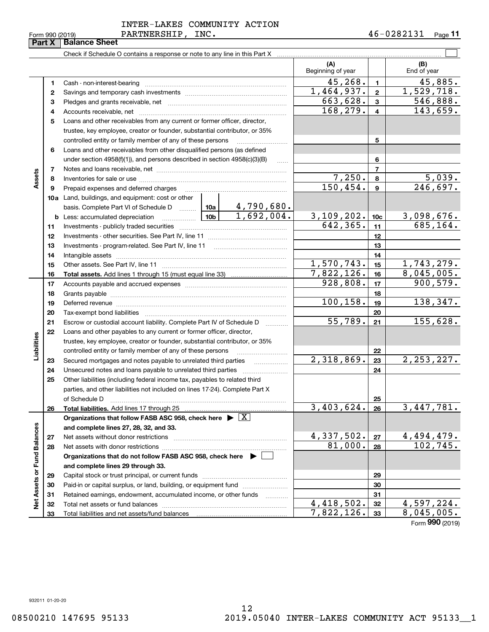$\frac{1}{2}$ 

INTER-LAKES COMMUNITY ACTION

PARTNERSHIP, INC.

### $\mathcal{L}^{\text{max}}$ **(A) (B)** Beginning of year | | End of year  $45,268$ .  $1$   $45,885$ . **11**Cash - non-interest-bearing ~~~~~~~~~~~~~~~~~~~~~~~~~  $1,464,937.$   $2 \mid 1,529,718.$ **22**Savings and temporary cash investments ~~~~~~~~~~~~~~~~~~663,628. 546,888. **33**Pledges and grants receivable, net ~~~~~~~~~~~~~~~~~~~~~  $168, 279.$  4 143,659. Accounts receivable, net ~~~~~~~~~~~~~~~~~~~~~~~~~~ **44**Loans and other receivables from any current or former officer, director, **5**trustee, key employee, creator or founder, substantial contributor, or 35% controlled entity or family member of any of these persons ............................ **5**Loans and other receivables from other disqualified persons (as defined **6**under section 4958(f)(1)), and persons described in section 4958(c)(3)(B) **677**Notes and loans receivable, net ~~~~~~~~~~~~~~~~~~~~~~~**Assets**  $7,250.$  8 5,039. **88**Inventories for sale or use ~~~~~~~~~~~~~~~~~~~~~~~~~~ 150,454. 246,697. **99**Prepaid expenses and deferred charges ~~~~~~~~~~~~~~~~~~ **10a**Land, buildings, and equipment: cost or other 4,790,680. basis. Complete Part VI of Schedule D will aller  $1,692,004.$  3, 109, 202. 10c 3, 098, 676. **10cb** Less: accumulated depreciation  $\ldots$  **10b**  $642,365.$  11 685,164. **1111**Investments - publicly traded securities ~~~~~~~~~~~~~~~~~~~ **1212**Investments - other securities. See Part IV, line 11 ~~~~~~~~~~~~~~ **1313**Investments - program-related. See Part IV, line 11 ~~~~~~~~~~~~~**1414**Intangible assets ~~~~~~~~~~~~~~~~~~~~~~~~~~~~~~  $1,570,743.$  15 1,743,279. Other assets. See Part IV, line 11 ~~~~~~~~~~~~~~~~~~~~~~ **1515** $7,822,126.$  16 8,045,005. **1616Total assets.**  Add lines 1 through 15 (must equal line 33)  $928,808.$  17 900,579. **1717**Accounts payable and accrued expenses ~~~~~~~~~~~~~~~~~~ **1818**Grants payable ~~~~~~~~~~~~~~~~~~~~~~~~~~~~~~~ 100,158. 19 138,347. **1919**Deferred revenue ~~~~~~~~~~~~~~~~~~~~~~~~~~~~~~ **2020**Tax-exempt bond liabilities …………………………………………………………… 55,789. 155,628. Escrow or custodial account liability. Complete Part IV of Schedule D **212122**Loans and other payables to any current or former officer, director, iabilities **Liabilities** trustee, key employee, creator or founder, substantial contributor, or 35% controlled entity or family member of any of these persons ~~~~~~~~~**22** $2,318,869$ .  $|23|$   $2,253,227$ . **23**Secured mortgages and notes payable to unrelated third parties **23**Unsecured notes and loans payable to unrelated third parties ~~~~~~~~ **242425**Other liabilities (including federal income tax, payables to related third parties, and other liabilities not included on lines 17-24). Complete Part X of Schedule D ~~~~~~~~~~~~~~~~~~~~~~~~~~~~~~~ **25**3,403,624. 26 3,447,781. **2626Total liabilities.**  Add lines 17 through 25 **Organizations that follow FASB ASC 958, check here** | X Assets or Fund Balances **Net Assets or Fund Balances and complete lines 27, 28, 32, and 33.**  $4,337,502. |z_7| 4,494,479.$ **2727**Net assets without donor restrictions <sub>…………………………………………………</sub>……  $81,000.$  28 102,745. **2828**Net assets with donor restrictions ~~~~~~~~~~~~~~~~~~~~~~**Organizations that do not follow FASB ASC 958, check here** | **and complete lines 29 through 33. 2929**Capital stock or trust principal, or current funds ~~~~~~~~~~~~~~~

Paid-in or capital surplus, or land, building, or equipment fund www.commun.com Retained earnings, endowment, accumulated income, or other funds Total net assets or fund balances ~~~~~~~~~~~~~~~~~~~~~~

Total liabilities and net assets/fund balances

Form (2019) **990**

 $4,418,502.$   $32$   $4,597,224.$  $7,822,126.$  33 8,045,005.

932011 01-20-20

**Part X** Balance Sheet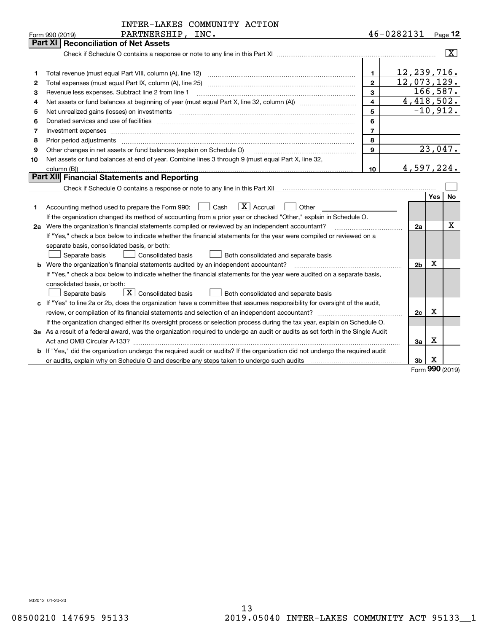|    | INTER-LAKES COMMUNITY ACTION                                                                                                                                                                                                                                                                                                                                                                                                                                                                                                                                                                   |                         |                    |             |                         |
|----|------------------------------------------------------------------------------------------------------------------------------------------------------------------------------------------------------------------------------------------------------------------------------------------------------------------------------------------------------------------------------------------------------------------------------------------------------------------------------------------------------------------------------------------------------------------------------------------------|-------------------------|--------------------|-------------|-------------------------|
|    | PARTNERSHIP, INC.<br>Form 990 (2019)<br><b>Part XI   Reconciliation of Net Assets</b>                                                                                                                                                                                                                                                                                                                                                                                                                                                                                                          |                         | 46-0282131 Page 12 |             |                         |
|    |                                                                                                                                                                                                                                                                                                                                                                                                                                                                                                                                                                                                |                         |                    |             | $\overline{\mathbf{x}}$ |
|    |                                                                                                                                                                                                                                                                                                                                                                                                                                                                                                                                                                                                |                         |                    |             |                         |
| 1  |                                                                                                                                                                                                                                                                                                                                                                                                                                                                                                                                                                                                | 1.                      | 12, 239, 716.      |             |                         |
| 2  |                                                                                                                                                                                                                                                                                                                                                                                                                                                                                                                                                                                                | $\overline{2}$          | 12,073,129.        |             |                         |
| 3  | Revenue less expenses. Subtract line 2 from line 1                                                                                                                                                                                                                                                                                                                                                                                                                                                                                                                                             | 3                       |                    |             | 166,587.                |
| 4  |                                                                                                                                                                                                                                                                                                                                                                                                                                                                                                                                                                                                | $\overline{\mathbf{4}}$ | 4,418,502.         |             |                         |
| 5  |                                                                                                                                                                                                                                                                                                                                                                                                                                                                                                                                                                                                | 5                       |                    |             | $\overline{-10}$ , 912. |
| 6  |                                                                                                                                                                                                                                                                                                                                                                                                                                                                                                                                                                                                | 6                       |                    |             |                         |
| 7  | Investment expenses www.communication.com/www.communication.com/www.communication.com/www.communication.com                                                                                                                                                                                                                                                                                                                                                                                                                                                                                    | $\overline{7}$          |                    |             |                         |
| 8  |                                                                                                                                                                                                                                                                                                                                                                                                                                                                                                                                                                                                | 8                       |                    |             |                         |
| 9  | Other changes in net assets or fund balances (explain on Schedule O)                                                                                                                                                                                                                                                                                                                                                                                                                                                                                                                           | 9                       |                    |             | 23,047.                 |
| 10 | Net assets or fund balances at end of year. Combine lines 3 through 9 (must equal Part X, line 32,                                                                                                                                                                                                                                                                                                                                                                                                                                                                                             |                         |                    |             |                         |
|    |                                                                                                                                                                                                                                                                                                                                                                                                                                                                                                                                                                                                | 10                      | 4,597,224.         |             |                         |
|    | Part XII Financial Statements and Reporting                                                                                                                                                                                                                                                                                                                                                                                                                                                                                                                                                    |                         |                    |             |                         |
|    |                                                                                                                                                                                                                                                                                                                                                                                                                                                                                                                                                                                                |                         |                    |             |                         |
|    |                                                                                                                                                                                                                                                                                                                                                                                                                                                                                                                                                                                                |                         |                    | <b>Yes</b>  | No                      |
| 1  | $X$ Accrual<br>Cash<br>Other<br>Accounting method used to prepare the Form 990:                                                                                                                                                                                                                                                                                                                                                                                                                                                                                                                |                         |                    |             |                         |
|    | If the organization changed its method of accounting from a prior year or checked "Other," explain in Schedule O.                                                                                                                                                                                                                                                                                                                                                                                                                                                                              |                         |                    |             |                         |
| 2a | Were the organization's financial statements compiled or reviewed by an independent accountant?<br>$\begin{minipage}{.4\linewidth} \begin{tabular}{l} \hline \multicolumn{3}{l}{} & \multicolumn{3}{l}{} & \multicolumn{3}{l}{} \\ \multicolumn{3}{l}{} & \multicolumn{3}{l}{} & \multicolumn{3}{l}{} \\ \multicolumn{3}{l}{} & \multicolumn{3}{l}{} & \multicolumn{3}{l}{} \\ \multicolumn{3}{l}{} & \multicolumn{3}{l}{} & \multicolumn{3}{l}{} \\ \multicolumn{3}{l}{} & \multicolumn{3}{l}{} & \multicolumn{3}{l}{} \\ \multicolumn{3}{l}{} & \multicolumn{3}{l}{} & \multicolumn{3}{l}{}$ |                         | 2a                 |             | $\mathbf X$             |
|    | If "Yes," check a box below to indicate whether the financial statements for the year were compiled or reviewed on a                                                                                                                                                                                                                                                                                                                                                                                                                                                                           |                         |                    |             |                         |
|    | separate basis, consolidated basis, or both:                                                                                                                                                                                                                                                                                                                                                                                                                                                                                                                                                   |                         |                    |             |                         |
|    | Separate basis<br><b>Consolidated basis</b><br>Both consolidated and separate basis                                                                                                                                                                                                                                                                                                                                                                                                                                                                                                            |                         |                    |             |                         |
|    | <b>b</b> Were the organization's financial statements audited by an independent accountant?                                                                                                                                                                                                                                                                                                                                                                                                                                                                                                    |                         | 2 <sub>b</sub>     | Χ           |                         |
|    | If "Yes," check a box below to indicate whether the financial statements for the year were audited on a separate basis,                                                                                                                                                                                                                                                                                                                                                                                                                                                                        |                         |                    |             |                         |
|    | consolidated basis, or both:                                                                                                                                                                                                                                                                                                                                                                                                                                                                                                                                                                   |                         |                    |             |                         |
|    | $\lfloor \mathbf{X} \rfloor$ Consolidated basis<br>Both consolidated and separate basis<br>Separate basis                                                                                                                                                                                                                                                                                                                                                                                                                                                                                      |                         |                    |             |                         |
|    | c If "Yes" to line 2a or 2b, does the organization have a committee that assumes responsibility for oversight of the audit,                                                                                                                                                                                                                                                                                                                                                                                                                                                                    |                         |                    |             |                         |
|    |                                                                                                                                                                                                                                                                                                                                                                                                                                                                                                                                                                                                |                         | 2c                 | $\mathbf X$ |                         |
|    | If the organization changed either its oversight process or selection process during the tax year, explain on Schedule O.                                                                                                                                                                                                                                                                                                                                                                                                                                                                      |                         |                    |             |                         |
|    | 3a As a result of a federal award, was the organization required to undergo an audit or audits as set forth in the Single Audit                                                                                                                                                                                                                                                                                                                                                                                                                                                                |                         |                    |             |                         |
|    |                                                                                                                                                                                                                                                                                                                                                                                                                                                                                                                                                                                                |                         | За                 | x           |                         |
|    | b If "Yes," did the organization undergo the required audit or audits? If the organization did not undergo the required audit                                                                                                                                                                                                                                                                                                                                                                                                                                                                  |                         |                    |             |                         |
|    |                                                                                                                                                                                                                                                                                                                                                                                                                                                                                                                                                                                                |                         | 3b                 | X           |                         |

Form (2019) **990**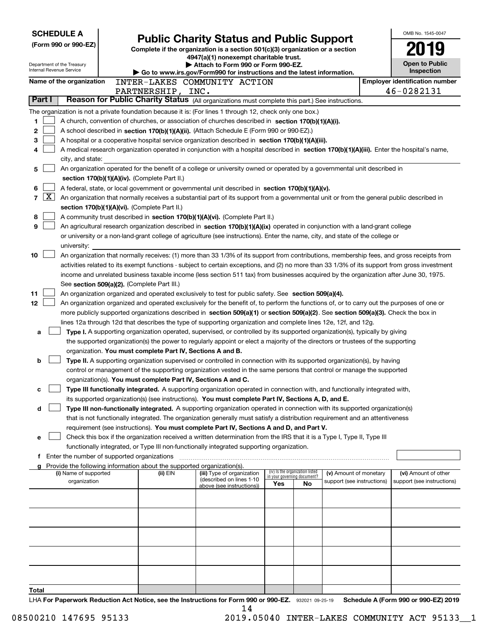|                |                 | <b>SCHEDULE A</b>                             |                                                                        |                                                                                                                                                                                                                 |                             |                                 |                            | OMB No. 1545-0047                                  |
|----------------|-----------------|-----------------------------------------------|------------------------------------------------------------------------|-----------------------------------------------------------------------------------------------------------------------------------------------------------------------------------------------------------------|-----------------------------|---------------------------------|----------------------------|----------------------------------------------------|
|                |                 | (Form 990 or 990-EZ)                          |                                                                        | <b>Public Charity Status and Public Support</b>                                                                                                                                                                 |                             |                                 |                            |                                                    |
|                |                 |                                               |                                                                        | Complete if the organization is a section 501(c)(3) organization or a section<br>4947(a)(1) nonexempt charitable trust.                                                                                         |                             |                                 |                            |                                                    |
|                |                 | Department of the Treasury                    |                                                                        | Attach to Form 990 or Form 990-EZ.                                                                                                                                                                              |                             |                                 |                            | <b>Open to Public</b>                              |
|                |                 | Internal Revenue Service                      |                                                                        | Go to www.irs.gov/Form990 for instructions and the latest information.                                                                                                                                          |                             |                                 |                            | Inspection                                         |
|                |                 | Name of the organization                      |                                                                        | INTER-LAKES COMMUNITY ACTION                                                                                                                                                                                    |                             |                                 |                            | <b>Employer identification number</b>              |
|                | Part I          |                                               | PARTNERSHIP, INC.                                                      | Reason for Public Charity Status (All organizations must complete this part.) See instructions.                                                                                                                 |                             |                                 |                            | 46-0282131                                         |
|                |                 |                                               |                                                                        |                                                                                                                                                                                                                 |                             |                                 |                            |                                                    |
| 1              |                 |                                               |                                                                        | The organization is not a private foundation because it is: (For lines 1 through 12, check only one box.)<br>A church, convention of churches, or association of churches described in section 170(b)(1)(A)(i). |                             |                                 |                            |                                                    |
| 2              |                 |                                               |                                                                        | A school described in section 170(b)(1)(A)(ii). (Attach Schedule E (Form 990 or 990-EZ).)                                                                                                                       |                             |                                 |                            |                                                    |
| 3              |                 |                                               |                                                                        | A hospital or a cooperative hospital service organization described in section 170(b)(1)(A)(iii).                                                                                                               |                             |                                 |                            |                                                    |
| 4              |                 |                                               |                                                                        | A medical research organization operated in conjunction with a hospital described in section 170(b)(1)(A)(iii). Enter the hospital's name,                                                                      |                             |                                 |                            |                                                    |
|                |                 | city, and state:                              |                                                                        |                                                                                                                                                                                                                 |                             |                                 |                            |                                                    |
| 5              |                 |                                               |                                                                        | An organization operated for the benefit of a college or university owned or operated by a governmental unit described in                                                                                       |                             |                                 |                            |                                                    |
|                |                 |                                               | section 170(b)(1)(A)(iv). (Complete Part II.)                          |                                                                                                                                                                                                                 |                             |                                 |                            |                                                    |
| 6              |                 |                                               |                                                                        | A federal, state, or local government or governmental unit described in section 170(b)(1)(A)(v).                                                                                                                |                             |                                 |                            |                                                    |
| $\overline{7}$ | $\vert X \vert$ |                                               |                                                                        | An organization that normally receives a substantial part of its support from a governmental unit or from the general public described in                                                                       |                             |                                 |                            |                                                    |
|                |                 |                                               | section 170(b)(1)(A)(vi). (Complete Part II.)                          |                                                                                                                                                                                                                 |                             |                                 |                            |                                                    |
| 8              |                 |                                               |                                                                        | A community trust described in section 170(b)(1)(A)(vi). (Complete Part II.)                                                                                                                                    |                             |                                 |                            |                                                    |
| 9              |                 |                                               |                                                                        | An agricultural research organization described in section 170(b)(1)(A)(ix) operated in conjunction with a land-grant college                                                                                   |                             |                                 |                            |                                                    |
|                |                 |                                               |                                                                        | or university or a non-land-grant college of agriculture (see instructions). Enter the name, city, and state of the college or                                                                                  |                             |                                 |                            |                                                    |
| 10             |                 | university:                                   |                                                                        | An organization that normally receives: (1) more than 33 1/3% of its support from contributions, membership fees, and gross receipts from                                                                       |                             |                                 |                            |                                                    |
|                |                 |                                               |                                                                        | activities related to its exempt functions - subject to certain exceptions, and (2) no more than 33 1/3% of its support from gross investment                                                                   |                             |                                 |                            |                                                    |
|                |                 |                                               |                                                                        | income and unrelated business taxable income (less section 511 tax) from businesses acquired by the organization after June 30, 1975.                                                                           |                             |                                 |                            |                                                    |
|                |                 |                                               | See section 509(a)(2). (Complete Part III.)                            |                                                                                                                                                                                                                 |                             |                                 |                            |                                                    |
| 11             |                 |                                               |                                                                        | An organization organized and operated exclusively to test for public safety. See section 509(a)(4).                                                                                                            |                             |                                 |                            |                                                    |
| 12             |                 |                                               |                                                                        | An organization organized and operated exclusively for the benefit of, to perform the functions of, or to carry out the purposes of one or                                                                      |                             |                                 |                            |                                                    |
|                |                 |                                               |                                                                        | more publicly supported organizations described in section 509(a)(1) or section 509(a)(2). See section 509(a)(3). Check the box in                                                                              |                             |                                 |                            |                                                    |
|                |                 |                                               |                                                                        | lines 12a through 12d that describes the type of supporting organization and complete lines 12e, 12f, and 12g.                                                                                                  |                             |                                 |                            |                                                    |
|                | a               |                                               |                                                                        | Type I. A supporting organization operated, supervised, or controlled by its supported organization(s), typically by giving                                                                                     |                             |                                 |                            |                                                    |
|                |                 |                                               |                                                                        | the supported organization(s) the power to regularly appoint or elect a majority of the directors or trustees of the supporting                                                                                 |                             |                                 |                            |                                                    |
|                |                 |                                               | organization. You must complete Part IV, Sections A and B.             |                                                                                                                                                                                                                 |                             |                                 |                            |                                                    |
|                | b               |                                               |                                                                        | Type II. A supporting organization supervised or controlled in connection with its supported organization(s), by having                                                                                         |                             |                                 |                            |                                                    |
|                |                 |                                               |                                                                        | control or management of the supporting organization vested in the same persons that control or manage the supported                                                                                            |                             |                                 |                            |                                                    |
|                |                 |                                               | organization(s). You must complete Part IV, Sections A and C.          | Type III functionally integrated. A supporting organization operated in connection with, and functionally integrated with,                                                                                      |                             |                                 |                            |                                                    |
|                | с               |                                               |                                                                        | its supported organization(s) (see instructions). You must complete Part IV, Sections A, D, and E.                                                                                                              |                             |                                 |                            |                                                    |
|                | d               |                                               |                                                                        | Type III non-functionally integrated. A supporting organization operated in connection with its supported organization(s)                                                                                       |                             |                                 |                            |                                                    |
|                |                 |                                               |                                                                        | that is not functionally integrated. The organization generally must satisfy a distribution requirement and an attentiveness                                                                                    |                             |                                 |                            |                                                    |
|                |                 |                                               |                                                                        | requirement (see instructions). You must complete Part IV, Sections A and D, and Part V.                                                                                                                        |                             |                                 |                            |                                                    |
| е              |                 |                                               |                                                                        | Check this box if the organization received a written determination from the IRS that it is a Type I, Type II, Type III                                                                                         |                             |                                 |                            |                                                    |
|                |                 |                                               |                                                                        | functionally integrated, or Type III non-functionally integrated supporting organization.                                                                                                                       |                             |                                 |                            |                                                    |
|                |                 | f Enter the number of supported organizations |                                                                        |                                                                                                                                                                                                                 |                             |                                 |                            |                                                    |
|                |                 |                                               | Provide the following information about the supported organization(s). |                                                                                                                                                                                                                 |                             | (iv) Is the organization listed | (v) Amount of monetary     |                                                    |
|                |                 | (i) Name of supported<br>organization         | (ii) EIN                                                               | (iii) Type of organization<br>(described on lines 1-10                                                                                                                                                          | in your governing document? |                                 | support (see instructions) | (vi) Amount of other<br>support (see instructions) |
|                |                 |                                               |                                                                        | above (see instructions))                                                                                                                                                                                       | Yes                         | No                              |                            |                                                    |
|                |                 |                                               |                                                                        |                                                                                                                                                                                                                 |                             |                                 |                            |                                                    |
|                |                 |                                               |                                                                        |                                                                                                                                                                                                                 |                             |                                 |                            |                                                    |
|                |                 |                                               |                                                                        |                                                                                                                                                                                                                 |                             |                                 |                            |                                                    |
|                |                 |                                               |                                                                        |                                                                                                                                                                                                                 |                             |                                 |                            |                                                    |
|                |                 |                                               |                                                                        |                                                                                                                                                                                                                 |                             |                                 |                            |                                                    |
|                |                 |                                               |                                                                        |                                                                                                                                                                                                                 |                             |                                 |                            |                                                    |
|                |                 |                                               |                                                                        |                                                                                                                                                                                                                 |                             |                                 |                            |                                                    |
|                |                 |                                               |                                                                        |                                                                                                                                                                                                                 |                             |                                 |                            |                                                    |
|                |                 |                                               |                                                                        |                                                                                                                                                                                                                 |                             |                                 |                            |                                                    |
| Total          |                 |                                               |                                                                        |                                                                                                                                                                                                                 |                             |                                 |                            | $0.00 - 0.000$ $F71.0040$                          |

LHA For Paperwork Reduction Act Notice, see the Instructions for Form 990 or 990-EZ. 932021 09-25-19 Schedule A (Form 990 or 990-EZ) 2019 14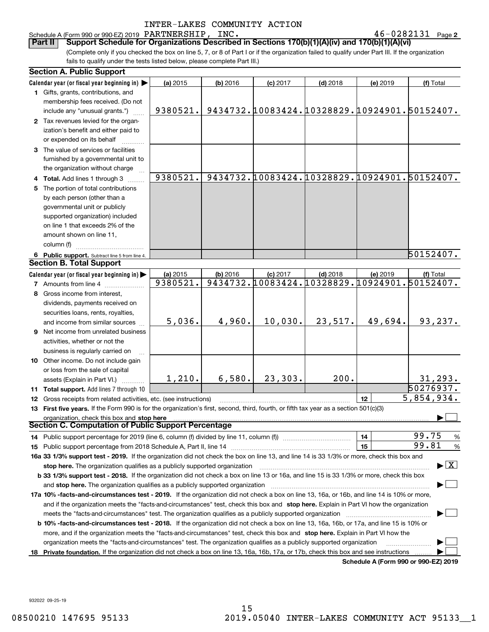Schedule A (Form 990 or 990-EZ) 2019 Page PARTNERSHIP, INC. 46-0282131

**Part II Support Schedule for Organizations Described in Sections 170(b)(1)(A)(iv) and 170(b)(1)(A)(vi)**

(Complete only if you checked the box on line 5, 7, or 8 of Part I or if the organization failed to qualify under Part III. If the organization fails to qualify under the tests listed below, please complete Part III.)

**2**

| Calendar year (or fiscal year beginning in)<br>(a) 2015<br>(b) 2016<br>$(c)$ 2017<br>$(d)$ 2018<br>(e) 2019<br>(f) Total<br>1 Gifts, grants, contributions, and<br>membership fees received. (Do not<br>9434732.10083424.10328829.10924901.50152407.<br>9380521.<br>include any "unusual grants.")<br>2 Tax revenues levied for the organ-<br>ization's benefit and either paid to<br>or expended on its behalf<br>3 The value of services or facilities<br>furnished by a governmental unit to<br>the organization without charge<br>9380521.<br>9434732.10083424.10328829.10924901.50152407.<br>4 Total. Add lines 1 through 3<br>5 The portion of total contributions<br>by each person (other than a<br>governmental unit or publicly<br>supported organization) included<br>on line 1 that exceeds 2% of the<br>amount shown on line 11,<br>column (f)<br>50152407.<br>6 Public support. Subtract line 5 from line 4.<br><b>Section B. Total Support</b><br>Calendar year (or fiscal year beginning in)<br>(a) 2015<br>$(d)$ 2018<br>(b) 2016<br>$(c)$ 2017<br>(e) 2019<br>(f) Total<br>9434732.10083424.10328829.10924901.50152407.<br>9380521.<br><b>7</b> Amounts from line 4<br>8 Gross income from interest,<br>dividends, payments received on<br>securities loans, rents, royalties,<br>5,036.<br>4,960.<br>10,030.<br>23,517.<br>49,694.<br>93,237.<br>and income from similar sources<br><b>9</b> Net income from unrelated business<br>activities, whether or not the<br>business is regularly carried on<br>10 Other income. Do not include gain<br>or loss from the sale of capital<br>6,580.<br>23, 303.<br>200.<br>1,210.<br>31, 293.<br>assets (Explain in Part VI.)<br>50276937.<br>11 Total support. Add lines 7 through 10<br>5,854,934.<br>12<br>12 Gross receipts from related activities, etc. (see instructions)<br>13 First five years. If the Form 990 is for the organization's first, second, third, fourth, or fifth tax year as a section 501(c)(3)<br>organization, check this box and stop here<br>Section C. Computation of Public Support Percentage<br>99.75<br>14<br>$\frac{9}{6}$<br>14 Public support percentage for 2019 (line 6, column (f) divided by line 11, column (f) <i>manumanomeron</i> entertain-<br>99.81<br>15<br>%<br>16a 33 1/3% support test - 2019. If the organization did not check the box on line 13, and line 14 is 33 1/3% or more, check this box and<br>$\blacktriangleright$ $\vert$ X $\vert$<br>stop here. The organization qualifies as a publicly supported organization<br>b 33 1/3% support test - 2018. If the organization did not check a box on line 13 or 16a, and line 15 is 33 1/3% or more, check this box<br>and stop here. The organization qualifies as a publicly supported organization<br>17a 10% -facts-and-circumstances test - 2019. If the organization did not check a box on line 13, 16a, or 16b, and line 14 is 10% or more,<br>and if the organization meets the "facts-and-circumstances" test, check this box and stop here. Explain in Part VI how the organization<br><b>b 10% -facts-and-circumstances test - 2018.</b> If the organization did not check a box on line 13, 16a, 16b, or 17a, and line 15 is 10% or<br>more, and if the organization meets the "facts-and-circumstances" test, check this box and stop here. Explain in Part VI how the<br>organization meets the "facts-and-circumstances" test. The organization qualifies as a publicly supported organization<br>18 Private foundation. If the organization did not check a box on line 13, 16a, 16b, 17a, or 17b, check this box and see instructions<br>Schedule A (Form 990 or 990-EZ) 2019 | <b>Section A. Public Support</b> |  |  |  |  |  |  |  |  |  |
|-------------------------------------------------------------------------------------------------------------------------------------------------------------------------------------------------------------------------------------------------------------------------------------------------------------------------------------------------------------------------------------------------------------------------------------------------------------------------------------------------------------------------------------------------------------------------------------------------------------------------------------------------------------------------------------------------------------------------------------------------------------------------------------------------------------------------------------------------------------------------------------------------------------------------------------------------------------------------------------------------------------------------------------------------------------------------------------------------------------------------------------------------------------------------------------------------------------------------------------------------------------------------------------------------------------------------------------------------------------------------------------------------------------------------------------------------------------------------------------------------------------------------------------------------------------------------------------------------------------------------------------------------------------------------------------------------------------------------------------------------------------------------------------------------------------------------------------------------------------------------------------------------------------------------------------------------------------------------------------------------------------------------------------------------------------------------------------------------------------------------------------------------------------------------------------------------------------------------------------------------------------------------------------------------------------------------------------------------------------------------------------------------------------------------------------------------------------------------------------------------------------------------------------------------------------------------------------------------------------------------------------------------------------------------------------------------------------------------------------------------------------------------------------------------------------------------------------------------------------------------------------------------------------------------------------------------------------------------------------------------------------------------------------------------------------------------------------------------------------------------------------------------------------------------------------------------------------------------------------------------------------------------------------------------------------------------------------------------------------------------------------------------------------------------------------------------------------------------------------------------------------------------------------------------------------------------------------------------------------------------------------------------------------------------|----------------------------------|--|--|--|--|--|--|--|--|--|
|                                                                                                                                                                                                                                                                                                                                                                                                                                                                                                                                                                                                                                                                                                                                                                                                                                                                                                                                                                                                                                                                                                                                                                                                                                                                                                                                                                                                                                                                                                                                                                                                                                                                                                                                                                                                                                                                                                                                                                                                                                                                                                                                                                                                                                                                                                                                                                                                                                                                                                                                                                                                                                                                                                                                                                                                                                                                                                                                                                                                                                                                                                                                                                                                                                                                                                                                                                                                                                                                                                                                                                                                                                                                         |                                  |  |  |  |  |  |  |  |  |  |
|                                                                                                                                                                                                                                                                                                                                                                                                                                                                                                                                                                                                                                                                                                                                                                                                                                                                                                                                                                                                                                                                                                                                                                                                                                                                                                                                                                                                                                                                                                                                                                                                                                                                                                                                                                                                                                                                                                                                                                                                                                                                                                                                                                                                                                                                                                                                                                                                                                                                                                                                                                                                                                                                                                                                                                                                                                                                                                                                                                                                                                                                                                                                                                                                                                                                                                                                                                                                                                                                                                                                                                                                                                                                         |                                  |  |  |  |  |  |  |  |  |  |
|                                                                                                                                                                                                                                                                                                                                                                                                                                                                                                                                                                                                                                                                                                                                                                                                                                                                                                                                                                                                                                                                                                                                                                                                                                                                                                                                                                                                                                                                                                                                                                                                                                                                                                                                                                                                                                                                                                                                                                                                                                                                                                                                                                                                                                                                                                                                                                                                                                                                                                                                                                                                                                                                                                                                                                                                                                                                                                                                                                                                                                                                                                                                                                                                                                                                                                                                                                                                                                                                                                                                                                                                                                                                         |                                  |  |  |  |  |  |  |  |  |  |
|                                                                                                                                                                                                                                                                                                                                                                                                                                                                                                                                                                                                                                                                                                                                                                                                                                                                                                                                                                                                                                                                                                                                                                                                                                                                                                                                                                                                                                                                                                                                                                                                                                                                                                                                                                                                                                                                                                                                                                                                                                                                                                                                                                                                                                                                                                                                                                                                                                                                                                                                                                                                                                                                                                                                                                                                                                                                                                                                                                                                                                                                                                                                                                                                                                                                                                                                                                                                                                                                                                                                                                                                                                                                         |                                  |  |  |  |  |  |  |  |  |  |
|                                                                                                                                                                                                                                                                                                                                                                                                                                                                                                                                                                                                                                                                                                                                                                                                                                                                                                                                                                                                                                                                                                                                                                                                                                                                                                                                                                                                                                                                                                                                                                                                                                                                                                                                                                                                                                                                                                                                                                                                                                                                                                                                                                                                                                                                                                                                                                                                                                                                                                                                                                                                                                                                                                                                                                                                                                                                                                                                                                                                                                                                                                                                                                                                                                                                                                                                                                                                                                                                                                                                                                                                                                                                         |                                  |  |  |  |  |  |  |  |  |  |
|                                                                                                                                                                                                                                                                                                                                                                                                                                                                                                                                                                                                                                                                                                                                                                                                                                                                                                                                                                                                                                                                                                                                                                                                                                                                                                                                                                                                                                                                                                                                                                                                                                                                                                                                                                                                                                                                                                                                                                                                                                                                                                                                                                                                                                                                                                                                                                                                                                                                                                                                                                                                                                                                                                                                                                                                                                                                                                                                                                                                                                                                                                                                                                                                                                                                                                                                                                                                                                                                                                                                                                                                                                                                         |                                  |  |  |  |  |  |  |  |  |  |
|                                                                                                                                                                                                                                                                                                                                                                                                                                                                                                                                                                                                                                                                                                                                                                                                                                                                                                                                                                                                                                                                                                                                                                                                                                                                                                                                                                                                                                                                                                                                                                                                                                                                                                                                                                                                                                                                                                                                                                                                                                                                                                                                                                                                                                                                                                                                                                                                                                                                                                                                                                                                                                                                                                                                                                                                                                                                                                                                                                                                                                                                                                                                                                                                                                                                                                                                                                                                                                                                                                                                                                                                                                                                         |                                  |  |  |  |  |  |  |  |  |  |
|                                                                                                                                                                                                                                                                                                                                                                                                                                                                                                                                                                                                                                                                                                                                                                                                                                                                                                                                                                                                                                                                                                                                                                                                                                                                                                                                                                                                                                                                                                                                                                                                                                                                                                                                                                                                                                                                                                                                                                                                                                                                                                                                                                                                                                                                                                                                                                                                                                                                                                                                                                                                                                                                                                                                                                                                                                                                                                                                                                                                                                                                                                                                                                                                                                                                                                                                                                                                                                                                                                                                                                                                                                                                         |                                  |  |  |  |  |  |  |  |  |  |
|                                                                                                                                                                                                                                                                                                                                                                                                                                                                                                                                                                                                                                                                                                                                                                                                                                                                                                                                                                                                                                                                                                                                                                                                                                                                                                                                                                                                                                                                                                                                                                                                                                                                                                                                                                                                                                                                                                                                                                                                                                                                                                                                                                                                                                                                                                                                                                                                                                                                                                                                                                                                                                                                                                                                                                                                                                                                                                                                                                                                                                                                                                                                                                                                                                                                                                                                                                                                                                                                                                                                                                                                                                                                         |                                  |  |  |  |  |  |  |  |  |  |
|                                                                                                                                                                                                                                                                                                                                                                                                                                                                                                                                                                                                                                                                                                                                                                                                                                                                                                                                                                                                                                                                                                                                                                                                                                                                                                                                                                                                                                                                                                                                                                                                                                                                                                                                                                                                                                                                                                                                                                                                                                                                                                                                                                                                                                                                                                                                                                                                                                                                                                                                                                                                                                                                                                                                                                                                                                                                                                                                                                                                                                                                                                                                                                                                                                                                                                                                                                                                                                                                                                                                                                                                                                                                         |                                  |  |  |  |  |  |  |  |  |  |
|                                                                                                                                                                                                                                                                                                                                                                                                                                                                                                                                                                                                                                                                                                                                                                                                                                                                                                                                                                                                                                                                                                                                                                                                                                                                                                                                                                                                                                                                                                                                                                                                                                                                                                                                                                                                                                                                                                                                                                                                                                                                                                                                                                                                                                                                                                                                                                                                                                                                                                                                                                                                                                                                                                                                                                                                                                                                                                                                                                                                                                                                                                                                                                                                                                                                                                                                                                                                                                                                                                                                                                                                                                                                         |                                  |  |  |  |  |  |  |  |  |  |
|                                                                                                                                                                                                                                                                                                                                                                                                                                                                                                                                                                                                                                                                                                                                                                                                                                                                                                                                                                                                                                                                                                                                                                                                                                                                                                                                                                                                                                                                                                                                                                                                                                                                                                                                                                                                                                                                                                                                                                                                                                                                                                                                                                                                                                                                                                                                                                                                                                                                                                                                                                                                                                                                                                                                                                                                                                                                                                                                                                                                                                                                                                                                                                                                                                                                                                                                                                                                                                                                                                                                                                                                                                                                         |                                  |  |  |  |  |  |  |  |  |  |
|                                                                                                                                                                                                                                                                                                                                                                                                                                                                                                                                                                                                                                                                                                                                                                                                                                                                                                                                                                                                                                                                                                                                                                                                                                                                                                                                                                                                                                                                                                                                                                                                                                                                                                                                                                                                                                                                                                                                                                                                                                                                                                                                                                                                                                                                                                                                                                                                                                                                                                                                                                                                                                                                                                                                                                                                                                                                                                                                                                                                                                                                                                                                                                                                                                                                                                                                                                                                                                                                                                                                                                                                                                                                         |                                  |  |  |  |  |  |  |  |  |  |
|                                                                                                                                                                                                                                                                                                                                                                                                                                                                                                                                                                                                                                                                                                                                                                                                                                                                                                                                                                                                                                                                                                                                                                                                                                                                                                                                                                                                                                                                                                                                                                                                                                                                                                                                                                                                                                                                                                                                                                                                                                                                                                                                                                                                                                                                                                                                                                                                                                                                                                                                                                                                                                                                                                                                                                                                                                                                                                                                                                                                                                                                                                                                                                                                                                                                                                                                                                                                                                                                                                                                                                                                                                                                         |                                  |  |  |  |  |  |  |  |  |  |
|                                                                                                                                                                                                                                                                                                                                                                                                                                                                                                                                                                                                                                                                                                                                                                                                                                                                                                                                                                                                                                                                                                                                                                                                                                                                                                                                                                                                                                                                                                                                                                                                                                                                                                                                                                                                                                                                                                                                                                                                                                                                                                                                                                                                                                                                                                                                                                                                                                                                                                                                                                                                                                                                                                                                                                                                                                                                                                                                                                                                                                                                                                                                                                                                                                                                                                                                                                                                                                                                                                                                                                                                                                                                         |                                  |  |  |  |  |  |  |  |  |  |
|                                                                                                                                                                                                                                                                                                                                                                                                                                                                                                                                                                                                                                                                                                                                                                                                                                                                                                                                                                                                                                                                                                                                                                                                                                                                                                                                                                                                                                                                                                                                                                                                                                                                                                                                                                                                                                                                                                                                                                                                                                                                                                                                                                                                                                                                                                                                                                                                                                                                                                                                                                                                                                                                                                                                                                                                                                                                                                                                                                                                                                                                                                                                                                                                                                                                                                                                                                                                                                                                                                                                                                                                                                                                         |                                  |  |  |  |  |  |  |  |  |  |
|                                                                                                                                                                                                                                                                                                                                                                                                                                                                                                                                                                                                                                                                                                                                                                                                                                                                                                                                                                                                                                                                                                                                                                                                                                                                                                                                                                                                                                                                                                                                                                                                                                                                                                                                                                                                                                                                                                                                                                                                                                                                                                                                                                                                                                                                                                                                                                                                                                                                                                                                                                                                                                                                                                                                                                                                                                                                                                                                                                                                                                                                                                                                                                                                                                                                                                                                                                                                                                                                                                                                                                                                                                                                         |                                  |  |  |  |  |  |  |  |  |  |
|                                                                                                                                                                                                                                                                                                                                                                                                                                                                                                                                                                                                                                                                                                                                                                                                                                                                                                                                                                                                                                                                                                                                                                                                                                                                                                                                                                                                                                                                                                                                                                                                                                                                                                                                                                                                                                                                                                                                                                                                                                                                                                                                                                                                                                                                                                                                                                                                                                                                                                                                                                                                                                                                                                                                                                                                                                                                                                                                                                                                                                                                                                                                                                                                                                                                                                                                                                                                                                                                                                                                                                                                                                                                         |                                  |  |  |  |  |  |  |  |  |  |
|                                                                                                                                                                                                                                                                                                                                                                                                                                                                                                                                                                                                                                                                                                                                                                                                                                                                                                                                                                                                                                                                                                                                                                                                                                                                                                                                                                                                                                                                                                                                                                                                                                                                                                                                                                                                                                                                                                                                                                                                                                                                                                                                                                                                                                                                                                                                                                                                                                                                                                                                                                                                                                                                                                                                                                                                                                                                                                                                                                                                                                                                                                                                                                                                                                                                                                                                                                                                                                                                                                                                                                                                                                                                         |                                  |  |  |  |  |  |  |  |  |  |
|                                                                                                                                                                                                                                                                                                                                                                                                                                                                                                                                                                                                                                                                                                                                                                                                                                                                                                                                                                                                                                                                                                                                                                                                                                                                                                                                                                                                                                                                                                                                                                                                                                                                                                                                                                                                                                                                                                                                                                                                                                                                                                                                                                                                                                                                                                                                                                                                                                                                                                                                                                                                                                                                                                                                                                                                                                                                                                                                                                                                                                                                                                                                                                                                                                                                                                                                                                                                                                                                                                                                                                                                                                                                         |                                  |  |  |  |  |  |  |  |  |  |
|                                                                                                                                                                                                                                                                                                                                                                                                                                                                                                                                                                                                                                                                                                                                                                                                                                                                                                                                                                                                                                                                                                                                                                                                                                                                                                                                                                                                                                                                                                                                                                                                                                                                                                                                                                                                                                                                                                                                                                                                                                                                                                                                                                                                                                                                                                                                                                                                                                                                                                                                                                                                                                                                                                                                                                                                                                                                                                                                                                                                                                                                                                                                                                                                                                                                                                                                                                                                                                                                                                                                                                                                                                                                         |                                  |  |  |  |  |  |  |  |  |  |
|                                                                                                                                                                                                                                                                                                                                                                                                                                                                                                                                                                                                                                                                                                                                                                                                                                                                                                                                                                                                                                                                                                                                                                                                                                                                                                                                                                                                                                                                                                                                                                                                                                                                                                                                                                                                                                                                                                                                                                                                                                                                                                                                                                                                                                                                                                                                                                                                                                                                                                                                                                                                                                                                                                                                                                                                                                                                                                                                                                                                                                                                                                                                                                                                                                                                                                                                                                                                                                                                                                                                                                                                                                                                         |                                  |  |  |  |  |  |  |  |  |  |
|                                                                                                                                                                                                                                                                                                                                                                                                                                                                                                                                                                                                                                                                                                                                                                                                                                                                                                                                                                                                                                                                                                                                                                                                                                                                                                                                                                                                                                                                                                                                                                                                                                                                                                                                                                                                                                                                                                                                                                                                                                                                                                                                                                                                                                                                                                                                                                                                                                                                                                                                                                                                                                                                                                                                                                                                                                                                                                                                                                                                                                                                                                                                                                                                                                                                                                                                                                                                                                                                                                                                                                                                                                                                         |                                  |  |  |  |  |  |  |  |  |  |
|                                                                                                                                                                                                                                                                                                                                                                                                                                                                                                                                                                                                                                                                                                                                                                                                                                                                                                                                                                                                                                                                                                                                                                                                                                                                                                                                                                                                                                                                                                                                                                                                                                                                                                                                                                                                                                                                                                                                                                                                                                                                                                                                                                                                                                                                                                                                                                                                                                                                                                                                                                                                                                                                                                                                                                                                                                                                                                                                                                                                                                                                                                                                                                                                                                                                                                                                                                                                                                                                                                                                                                                                                                                                         |                                  |  |  |  |  |  |  |  |  |  |
|                                                                                                                                                                                                                                                                                                                                                                                                                                                                                                                                                                                                                                                                                                                                                                                                                                                                                                                                                                                                                                                                                                                                                                                                                                                                                                                                                                                                                                                                                                                                                                                                                                                                                                                                                                                                                                                                                                                                                                                                                                                                                                                                                                                                                                                                                                                                                                                                                                                                                                                                                                                                                                                                                                                                                                                                                                                                                                                                                                                                                                                                                                                                                                                                                                                                                                                                                                                                                                                                                                                                                                                                                                                                         |                                  |  |  |  |  |  |  |  |  |  |
|                                                                                                                                                                                                                                                                                                                                                                                                                                                                                                                                                                                                                                                                                                                                                                                                                                                                                                                                                                                                                                                                                                                                                                                                                                                                                                                                                                                                                                                                                                                                                                                                                                                                                                                                                                                                                                                                                                                                                                                                                                                                                                                                                                                                                                                                                                                                                                                                                                                                                                                                                                                                                                                                                                                                                                                                                                                                                                                                                                                                                                                                                                                                                                                                                                                                                                                                                                                                                                                                                                                                                                                                                                                                         |                                  |  |  |  |  |  |  |  |  |  |
|                                                                                                                                                                                                                                                                                                                                                                                                                                                                                                                                                                                                                                                                                                                                                                                                                                                                                                                                                                                                                                                                                                                                                                                                                                                                                                                                                                                                                                                                                                                                                                                                                                                                                                                                                                                                                                                                                                                                                                                                                                                                                                                                                                                                                                                                                                                                                                                                                                                                                                                                                                                                                                                                                                                                                                                                                                                                                                                                                                                                                                                                                                                                                                                                                                                                                                                                                                                                                                                                                                                                                                                                                                                                         |                                  |  |  |  |  |  |  |  |  |  |
|                                                                                                                                                                                                                                                                                                                                                                                                                                                                                                                                                                                                                                                                                                                                                                                                                                                                                                                                                                                                                                                                                                                                                                                                                                                                                                                                                                                                                                                                                                                                                                                                                                                                                                                                                                                                                                                                                                                                                                                                                                                                                                                                                                                                                                                                                                                                                                                                                                                                                                                                                                                                                                                                                                                                                                                                                                                                                                                                                                                                                                                                                                                                                                                                                                                                                                                                                                                                                                                                                                                                                                                                                                                                         |                                  |  |  |  |  |  |  |  |  |  |
|                                                                                                                                                                                                                                                                                                                                                                                                                                                                                                                                                                                                                                                                                                                                                                                                                                                                                                                                                                                                                                                                                                                                                                                                                                                                                                                                                                                                                                                                                                                                                                                                                                                                                                                                                                                                                                                                                                                                                                                                                                                                                                                                                                                                                                                                                                                                                                                                                                                                                                                                                                                                                                                                                                                                                                                                                                                                                                                                                                                                                                                                                                                                                                                                                                                                                                                                                                                                                                                                                                                                                                                                                                                                         |                                  |  |  |  |  |  |  |  |  |  |
|                                                                                                                                                                                                                                                                                                                                                                                                                                                                                                                                                                                                                                                                                                                                                                                                                                                                                                                                                                                                                                                                                                                                                                                                                                                                                                                                                                                                                                                                                                                                                                                                                                                                                                                                                                                                                                                                                                                                                                                                                                                                                                                                                                                                                                                                                                                                                                                                                                                                                                                                                                                                                                                                                                                                                                                                                                                                                                                                                                                                                                                                                                                                                                                                                                                                                                                                                                                                                                                                                                                                                                                                                                                                         |                                  |  |  |  |  |  |  |  |  |  |
|                                                                                                                                                                                                                                                                                                                                                                                                                                                                                                                                                                                                                                                                                                                                                                                                                                                                                                                                                                                                                                                                                                                                                                                                                                                                                                                                                                                                                                                                                                                                                                                                                                                                                                                                                                                                                                                                                                                                                                                                                                                                                                                                                                                                                                                                                                                                                                                                                                                                                                                                                                                                                                                                                                                                                                                                                                                                                                                                                                                                                                                                                                                                                                                                                                                                                                                                                                                                                                                                                                                                                                                                                                                                         |                                  |  |  |  |  |  |  |  |  |  |
|                                                                                                                                                                                                                                                                                                                                                                                                                                                                                                                                                                                                                                                                                                                                                                                                                                                                                                                                                                                                                                                                                                                                                                                                                                                                                                                                                                                                                                                                                                                                                                                                                                                                                                                                                                                                                                                                                                                                                                                                                                                                                                                                                                                                                                                                                                                                                                                                                                                                                                                                                                                                                                                                                                                                                                                                                                                                                                                                                                                                                                                                                                                                                                                                                                                                                                                                                                                                                                                                                                                                                                                                                                                                         |                                  |  |  |  |  |  |  |  |  |  |
|                                                                                                                                                                                                                                                                                                                                                                                                                                                                                                                                                                                                                                                                                                                                                                                                                                                                                                                                                                                                                                                                                                                                                                                                                                                                                                                                                                                                                                                                                                                                                                                                                                                                                                                                                                                                                                                                                                                                                                                                                                                                                                                                                                                                                                                                                                                                                                                                                                                                                                                                                                                                                                                                                                                                                                                                                                                                                                                                                                                                                                                                                                                                                                                                                                                                                                                                                                                                                                                                                                                                                                                                                                                                         |                                  |  |  |  |  |  |  |  |  |  |
|                                                                                                                                                                                                                                                                                                                                                                                                                                                                                                                                                                                                                                                                                                                                                                                                                                                                                                                                                                                                                                                                                                                                                                                                                                                                                                                                                                                                                                                                                                                                                                                                                                                                                                                                                                                                                                                                                                                                                                                                                                                                                                                                                                                                                                                                                                                                                                                                                                                                                                                                                                                                                                                                                                                                                                                                                                                                                                                                                                                                                                                                                                                                                                                                                                                                                                                                                                                                                                                                                                                                                                                                                                                                         |                                  |  |  |  |  |  |  |  |  |  |
|                                                                                                                                                                                                                                                                                                                                                                                                                                                                                                                                                                                                                                                                                                                                                                                                                                                                                                                                                                                                                                                                                                                                                                                                                                                                                                                                                                                                                                                                                                                                                                                                                                                                                                                                                                                                                                                                                                                                                                                                                                                                                                                                                                                                                                                                                                                                                                                                                                                                                                                                                                                                                                                                                                                                                                                                                                                                                                                                                                                                                                                                                                                                                                                                                                                                                                                                                                                                                                                                                                                                                                                                                                                                         |                                  |  |  |  |  |  |  |  |  |  |
|                                                                                                                                                                                                                                                                                                                                                                                                                                                                                                                                                                                                                                                                                                                                                                                                                                                                                                                                                                                                                                                                                                                                                                                                                                                                                                                                                                                                                                                                                                                                                                                                                                                                                                                                                                                                                                                                                                                                                                                                                                                                                                                                                                                                                                                                                                                                                                                                                                                                                                                                                                                                                                                                                                                                                                                                                                                                                                                                                                                                                                                                                                                                                                                                                                                                                                                                                                                                                                                                                                                                                                                                                                                                         |                                  |  |  |  |  |  |  |  |  |  |
|                                                                                                                                                                                                                                                                                                                                                                                                                                                                                                                                                                                                                                                                                                                                                                                                                                                                                                                                                                                                                                                                                                                                                                                                                                                                                                                                                                                                                                                                                                                                                                                                                                                                                                                                                                                                                                                                                                                                                                                                                                                                                                                                                                                                                                                                                                                                                                                                                                                                                                                                                                                                                                                                                                                                                                                                                                                                                                                                                                                                                                                                                                                                                                                                                                                                                                                                                                                                                                                                                                                                                                                                                                                                         |                                  |  |  |  |  |  |  |  |  |  |
|                                                                                                                                                                                                                                                                                                                                                                                                                                                                                                                                                                                                                                                                                                                                                                                                                                                                                                                                                                                                                                                                                                                                                                                                                                                                                                                                                                                                                                                                                                                                                                                                                                                                                                                                                                                                                                                                                                                                                                                                                                                                                                                                                                                                                                                                                                                                                                                                                                                                                                                                                                                                                                                                                                                                                                                                                                                                                                                                                                                                                                                                                                                                                                                                                                                                                                                                                                                                                                                                                                                                                                                                                                                                         |                                  |  |  |  |  |  |  |  |  |  |
|                                                                                                                                                                                                                                                                                                                                                                                                                                                                                                                                                                                                                                                                                                                                                                                                                                                                                                                                                                                                                                                                                                                                                                                                                                                                                                                                                                                                                                                                                                                                                                                                                                                                                                                                                                                                                                                                                                                                                                                                                                                                                                                                                                                                                                                                                                                                                                                                                                                                                                                                                                                                                                                                                                                                                                                                                                                                                                                                                                                                                                                                                                                                                                                                                                                                                                                                                                                                                                                                                                                                                                                                                                                                         |                                  |  |  |  |  |  |  |  |  |  |
|                                                                                                                                                                                                                                                                                                                                                                                                                                                                                                                                                                                                                                                                                                                                                                                                                                                                                                                                                                                                                                                                                                                                                                                                                                                                                                                                                                                                                                                                                                                                                                                                                                                                                                                                                                                                                                                                                                                                                                                                                                                                                                                                                                                                                                                                                                                                                                                                                                                                                                                                                                                                                                                                                                                                                                                                                                                                                                                                                                                                                                                                                                                                                                                                                                                                                                                                                                                                                                                                                                                                                                                                                                                                         |                                  |  |  |  |  |  |  |  |  |  |
|                                                                                                                                                                                                                                                                                                                                                                                                                                                                                                                                                                                                                                                                                                                                                                                                                                                                                                                                                                                                                                                                                                                                                                                                                                                                                                                                                                                                                                                                                                                                                                                                                                                                                                                                                                                                                                                                                                                                                                                                                                                                                                                                                                                                                                                                                                                                                                                                                                                                                                                                                                                                                                                                                                                                                                                                                                                                                                                                                                                                                                                                                                                                                                                                                                                                                                                                                                                                                                                                                                                                                                                                                                                                         |                                  |  |  |  |  |  |  |  |  |  |
|                                                                                                                                                                                                                                                                                                                                                                                                                                                                                                                                                                                                                                                                                                                                                                                                                                                                                                                                                                                                                                                                                                                                                                                                                                                                                                                                                                                                                                                                                                                                                                                                                                                                                                                                                                                                                                                                                                                                                                                                                                                                                                                                                                                                                                                                                                                                                                                                                                                                                                                                                                                                                                                                                                                                                                                                                                                                                                                                                                                                                                                                                                                                                                                                                                                                                                                                                                                                                                                                                                                                                                                                                                                                         |                                  |  |  |  |  |  |  |  |  |  |
|                                                                                                                                                                                                                                                                                                                                                                                                                                                                                                                                                                                                                                                                                                                                                                                                                                                                                                                                                                                                                                                                                                                                                                                                                                                                                                                                                                                                                                                                                                                                                                                                                                                                                                                                                                                                                                                                                                                                                                                                                                                                                                                                                                                                                                                                                                                                                                                                                                                                                                                                                                                                                                                                                                                                                                                                                                                                                                                                                                                                                                                                                                                                                                                                                                                                                                                                                                                                                                                                                                                                                                                                                                                                         |                                  |  |  |  |  |  |  |  |  |  |
|                                                                                                                                                                                                                                                                                                                                                                                                                                                                                                                                                                                                                                                                                                                                                                                                                                                                                                                                                                                                                                                                                                                                                                                                                                                                                                                                                                                                                                                                                                                                                                                                                                                                                                                                                                                                                                                                                                                                                                                                                                                                                                                                                                                                                                                                                                                                                                                                                                                                                                                                                                                                                                                                                                                                                                                                                                                                                                                                                                                                                                                                                                                                                                                                                                                                                                                                                                                                                                                                                                                                                                                                                                                                         |                                  |  |  |  |  |  |  |  |  |  |
|                                                                                                                                                                                                                                                                                                                                                                                                                                                                                                                                                                                                                                                                                                                                                                                                                                                                                                                                                                                                                                                                                                                                                                                                                                                                                                                                                                                                                                                                                                                                                                                                                                                                                                                                                                                                                                                                                                                                                                                                                                                                                                                                                                                                                                                                                                                                                                                                                                                                                                                                                                                                                                                                                                                                                                                                                                                                                                                                                                                                                                                                                                                                                                                                                                                                                                                                                                                                                                                                                                                                                                                                                                                                         |                                  |  |  |  |  |  |  |  |  |  |
|                                                                                                                                                                                                                                                                                                                                                                                                                                                                                                                                                                                                                                                                                                                                                                                                                                                                                                                                                                                                                                                                                                                                                                                                                                                                                                                                                                                                                                                                                                                                                                                                                                                                                                                                                                                                                                                                                                                                                                                                                                                                                                                                                                                                                                                                                                                                                                                                                                                                                                                                                                                                                                                                                                                                                                                                                                                                                                                                                                                                                                                                                                                                                                                                                                                                                                                                                                                                                                                                                                                                                                                                                                                                         |                                  |  |  |  |  |  |  |  |  |  |
|                                                                                                                                                                                                                                                                                                                                                                                                                                                                                                                                                                                                                                                                                                                                                                                                                                                                                                                                                                                                                                                                                                                                                                                                                                                                                                                                                                                                                                                                                                                                                                                                                                                                                                                                                                                                                                                                                                                                                                                                                                                                                                                                                                                                                                                                                                                                                                                                                                                                                                                                                                                                                                                                                                                                                                                                                                                                                                                                                                                                                                                                                                                                                                                                                                                                                                                                                                                                                                                                                                                                                                                                                                                                         |                                  |  |  |  |  |  |  |  |  |  |
|                                                                                                                                                                                                                                                                                                                                                                                                                                                                                                                                                                                                                                                                                                                                                                                                                                                                                                                                                                                                                                                                                                                                                                                                                                                                                                                                                                                                                                                                                                                                                                                                                                                                                                                                                                                                                                                                                                                                                                                                                                                                                                                                                                                                                                                                                                                                                                                                                                                                                                                                                                                                                                                                                                                                                                                                                                                                                                                                                                                                                                                                                                                                                                                                                                                                                                                                                                                                                                                                                                                                                                                                                                                                         |                                  |  |  |  |  |  |  |  |  |  |
|                                                                                                                                                                                                                                                                                                                                                                                                                                                                                                                                                                                                                                                                                                                                                                                                                                                                                                                                                                                                                                                                                                                                                                                                                                                                                                                                                                                                                                                                                                                                                                                                                                                                                                                                                                                                                                                                                                                                                                                                                                                                                                                                                                                                                                                                                                                                                                                                                                                                                                                                                                                                                                                                                                                                                                                                                                                                                                                                                                                                                                                                                                                                                                                                                                                                                                                                                                                                                                                                                                                                                                                                                                                                         |                                  |  |  |  |  |  |  |  |  |  |

932022 09-25-19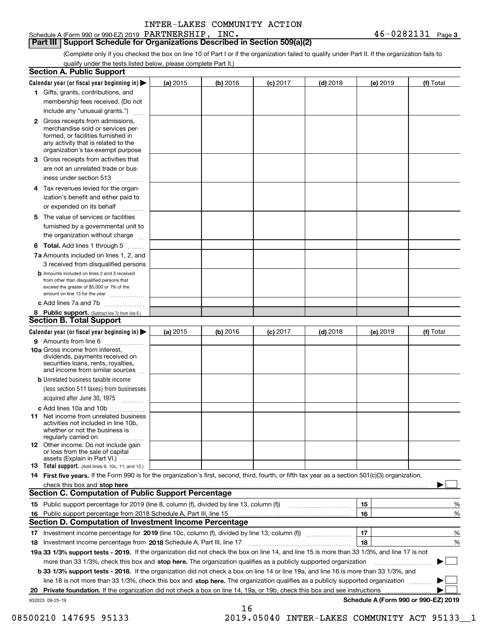Schedule A (Form 990 or 990-EZ) 2019 Page PARTNERSHIP, INC. 46-0282131

**Part III Support Schedule for Organizations Described in Section 509(a)(2)** 

(Complete only if you checked the box on line 10 of Part I or if the organization failed to qualify under Part II. If the organization fails to qualify under the tests listed below, please complete Part II.)

|    | <b>Section A. Public Support</b>                                                                                                                                                                                                                                                             |          |          |            |            |          |                                      |
|----|----------------------------------------------------------------------------------------------------------------------------------------------------------------------------------------------------------------------------------------------------------------------------------------------|----------|----------|------------|------------|----------|--------------------------------------|
|    | Calendar year (or fiscal year beginning in) $\blacktriangleright$                                                                                                                                                                                                                            | (a) 2015 | (b) 2016 | $(c)$ 2017 | $(d)$ 2018 | (e) 2019 | (f) Total                            |
|    | 1 Gifts, grants, contributions, and                                                                                                                                                                                                                                                          |          |          |            |            |          |                                      |
|    | membership fees received. (Do not                                                                                                                                                                                                                                                            |          |          |            |            |          |                                      |
|    | include any "unusual grants.")                                                                                                                                                                                                                                                               |          |          |            |            |          |                                      |
|    | 2 Gross receipts from admissions,<br>merchandise sold or services per-<br>formed, or facilities furnished in<br>any activity that is related to the<br>organization's tax-exempt purpose                                                                                                     |          |          |            |            |          |                                      |
|    | 3 Gross receipts from activities that<br>are not an unrelated trade or bus-                                                                                                                                                                                                                  |          |          |            |            |          |                                      |
|    | iness under section 513                                                                                                                                                                                                                                                                      |          |          |            |            |          |                                      |
|    | 4 Tax revenues levied for the organ-<br>ization's benefit and either paid to<br>or expended on its behalf                                                                                                                                                                                    |          |          |            |            |          |                                      |
|    | 5 The value of services or facilities<br>furnished by a governmental unit to                                                                                                                                                                                                                 |          |          |            |            |          |                                      |
|    | the organization without charge                                                                                                                                                                                                                                                              |          |          |            |            |          |                                      |
|    | <b>6 Total.</b> Add lines 1 through 5                                                                                                                                                                                                                                                        |          |          |            |            |          |                                      |
|    | 7a Amounts included on lines 1, 2, and<br>3 received from disqualified persons                                                                                                                                                                                                               |          |          |            |            |          |                                      |
|    | <b>b</b> Amounts included on lines 2 and 3 received<br>from other than disqualified persons that<br>exceed the greater of \$5,000 or 1% of the<br>amount on line 13 for the year                                                                                                             |          |          |            |            |          |                                      |
|    | c Add lines 7a and 7b                                                                                                                                                                                                                                                                        |          |          |            |            |          |                                      |
|    | 8 Public support. (Subtract line 7c from line 6.)<br><b>Section B. Total Support</b>                                                                                                                                                                                                         |          |          |            |            |          |                                      |
|    | Calendar year (or fiscal year beginning in)                                                                                                                                                                                                                                                  | (a) 2015 | (b) 2016 | $(c)$ 2017 | $(d)$ 2018 | (e) 2019 | (f) Total                            |
|    | 9 Amounts from line 6                                                                                                                                                                                                                                                                        |          |          |            |            |          |                                      |
|    | 10a Gross income from interest,<br>dividends, payments received on<br>securities loans, rents, royalties,<br>and income from similar sources                                                                                                                                                 |          |          |            |            |          |                                      |
|    | <b>b</b> Unrelated business taxable income<br>(less section 511 taxes) from businesses<br>acquired after June 30, 1975                                                                                                                                                                       |          |          |            |            |          |                                      |
|    | c Add lines 10a and 10b                                                                                                                                                                                                                                                                      |          |          |            |            |          |                                      |
|    | <b>11</b> Net income from unrelated business<br>activities not included in line 10b,<br>whether or not the business is<br>regularly carried on                                                                                                                                               |          |          |            |            |          |                                      |
|    | <b>12</b> Other income. Do not include gain<br>or loss from the sale of capital<br>assets (Explain in Part VI.)                                                                                                                                                                              |          |          |            |            |          |                                      |
|    | <b>13 Total support.</b> (Add lines 9, 10c, 11, and 12.)                                                                                                                                                                                                                                     |          |          |            |            |          |                                      |
|    | 14 First five years. If the Form 990 is for the organization's first, second, third, fourth, or fifth tax year as a section 501(c)(3) organization,                                                                                                                                          |          |          |            |            |          |                                      |
|    | check this box and stop here measurements and contact the contract of the contract of the contract of the contract of the contract of the contract of the contract of the contract of the contract of the contract of the cont<br><b>Section C. Computation of Public Support Percentage</b> |          |          |            |            |          |                                      |
|    |                                                                                                                                                                                                                                                                                              |          |          |            |            | 15       | %                                    |
|    | 16 Public support percentage from 2018 Schedule A, Part III, line 15                                                                                                                                                                                                                         |          |          |            |            | 16       | %                                    |
|    | <b>Section D. Computation of Investment Income Percentage</b>                                                                                                                                                                                                                                |          |          |            |            |          |                                      |
|    | 17 Investment income percentage for 2019 (line 10c, column (f), divided by line 13, column (f))                                                                                                                                                                                              |          |          |            |            | 17       | %                                    |
|    | 18 Investment income percentage from 2018 Schedule A, Part III, line 17                                                                                                                                                                                                                      |          |          |            |            | 18       | %                                    |
|    | 19a 33 1/3% support tests - 2019. If the organization did not check the box on line 14, and line 15 is more than 33 1/3%, and line 17 is not                                                                                                                                                 |          |          |            |            |          |                                      |
|    | more than 33 1/3%, check this box and stop here. The organization qualifies as a publicly supported organization                                                                                                                                                                             |          |          |            |            |          |                                      |
|    | <b>b 33 1/3% support tests - 2018.</b> If the organization did not check a box on line 14 or line 19a, and line 16 is more than 33 1/3%, and                                                                                                                                                 |          |          |            |            |          |                                      |
|    | line 18 is not more than 33 1/3%, check this box and stop here. The organization qualifies as a publicly supported organization                                                                                                                                                              |          |          |            |            |          |                                      |
| 20 | Private foundation. If the organization did not check a box on line 14, 19a, or 19b, check this box and see instructions                                                                                                                                                                     |          |          |            |            |          |                                      |
|    | 932023 09-25-19                                                                                                                                                                                                                                                                              |          |          |            |            |          | Schedule A (Form 990 or 990-EZ) 2019 |
|    |                                                                                                                                                                                                                                                                                              |          | 16       |            |            |          |                                      |

08500210 147695 95133 2019.05040 INTER-LAKES COMMUNITY ACT 95133\_1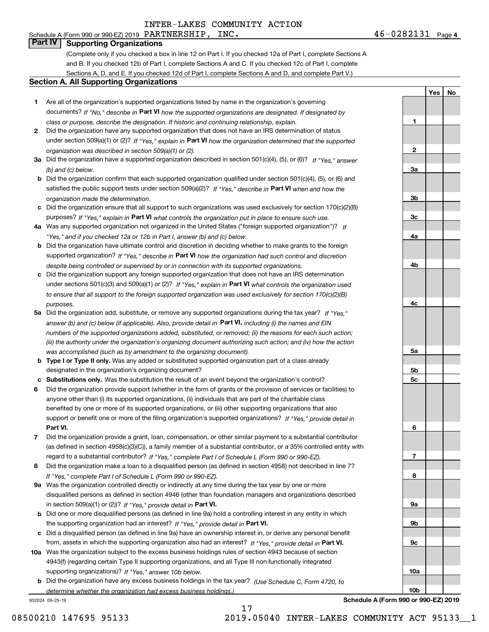### Schedule A (Form 990 or 990-EZ) 2019 Page PARTNERSHIP, INC. 46-0282131 **Part IV Supporting Organizations**

(Complete only if you checked a box in line 12 on Part I. If you checked 12a of Part I, complete Sections A and B. If you checked 12b of Part I, complete Sections A and C. If you checked 12c of Part I, complete Sections A, D, and E. If you checked 12d of Part I, complete Sections A and D, and complete Part V.)

### **Section A. All Supporting Organizations**

- **1** Are all of the organization's supported organizations listed by name in the organization's governing documents? If "No," describe in **Part VI** how the supported organizations are designated. If designated by *class or purpose, describe the designation. If historic and continuing relationship, explain.*
- **2** Did the organization have any supported organization that does not have an IRS determination of status under section 509(a)(1) or (2)? If "Yes," explain in Part VI how the organization determined that the supported *organization was described in section 509(a)(1) or (2).*
- **3a** Did the organization have a supported organization described in section 501(c)(4), (5), or (6)? If "Yes," answer *(b) and (c) below.*
- **b** Did the organization confirm that each supported organization qualified under section 501(c)(4), (5), or (6) and satisfied the public support tests under section 509(a)(2)? If "Yes," describe in **Part VI** when and how the *organization made the determination.*
- **c**Did the organization ensure that all support to such organizations was used exclusively for section 170(c)(2)(B) purposes? If "Yes," explain in **Part VI** what controls the organization put in place to ensure such use.
- **4a***If* Was any supported organization not organized in the United States ("foreign supported organization")? *"Yes," and if you checked 12a or 12b in Part I, answer (b) and (c) below.*
- **b** Did the organization have ultimate control and discretion in deciding whether to make grants to the foreign supported organization? If "Yes," describe in **Part VI** how the organization had such control and discretion *despite being controlled or supervised by or in connection with its supported organizations.*
- **c** Did the organization support any foreign supported organization that does not have an IRS determination under sections 501(c)(3) and 509(a)(1) or (2)? If "Yes," explain in **Part VI** what controls the organization used *to ensure that all support to the foreign supported organization was used exclusively for section 170(c)(2)(B) purposes.*
- **5a** Did the organization add, substitute, or remove any supported organizations during the tax year? If "Yes," answer (b) and (c) below (if applicable). Also, provide detail in **Part VI,** including (i) the names and EIN *numbers of the supported organizations added, substituted, or removed; (ii) the reasons for each such action; (iii) the authority under the organization's organizing document authorizing such action; and (iv) how the action was accomplished (such as by amendment to the organizing document).*
- **b** Type I or Type II only. Was any added or substituted supported organization part of a class already designated in the organization's organizing document?
- **cSubstitutions only.**  Was the substitution the result of an event beyond the organization's control?
- **6** Did the organization provide support (whether in the form of grants or the provision of services or facilities) to **Part VI.** *If "Yes," provide detail in* support or benefit one or more of the filing organization's supported organizations? anyone other than (i) its supported organizations, (ii) individuals that are part of the charitable class benefited by one or more of its supported organizations, or (iii) other supporting organizations that also
- **7**Did the organization provide a grant, loan, compensation, or other similar payment to a substantial contributor *If "Yes," complete Part I of Schedule L (Form 990 or 990-EZ).* regard to a substantial contributor? (as defined in section 4958(c)(3)(C)), a family member of a substantial contributor, or a 35% controlled entity with
- **8** Did the organization make a loan to a disqualified person (as defined in section 4958) not described in line 7? *If "Yes," complete Part I of Schedule L (Form 990 or 990-EZ).*
- **9a** Was the organization controlled directly or indirectly at any time during the tax year by one or more in section 509(a)(1) or (2))? If "Yes," *provide detail in* <code>Part VI.</code> disqualified persons as defined in section 4946 (other than foundation managers and organizations described
- **b** Did one or more disqualified persons (as defined in line 9a) hold a controlling interest in any entity in which the supporting organization had an interest? If "Yes," provide detail in P**art VI**.
- **c**Did a disqualified person (as defined in line 9a) have an ownership interest in, or derive any personal benefit from, assets in which the supporting organization also had an interest? If "Yes," provide detail in P**art VI.**
- **10a** Was the organization subject to the excess business holdings rules of section 4943 because of section supporting organizations)? If "Yes," answer 10b below. 4943(f) (regarding certain Type II supporting organizations, and all Type III non-functionally integrated
- **b** Did the organization have any excess business holdings in the tax year? (Use Schedule C, Form 4720, to *determine whether the organization had excess business holdings.)*

932024 09-25-19

**5a 5b5c6789a 9b9c10a10b**

**1**

**2**

**3a**

**3b**

**3c**

**4a**

**4b**

**4c**

**YesNo**

**Schedule A (Form 990 or 990-EZ) 2019**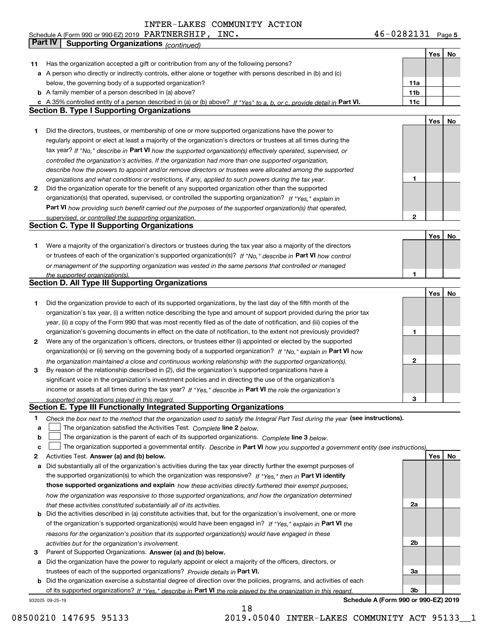**5** Schedule A (Form 990 or 990-EZ) 2019 Page PARTNERSHIP, INC. 46-0282131

|    | Part IV<br><b>Supporting Organizations (continued)</b>                                                                            |     |     |    |
|----|-----------------------------------------------------------------------------------------------------------------------------------|-----|-----|----|
|    |                                                                                                                                   |     | Yes | No |
| 11 | Has the organization accepted a gift or contribution from any of the following persons?                                           |     |     |    |
|    | a A person who directly or indirectly controls, either alone or together with persons described in (b) and (c)                    |     |     |    |
|    | below, the governing body of a supported organization?                                                                            | 11a |     |    |
|    | <b>b</b> A family member of a person described in (a) above?                                                                      | 11b |     |    |
|    | c A 35% controlled entity of a person described in (a) or (b) above? If "Yes" to a, b, or c, provide detail in Part VI.           | 11c |     |    |
|    | <b>Section B. Type I Supporting Organizations</b>                                                                                 |     |     |    |
|    |                                                                                                                                   |     | Yes | No |
| 1  | Did the directors, trustees, or membership of one or more supported organizations have the power to                               |     |     |    |
|    | regularly appoint or elect at least a majority of the organization's directors or trustees at all times during the                |     |     |    |
|    | tax year? If "No," describe in Part VI how the supported organization(s) effectively operated, supervised, or                     |     |     |    |
|    | controlled the organization's activities. If the organization had more than one supported organization,                           |     |     |    |
|    | describe how the powers to appoint and/or remove directors or trustees were allocated among the supported                         |     |     |    |
|    | organizations and what conditions or restrictions, if any, applied to such powers during the tax year.                            | 1   |     |    |
| 2  | Did the organization operate for the benefit of any supported organization other than the supported                               |     |     |    |
|    | organization(s) that operated, supervised, or controlled the supporting organization? If "Yes," explain in                        |     |     |    |
|    | Part VI how providing such benefit carried out the purposes of the supported organization(s) that operated,                       |     |     |    |
|    | supervised, or controlled the supporting organization.                                                                            | 2   |     |    |
|    | <b>Section C. Type II Supporting Organizations</b>                                                                                |     |     |    |
|    |                                                                                                                                   |     | Yes | No |
| 1  | Were a majority of the organization's directors or trustees during the tax year also a majority of the directors                  |     |     |    |
|    | or trustees of each of the organization's supported organization(s)? If "No," describe in Part VI how control                     |     |     |    |
|    | or management of the supporting organization was vested in the same persons that controlled or managed                            |     |     |    |
|    | the supported organization(s).                                                                                                    |     |     |    |
|    | <b>Section D. All Type III Supporting Organizations</b>                                                                           |     |     |    |
|    |                                                                                                                                   |     | Yes | No |
| 1  | Did the organization provide to each of its supported organizations, by the last day of the fifth month of the                    |     |     |    |
|    | organization's tax year, (i) a written notice describing the type and amount of support provided during the prior tax             |     |     |    |
|    | year, (ii) a copy of the Form 990 that was most recently filed as of the date of notification, and (iii) copies of the            |     |     |    |
|    | organization's governing documents in effect on the date of notification, to the extent not previously provided?                  | 1   |     |    |
| 2  | Were any of the organization's officers, directors, or trustees either (i) appointed or elected by the supported                  |     |     |    |
|    | organization(s) or (ii) serving on the governing body of a supported organization? If "No," explain in Part VI how                |     |     |    |
|    | the organization maintained a close and continuous working relationship with the supported organization(s).                       | 2   |     |    |
| з  | By reason of the relationship described in (2), did the organization's supported organizations have a                             |     |     |    |
|    | significant voice in the organization's investment policies and in directing the use of the organization's                        |     |     |    |
|    | income or assets at all times during the tax year? If "Yes," describe in Part VI the role the organization's                      |     |     |    |
|    | supported organizations played in this regard.                                                                                    | 3   |     |    |
|    | Section E. Type III Functionally Integrated Supporting Organizations                                                              |     |     |    |
| 1  | Check the box next to the method that the organization used to satisfy the Integral Part Test during the year (see instructions). |     |     |    |
| a  | The organization satisfied the Activities Test. Complete line 2 below.                                                            |     |     |    |
| b  | The organization is the parent of each of its supported organizations. Complete line 3 below.                                     |     |     |    |
| C  | The organization supported a governmental entity. Describe in Part VI how you supported a government entity (see instructions).   |     |     |    |
| 2  | Activities Test. Answer (a) and (b) below.                                                                                        |     | Yes | No |
| a  | Did substantially all of the organization's activities during the tax year directly further the exempt purposes of                |     |     |    |
|    | the supported organization(s) to which the organization was responsive? If "Yes," then in Part VI identify                        |     |     |    |
|    | those supported organizations and explain how these activities directly furthered their exempt purposes,                          |     |     |    |
|    | how the organization was responsive to those supported organizations, and how the organization determined                         |     |     |    |
|    | that these activities constituted substantially all of its activities.                                                            | 2a  |     |    |
|    | <b>b</b> Did the activities described in (a) constitute activities that, but for the organization's involvement, one or more      |     |     |    |
|    | of the organization's supported organization(s) would have been engaged in? If "Yes," explain in Part VI the                      |     |     |    |
|    | reasons for the organization's position that its supported organization(s) would have engaged in these                            |     |     |    |
|    | activities but for the organization's involvement.                                                                                | 2b  |     |    |
| з  | Parent of Supported Organizations. Answer (a) and (b) below.                                                                      |     |     |    |
| а  | Did the organization have the power to regularly appoint or elect a majority of the officers, directors, or                       |     |     |    |
|    | trustees of each of the supported organizations? Provide details in Part VI.                                                      | 3a  |     |    |
|    | <b>b</b> Did the organization exercise a substantial degree of direction over the policies, programs, and activities of each      |     |     |    |
|    | of its supported organizations? If "Yes," describe in Part VI the role played by the organization in this regard                  | Зb  |     |    |
|    | Schedule A (Form 990 or 990-EZ) 2019<br>932025 09-25-19                                                                           |     |     |    |

**Schedule A (Form 990 or 990-EZ) 2019**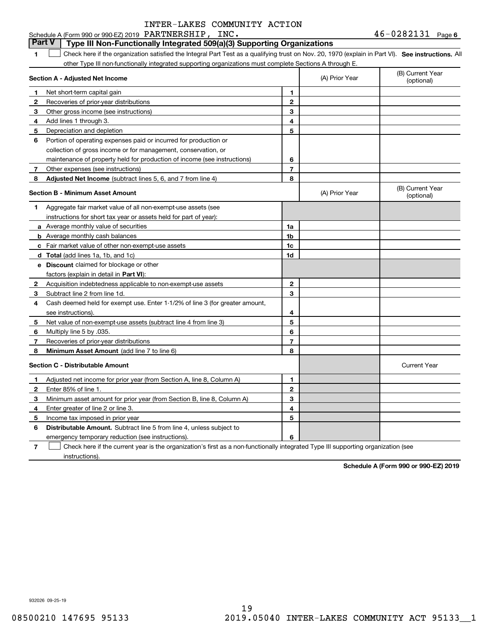|              | Schedule A (Form 990 or 990-EZ) 2019 $\,$ PARTNERSHIP , $\,$ INC $\,$                                                                             |                |                | 46-0484131<br>Page 6           |
|--------------|---------------------------------------------------------------------------------------------------------------------------------------------------|----------------|----------------|--------------------------------|
|              | <b>Part V</b><br>Type III Non-Functionally Integrated 509(a)(3) Supporting Organizations                                                          |                |                |                                |
| 1.           | Check here if the organization satisfied the Integral Part Test as a qualifying trust on Nov. 20, 1970 (explain in Part VI). See instructions. Al |                |                |                                |
|              | other Type III non-functionally integrated supporting organizations must complete Sections A through E.                                           |                |                |                                |
|              | Section A - Adjusted Net Income                                                                                                                   |                | (A) Prior Year | (B) Current Year<br>(optional) |
| 1            | Net short-term capital gain                                                                                                                       | 1              |                |                                |
| $\mathbf{2}$ | Recoveries of prior-year distributions                                                                                                            | $\overline{2}$ |                |                                |
| 3            | Other gross income (see instructions)                                                                                                             | 3              |                |                                |
| 4            | Add lines 1 through 3.                                                                                                                            | 4              |                |                                |
| 5            | Depreciation and depletion                                                                                                                        | 5              |                |                                |
| 6            | Portion of operating expenses paid or incurred for production or                                                                                  |                |                |                                |
|              | collection of gross income or for management, conservation, or                                                                                    |                |                |                                |
|              | maintenance of property held for production of income (see instructions)                                                                          | 6              |                |                                |
| $7^{\circ}$  | Other expenses (see instructions)                                                                                                                 | $\overline{7}$ |                |                                |
| 8            | Adjusted Net Income (subtract lines 5, 6, and 7 from line 4)                                                                                      | 8              |                |                                |
|              | <b>Section B - Minimum Asset Amount</b>                                                                                                           |                | (A) Prior Year | (B) Current Year<br>(optional) |
| 1.           | Aggregate fair market value of all non-exempt-use assets (see                                                                                     |                |                |                                |
|              | instructions for short tax year or assets held for part of year):                                                                                 |                |                |                                |
|              | a Average monthly value of securities                                                                                                             | 1a             |                |                                |
|              | <b>b</b> Average monthly cash balances                                                                                                            | 1 <sub>b</sub> |                |                                |
|              | c Fair market value of other non-exempt-use assets                                                                                                | 1c             |                |                                |
|              | d Total (add lines 1a, 1b, and 1c)                                                                                                                | 1d             |                |                                |
|              | e Discount claimed for blockage or other                                                                                                          |                |                |                                |
|              | factors (explain in detail in Part VI):                                                                                                           |                |                |                                |
| $\mathbf{2}$ | Acquisition indebtedness applicable to non-exempt-use assets                                                                                      | $\mathbf{2}$   |                |                                |
| 3            | Subtract line 2 from line 1d.                                                                                                                     | 3              |                |                                |
| 4            | Cash deemed held for exempt use. Enter 1-1/2% of line 3 (for greater amount,                                                                      |                |                |                                |
|              | see instructions).                                                                                                                                | 4              |                |                                |
| 5            | Net value of non-exempt-use assets (subtract line 4 from line 3)                                                                                  | 5              |                |                                |
| 6.           | Multiply line 5 by .035.                                                                                                                          | 6              |                |                                |
| 7            | Recoveries of prior-year distributions                                                                                                            | 7              |                |                                |
| 8            | Minimum Asset Amount (add line 7 to line 6)                                                                                                       | 8              |                |                                |
|              | <b>Section C - Distributable Amount</b>                                                                                                           |                |                | <b>Current Year</b>            |
| 1            | Adjusted net income for prior year (from Section A, line 8, Column A)                                                                             | 1              |                |                                |
| 2            | Enter 85% of line 1.                                                                                                                              | $\mathbf{2}$   |                |                                |
| 3            | Minimum asset amount for prior year (from Section B, line 8, Column A)                                                                            | 3              |                |                                |
| 4            | Enter greater of line 2 or line 3.                                                                                                                | 4              |                |                                |
| 5            | Income tax imposed in prior year                                                                                                                  | 5              |                |                                |
| 6            | <b>Distributable Amount.</b> Subtract line 5 from line 4, unless subject to                                                                       |                |                |                                |
|              | emergency temporary reduction (see instructions).                                                                                                 | 6              |                |                                |
|              |                                                                                                                                                   |                |                |                                |

**7** Check here if the current year is the organization's first as a non-functionally integrated Type III supporting organization (see instructions).

**Schedule A (Form 990 or 990-EZ) 2019**

932026 09-25-19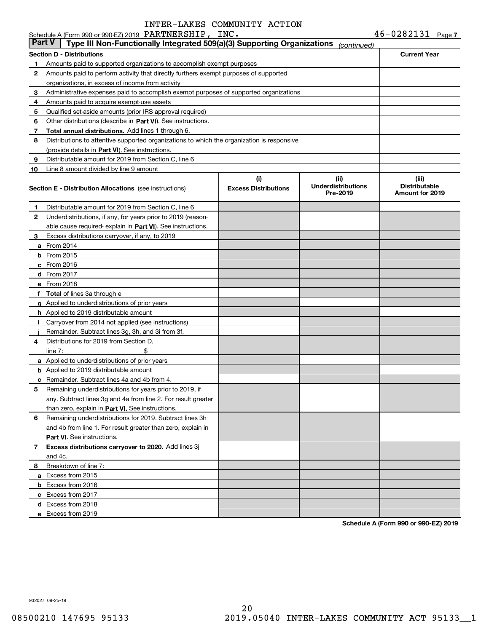|               | Schedule A (Form 990 or 990-EZ) 2019 PARTNERSHIP, INC.                                     |                                    |                                               | $46 - 0282131$ Page 7                            |  |
|---------------|--------------------------------------------------------------------------------------------|------------------------------------|-----------------------------------------------|--------------------------------------------------|--|
| <b>Part V</b> | Type III Non-Functionally Integrated 509(a)(3) Supporting Organizations                    |                                    | (continued)                                   |                                                  |  |
|               | <b>Section D - Distributions</b>                                                           |                                    |                                               | <b>Current Year</b>                              |  |
| 1             | Amounts paid to supported organizations to accomplish exempt purposes                      |                                    |                                               |                                                  |  |
| $\mathbf{2}$  | Amounts paid to perform activity that directly furthers exempt purposes of supported       |                                    |                                               |                                                  |  |
|               | organizations, in excess of income from activity                                           |                                    |                                               |                                                  |  |
| 3             | Administrative expenses paid to accomplish exempt purposes of supported organizations      |                                    |                                               |                                                  |  |
| 4             | Amounts paid to acquire exempt-use assets                                                  |                                    |                                               |                                                  |  |
| 5             | Qualified set-aside amounts (prior IRS approval required)                                  |                                    |                                               |                                                  |  |
| 6             | Other distributions (describe in Part VI). See instructions.                               |                                    |                                               |                                                  |  |
| 7             | Total annual distributions. Add lines 1 through 6.                                         |                                    |                                               |                                                  |  |
| 8             | Distributions to attentive supported organizations to which the organization is responsive |                                    |                                               |                                                  |  |
|               | (provide details in Part VI). See instructions.                                            |                                    |                                               |                                                  |  |
| 9             | Distributable amount for 2019 from Section C, line 6                                       |                                    |                                               |                                                  |  |
| 10            | Line 8 amount divided by line 9 amount                                                     |                                    |                                               |                                                  |  |
|               | <b>Section E - Distribution Allocations</b> (see instructions)                             | (i)<br><b>Excess Distributions</b> | (ii)<br><b>Underdistributions</b><br>Pre-2019 | (iii)<br><b>Distributable</b><br>Amount for 2019 |  |
| 1             | Distributable amount for 2019 from Section C, line 6                                       |                                    |                                               |                                                  |  |
| 2             | Underdistributions, if any, for years prior to 2019 (reason-                               |                                    |                                               |                                                  |  |
|               | able cause required-explain in Part VI). See instructions.                                 |                                    |                                               |                                                  |  |
| 3             | Excess distributions carryover, if any, to 2019                                            |                                    |                                               |                                                  |  |
|               | <b>a</b> From 2014                                                                         |                                    |                                               |                                                  |  |
|               | $b$ From 2015                                                                              |                                    |                                               |                                                  |  |
|               | c From 2016                                                                                |                                    |                                               |                                                  |  |
|               | d From 2017                                                                                |                                    |                                               |                                                  |  |
|               | e From 2018                                                                                |                                    |                                               |                                                  |  |
|               | f Total of lines 3a through e                                                              |                                    |                                               |                                                  |  |
|               | g Applied to underdistributions of prior years                                             |                                    |                                               |                                                  |  |
|               | <b>h</b> Applied to 2019 distributable amount                                              |                                    |                                               |                                                  |  |
|               | Carryover from 2014 not applied (see instructions)                                         |                                    |                                               |                                                  |  |
|               | Remainder. Subtract lines 3g, 3h, and 3i from 3f.                                          |                                    |                                               |                                                  |  |
| 4             | Distributions for 2019 from Section D.                                                     |                                    |                                               |                                                  |  |
|               | \$<br>line $7:$                                                                            |                                    |                                               |                                                  |  |
|               | a Applied to underdistributions of prior years                                             |                                    |                                               |                                                  |  |
|               | <b>b</b> Applied to 2019 distributable amount                                              |                                    |                                               |                                                  |  |
|               | <b>c</b> Remainder. Subtract lines 4a and 4b from 4.                                       |                                    |                                               |                                                  |  |
|               | Remaining underdistributions for years prior to 2019, if                                   |                                    |                                               |                                                  |  |
|               | any. Subtract lines 3g and 4a from line 2. For result greater                              |                                    |                                               |                                                  |  |
|               | than zero, explain in Part VI. See instructions.                                           |                                    |                                               |                                                  |  |
| 6             | Remaining underdistributions for 2019. Subtract lines 3h                                   |                                    |                                               |                                                  |  |
|               | and 4b from line 1. For result greater than zero, explain in                               |                                    |                                               |                                                  |  |
|               | <b>Part VI.</b> See instructions.                                                          |                                    |                                               |                                                  |  |
| 7             | Excess distributions carryover to 2020. Add lines 3j                                       |                                    |                                               |                                                  |  |
|               | and 4c.                                                                                    |                                    |                                               |                                                  |  |
| 8             | Breakdown of line 7:                                                                       |                                    |                                               |                                                  |  |
|               | a Excess from 2015                                                                         |                                    |                                               |                                                  |  |
|               | <b>b</b> Excess from 2016                                                                  |                                    |                                               |                                                  |  |
|               | c Excess from 2017                                                                         |                                    |                                               |                                                  |  |
|               | d Excess from 2018                                                                         |                                    |                                               |                                                  |  |
|               | e Excess from 2019                                                                         |                                    |                                               |                                                  |  |
|               |                                                                                            |                                    |                                               |                                                  |  |

**Schedule A (Form 990 or 990-EZ) 2019**

932027 09-25-19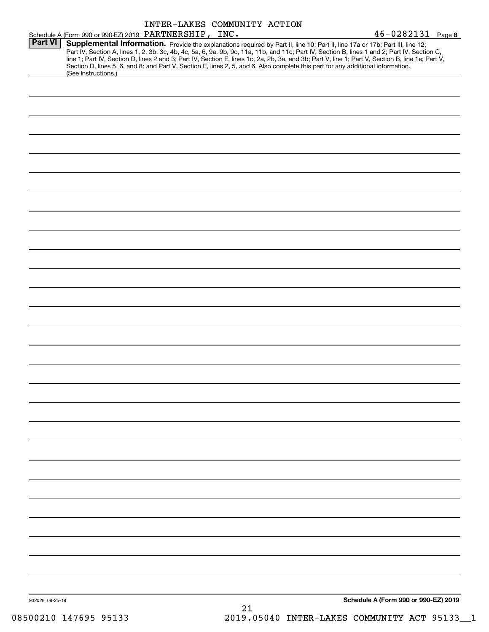|                 |                                                                                                                                                                                                                                                                                                                                                                                                                                                                                                                                                                                             | INTER-LAKES COMMUNITY ACTION |  |  |                                      |  |
|-----------------|---------------------------------------------------------------------------------------------------------------------------------------------------------------------------------------------------------------------------------------------------------------------------------------------------------------------------------------------------------------------------------------------------------------------------------------------------------------------------------------------------------------------------------------------------------------------------------------------|------------------------------|--|--|--------------------------------------|--|
|                 | Schedule A (Form 990 or 990-EZ) 2019 PARTNERSHIP, INC.                                                                                                                                                                                                                                                                                                                                                                                                                                                                                                                                      |                              |  |  | $46 - 0282131$ Page 8                |  |
| <b>Part VI</b>  | Supplemental Information. Provide the explanations required by Part II, line 10; Part II, line 17a or 17b; Part III, line 12;<br>Part IV, Section A, lines 1, 2, 3b, 3c, 4b, 4c, 5a, 6, 9a, 9b, 9c, 11a, 11b, and 11c; Part IV, Section B, lines 1 and 2; Part IV, Section C,<br>line 1; Part IV, Section D, lines 2 and 3; Part IV, Section E, lines 1c, 2a, 2b, 3a, and 3b; Part V, line 1; Part V, Section B, line 1e; Part V,<br>Section D, lines 5, 6, and 8; and Part V, Section E, lines 2, 5, and 6. Also complete this part for any additional information.<br>(See instructions.) |                              |  |  |                                      |  |
|                 |                                                                                                                                                                                                                                                                                                                                                                                                                                                                                                                                                                                             |                              |  |  |                                      |  |
|                 |                                                                                                                                                                                                                                                                                                                                                                                                                                                                                                                                                                                             |                              |  |  |                                      |  |
|                 |                                                                                                                                                                                                                                                                                                                                                                                                                                                                                                                                                                                             |                              |  |  |                                      |  |
|                 |                                                                                                                                                                                                                                                                                                                                                                                                                                                                                                                                                                                             |                              |  |  |                                      |  |
|                 |                                                                                                                                                                                                                                                                                                                                                                                                                                                                                                                                                                                             |                              |  |  |                                      |  |
|                 |                                                                                                                                                                                                                                                                                                                                                                                                                                                                                                                                                                                             |                              |  |  |                                      |  |
|                 |                                                                                                                                                                                                                                                                                                                                                                                                                                                                                                                                                                                             |                              |  |  |                                      |  |
|                 |                                                                                                                                                                                                                                                                                                                                                                                                                                                                                                                                                                                             |                              |  |  |                                      |  |
|                 |                                                                                                                                                                                                                                                                                                                                                                                                                                                                                                                                                                                             |                              |  |  |                                      |  |
|                 |                                                                                                                                                                                                                                                                                                                                                                                                                                                                                                                                                                                             |                              |  |  |                                      |  |
|                 |                                                                                                                                                                                                                                                                                                                                                                                                                                                                                                                                                                                             |                              |  |  |                                      |  |
|                 |                                                                                                                                                                                                                                                                                                                                                                                                                                                                                                                                                                                             |                              |  |  |                                      |  |
|                 |                                                                                                                                                                                                                                                                                                                                                                                                                                                                                                                                                                                             |                              |  |  |                                      |  |
|                 |                                                                                                                                                                                                                                                                                                                                                                                                                                                                                                                                                                                             |                              |  |  |                                      |  |
|                 |                                                                                                                                                                                                                                                                                                                                                                                                                                                                                                                                                                                             |                              |  |  |                                      |  |
|                 |                                                                                                                                                                                                                                                                                                                                                                                                                                                                                                                                                                                             |                              |  |  |                                      |  |
|                 |                                                                                                                                                                                                                                                                                                                                                                                                                                                                                                                                                                                             |                              |  |  |                                      |  |
|                 |                                                                                                                                                                                                                                                                                                                                                                                                                                                                                                                                                                                             |                              |  |  |                                      |  |
|                 |                                                                                                                                                                                                                                                                                                                                                                                                                                                                                                                                                                                             |                              |  |  |                                      |  |
|                 |                                                                                                                                                                                                                                                                                                                                                                                                                                                                                                                                                                                             |                              |  |  |                                      |  |
|                 |                                                                                                                                                                                                                                                                                                                                                                                                                                                                                                                                                                                             |                              |  |  |                                      |  |
|                 |                                                                                                                                                                                                                                                                                                                                                                                                                                                                                                                                                                                             |                              |  |  |                                      |  |
|                 |                                                                                                                                                                                                                                                                                                                                                                                                                                                                                                                                                                                             |                              |  |  |                                      |  |
|                 |                                                                                                                                                                                                                                                                                                                                                                                                                                                                                                                                                                                             |                              |  |  |                                      |  |
|                 |                                                                                                                                                                                                                                                                                                                                                                                                                                                                                                                                                                                             |                              |  |  |                                      |  |
|                 |                                                                                                                                                                                                                                                                                                                                                                                                                                                                                                                                                                                             |                              |  |  |                                      |  |
|                 |                                                                                                                                                                                                                                                                                                                                                                                                                                                                                                                                                                                             |                              |  |  |                                      |  |
|                 |                                                                                                                                                                                                                                                                                                                                                                                                                                                                                                                                                                                             |                              |  |  |                                      |  |
|                 |                                                                                                                                                                                                                                                                                                                                                                                                                                                                                                                                                                                             |                              |  |  |                                      |  |
|                 |                                                                                                                                                                                                                                                                                                                                                                                                                                                                                                                                                                                             |                              |  |  |                                      |  |
| 932028 09-25-19 |                                                                                                                                                                                                                                                                                                                                                                                                                                                                                                                                                                                             |                              |  |  | Schedule A (Form 990 or 990-EZ) 2019 |  |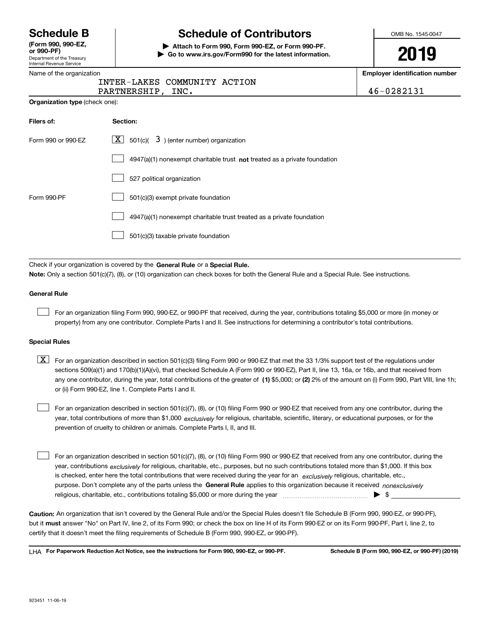Department of the Treasury **(Form 990, 990-EZ, or 990-PF)**

# **Schedule B Schedule of Contributors**

**| Attach to Form 990, Form 990-EZ, or Form 990-PF. | Go to www.irs.gov/Form990 for the latest information.** OMB No. 1545-0047

# **2019**

**Employer identification number**

| Department of the Treasury<br><b>Internal Revenue Service</b> | <b>See the way of the compart of the ratest information.</b>                                                                                                                                                              | LU IJ                                            |
|---------------------------------------------------------------|---------------------------------------------------------------------------------------------------------------------------------------------------------------------------------------------------------------------------|--------------------------------------------------|
| Name of the organization                                      | INTER-LAKES COMMUNITY ACTION<br>PARTNERSHIP,<br>INC.                                                                                                                                                                      | <b>Employer identification num</b><br>46-0282131 |
| <b>Organization type (check one):</b>                         |                                                                                                                                                                                                                           |                                                  |
| Filers of:                                                    | Section:                                                                                                                                                                                                                  |                                                  |
| Form 990 or 990-EZ                                            | 3) (enter number) organization<br>$X$ 501(c)(                                                                                                                                                                             |                                                  |
|                                                               | 4947(a)(1) nonexempt charitable trust not treated as a private foundation                                                                                                                                                 |                                                  |
|                                                               | 527 political organization                                                                                                                                                                                                |                                                  |
| Form 990-PF                                                   | 501(c)(3) exempt private foundation                                                                                                                                                                                       |                                                  |
|                                                               | 4947(a)(1) nonexempt charitable trust treated as a private foundation                                                                                                                                                     |                                                  |
|                                                               | 501(c)(3) taxable private foundation                                                                                                                                                                                      |                                                  |
|                                                               |                                                                                                                                                                                                                           |                                                  |
|                                                               | Check if your organization is covered by the General Rule or a Special Rule.<br>Note: Only a section 501(c)(7), (8), or (10) organization can check boxes for both the General Rule and a Special Rule. See instructions. |                                                  |

### **General Rule**

 $\mathcal{L}^{\text{max}}$ 

For an organization filing Form 990, 990-EZ, or 990-PF that received, during the year, contributions totaling \$5,000 or more (in money or property) from any one contributor. Complete Parts I and II. See instructions for determining a contributor's total contributions.

### **Special Rules**

any one contributor, during the year, total contributions of the greater of  $\,$  (1) \$5,000; or **(2)** 2% of the amount on (i) Form 990, Part VIII, line 1h;  $\boxed{\textbf{X}}$  For an organization described in section 501(c)(3) filing Form 990 or 990-EZ that met the 33 1/3% support test of the regulations under sections 509(a)(1) and 170(b)(1)(A)(vi), that checked Schedule A (Form 990 or 990-EZ), Part II, line 13, 16a, or 16b, and that received from or (ii) Form 990-EZ, line 1. Complete Parts I and II.

year, total contributions of more than \$1,000 *exclusively* for religious, charitable, scientific, literary, or educational purposes, or for the For an organization described in section 501(c)(7), (8), or (10) filing Form 990 or 990-EZ that received from any one contributor, during the prevention of cruelty to children or animals. Complete Parts I, II, and III.

purpose. Don't complete any of the parts unless the **General Rule** applies to this organization because it received *nonexclusively* year, contributions <sub>exclusively</sub> for religious, charitable, etc., purposes, but no such contributions totaled more than \$1,000. If this box is checked, enter here the total contributions that were received during the year for an  $\;$ exclusively religious, charitable, etc., For an organization described in section 501(c)(7), (8), or (10) filing Form 990 or 990-EZ that received from any one contributor, during the religious, charitable, etc., contributions totaling \$5,000 or more during the year  $\Box$ — $\Box$  =  $\Box$  $\mathcal{L}^{\text{max}}$ 

**Caution:**  An organization that isn't covered by the General Rule and/or the Special Rules doesn't file Schedule B (Form 990, 990-EZ, or 990-PF),  **must** but it answer "No" on Part IV, line 2, of its Form 990; or check the box on line H of its Form 990-EZ or on its Form 990-PF, Part I, line 2, to certify that it doesn't meet the filing requirements of Schedule B (Form 990, 990-EZ, or 990-PF).

**For Paperwork Reduction Act Notice, see the instructions for Form 990, 990-EZ, or 990-PF. Schedule B (Form 990, 990-EZ, or 990-PF) (2019)** LHA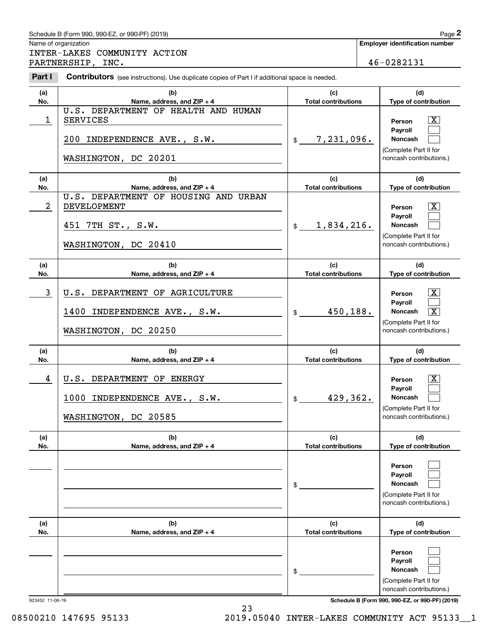### Schedule B (Form 990, 990-EZ, or 990-PF) (2019) **Page 2** Page 2

Name of organization

Chedule B (Form 990, 990-EZ, or 990-PF) (2019)<br>
lame of organization<br> **2RTINER - LAKES COMMUNITY ACTION**<br>
PARTINERSHIP, INC.<br> **2RTINERSHIP, INC.**<br>
2Part I **Contributors** (see instructions). Use duplicate copies of Part I i INTER-LAKES COMMUNITY ACTION PARTNERSHIP, INC. 20131

**Employer identification number**

| (a)            | (b)                                                                                              | (c)                               | (d)                                                                                                                                  |
|----------------|--------------------------------------------------------------------------------------------------|-----------------------------------|--------------------------------------------------------------------------------------------------------------------------------------|
| No.            | Name, address, and ZIP + 4<br>U.S. DEPARTMENT OF HEALTH AND HUMAN                                | <b>Total contributions</b>        | Type of contribution                                                                                                                 |
| $\mathbf 1$    | <b>SERVICES</b><br>200<br>INDEPENDENCE AVE., S.W.<br>WASHINGTON, DC 20201                        | 7,231,096.<br>$\frac{1}{2}$       | $\lfloor x \rfloor$<br>Person<br>Payroll<br><b>Noncash</b><br>(Complete Part II for<br>noncash contributions.)                       |
| (a)<br>No.     | (b)<br>Name, address, and ZIP + 4                                                                | (c)<br><b>Total contributions</b> | (d)<br>Type of contribution                                                                                                          |
| $\overline{a}$ | U.S. DEPARTMENT OF HOUSING AND URBAN<br>DEVELOPMENT<br>451 7TH ST., S.W.<br>WASHINGTON, DC 20410 | 1,834,216.<br>$\mathsf{\$}$       | $\lfloor x \rfloor$<br>Person<br><b>Payroll</b><br><b>Noncash</b><br>(Complete Part II for<br>noncash contributions.)                |
| (a)<br>No.     | (b)<br>Name, address, and ZIP + 4                                                                | (c)<br><b>Total contributions</b> | (d)<br>Type of contribution                                                                                                          |
| $\mathbf{3}$   | U.S. DEPARTMENT OF AGRICULTURE<br>1400 INDEPENDENCE AVE., S.W.<br>WASHINGTON, DC 20250           | 450,188.<br>\$                    | $\lfloor x \rfloor$<br>Person<br><b>Payroll</b><br>Noncash<br>$\boxed{\text{X}}$<br>(Complete Part II for<br>noncash contributions.) |
| (a)<br>No.     | (b)<br>Name, address, and ZIP + 4                                                                | (c)<br><b>Total contributions</b> | (d)<br>Type of contribution                                                                                                          |
| 4              | U.S. DEPARTMENT OF ENERGY<br>1000 INDEPENDENCE AVE., S.W.<br>WASHINGTON, DC 20585                | 429,362.<br>\$                    | $\mathbf{X}$<br>Person<br>Payroll<br><b>Noncash</b><br>(Complete Part II for<br>noncash contributions.)                              |
| (a)<br>No.     | (b)<br>Name, address, and ZIP + 4                                                                | (c)<br><b>Total contributions</b> | (d)<br>Type of contribution                                                                                                          |
|                |                                                                                                  | \$                                | Person<br><b>Payroll</b><br>Noncash<br>(Complete Part II for<br>noncash contributions.)                                              |
| (a)<br>No.     | (b)<br>Name, address, and ZIP + 4                                                                | (c)<br><b>Total contributions</b> | (d)<br>Type of contribution                                                                                                          |
|                |                                                                                                  | \$                                | Person<br><b>Payroll</b><br>Noncash<br>(Complete Part II for                                                                         |

923452 11-06-19 **Schedule B (Form 990, 990-EZ, or 990-PF) (2019)**

noncash contributions.)

08500210 147695 95133 2019.05040 INTER-LAKES COMMUNITY ACT 95133\_1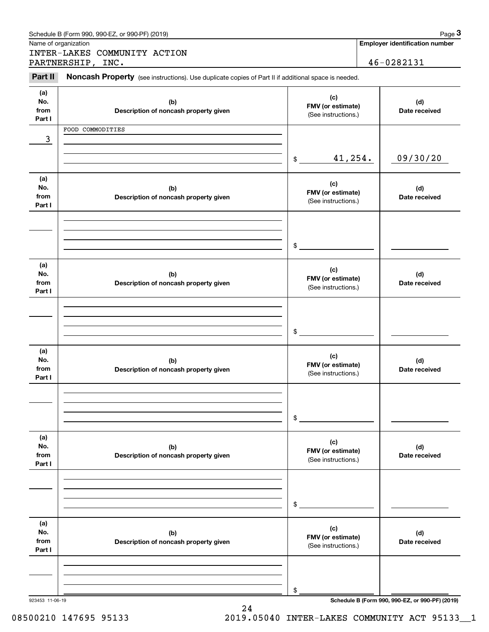|                              | Schedule B (Form 990, 990-EZ, or 990-PF) (2019)                                                     |                                                 | Page 3                                          |
|------------------------------|-----------------------------------------------------------------------------------------------------|-------------------------------------------------|-------------------------------------------------|
|                              | Name of organization<br>INTER-LAKES COMMUNITY ACTION                                                |                                                 | <b>Employer identification number</b>           |
|                              | PARTNERSHIP, INC.                                                                                   |                                                 | 46-0282131                                      |
| Part II                      | Noncash Property (see instructions). Use duplicate copies of Part II if additional space is needed. |                                                 |                                                 |
| (a)<br>No.<br>from<br>Part I | (b)<br>Description of noncash property given                                                        | (c)<br>FMV (or estimate)<br>(See instructions.) | (d)<br>Date received                            |
|                              | FOOD COMMODITIES                                                                                    |                                                 |                                                 |
| 3                            |                                                                                                     |                                                 |                                                 |
|                              |                                                                                                     | 41,254.<br>\$                                   | 09/30/20                                        |
| (a)<br>No.<br>from<br>Part I | (b)<br>Description of noncash property given                                                        | (c)<br>FMV (or estimate)<br>(See instructions.) | (d)<br>Date received                            |
|                              |                                                                                                     | \$                                              |                                                 |
| (a)<br>No.<br>from<br>Part I | (b)<br>Description of noncash property given                                                        | (c)<br>FMV (or estimate)<br>(See instructions.) | (d)<br>Date received                            |
|                              |                                                                                                     | \$                                              |                                                 |
| (a)<br>No.<br>from<br>Part I | (b)<br>Description of noncash property given                                                        | (c)<br>FMV (or estimate)<br>(See instructions.) | (d)<br>Date received                            |
|                              |                                                                                                     | \$                                              |                                                 |
| (a)<br>No.<br>from<br>Part I | (b)<br>Description of noncash property given                                                        | (c)<br>FMV (or estimate)<br>(See instructions.) | (d)<br>Date received                            |
|                              |                                                                                                     | \$                                              |                                                 |
| (a)<br>No.<br>from<br>Part I | (b)<br>Description of noncash property given                                                        | (c)<br>FMV (or estimate)<br>(See instructions.) | (d)<br>Date received                            |
| 923453 11-06-19              |                                                                                                     | \$                                              | Schedule B (Form 990, 990-EZ, or 990-PF) (2019) |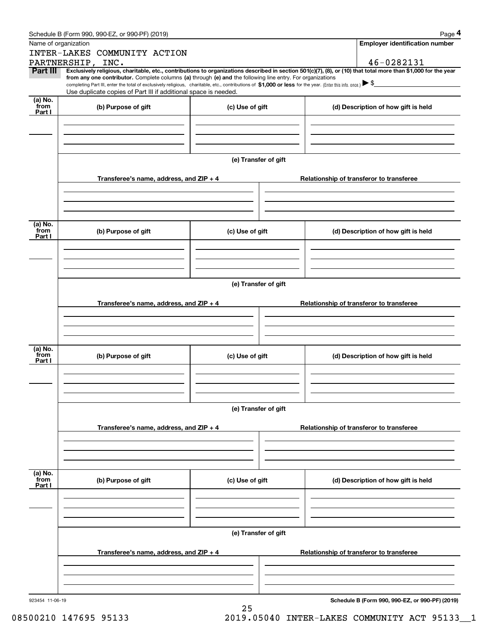|                   | Schedule B (Form 990, 990-EZ, or 990-PF) (2019)                                                                                                                                                                                                      |                      |  | Page 4                                          |  |
|-------------------|------------------------------------------------------------------------------------------------------------------------------------------------------------------------------------------------------------------------------------------------------|----------------------|--|-------------------------------------------------|--|
|                   | Name of organization                                                                                                                                                                                                                                 |                      |  | <b>Employer identification number</b>           |  |
|                   | INTER-LAKES COMMUNITY ACTION                                                                                                                                                                                                                         |                      |  |                                                 |  |
| Part III          | PARTNERSHIP, INC.<br>Exclusively religious, charitable, etc., contributions to organizations described in section 501(c)(7), (8), or (10) that total more than \$1,000 for the year                                                                  |                      |  | 46-0282131                                      |  |
|                   | from any one contributor. Complete columns (a) through (e) and the following line entry. For organizations                                                                                                                                           |                      |  |                                                 |  |
|                   | completing Part III, enter the total of exclusively religious, charitable, etc., contributions of \$1,000 or less for the year. (Enter this info. once.) $\blacktriangleright$ \$<br>Use duplicate copies of Part III if additional space is needed. |                      |  |                                                 |  |
| $(a)$ No.<br>from |                                                                                                                                                                                                                                                      |                      |  |                                                 |  |
| Part I            | (b) Purpose of gift                                                                                                                                                                                                                                  | (c) Use of gift      |  | (d) Description of how gift is held             |  |
|                   |                                                                                                                                                                                                                                                      |                      |  |                                                 |  |
|                   |                                                                                                                                                                                                                                                      |                      |  |                                                 |  |
|                   |                                                                                                                                                                                                                                                      |                      |  |                                                 |  |
|                   |                                                                                                                                                                                                                                                      | (e) Transfer of gift |  |                                                 |  |
|                   |                                                                                                                                                                                                                                                      |                      |  |                                                 |  |
|                   | Transferee's name, address, and ZIP + 4                                                                                                                                                                                                              |                      |  | Relationship of transferor to transferee        |  |
|                   |                                                                                                                                                                                                                                                      |                      |  |                                                 |  |
|                   |                                                                                                                                                                                                                                                      |                      |  |                                                 |  |
|                   |                                                                                                                                                                                                                                                      |                      |  |                                                 |  |
| (a) No.<br>from   | (b) Purpose of gift                                                                                                                                                                                                                                  | (c) Use of gift      |  | (d) Description of how gift is held             |  |
| Part I            |                                                                                                                                                                                                                                                      |                      |  |                                                 |  |
|                   |                                                                                                                                                                                                                                                      |                      |  |                                                 |  |
|                   |                                                                                                                                                                                                                                                      |                      |  |                                                 |  |
|                   |                                                                                                                                                                                                                                                      |                      |  |                                                 |  |
|                   |                                                                                                                                                                                                                                                      | (e) Transfer of gift |  |                                                 |  |
|                   |                                                                                                                                                                                                                                                      |                      |  |                                                 |  |
|                   | Transferee's name, address, and ZIP + 4                                                                                                                                                                                                              |                      |  | Relationship of transferor to transferee        |  |
|                   |                                                                                                                                                                                                                                                      |                      |  |                                                 |  |
|                   |                                                                                                                                                                                                                                                      |                      |  |                                                 |  |
|                   |                                                                                                                                                                                                                                                      |                      |  |                                                 |  |
| (a) No.<br>from   | (b) Purpose of gift                                                                                                                                                                                                                                  | (c) Use of gift      |  | (d) Description of how gift is held             |  |
| Part I            |                                                                                                                                                                                                                                                      |                      |  |                                                 |  |
|                   |                                                                                                                                                                                                                                                      |                      |  |                                                 |  |
|                   |                                                                                                                                                                                                                                                      |                      |  |                                                 |  |
|                   |                                                                                                                                                                                                                                                      |                      |  |                                                 |  |
|                   |                                                                                                                                                                                                                                                      | (e) Transfer of gift |  |                                                 |  |
|                   | Transferee's name, address, and ZIP + 4                                                                                                                                                                                                              |                      |  | Relationship of transferor to transferee        |  |
|                   |                                                                                                                                                                                                                                                      |                      |  |                                                 |  |
|                   |                                                                                                                                                                                                                                                      |                      |  |                                                 |  |
|                   |                                                                                                                                                                                                                                                      |                      |  |                                                 |  |
| (a) No.           |                                                                                                                                                                                                                                                      |                      |  |                                                 |  |
| from<br>Part I    | (b) Purpose of gift                                                                                                                                                                                                                                  | (c) Use of gift      |  | (d) Description of how gift is held             |  |
|                   |                                                                                                                                                                                                                                                      |                      |  |                                                 |  |
|                   |                                                                                                                                                                                                                                                      |                      |  |                                                 |  |
|                   |                                                                                                                                                                                                                                                      |                      |  |                                                 |  |
|                   |                                                                                                                                                                                                                                                      |                      |  |                                                 |  |
|                   | (e) Transfer of gift                                                                                                                                                                                                                                 |                      |  |                                                 |  |
|                   | Transferee's name, address, and ZIP + 4                                                                                                                                                                                                              |                      |  | Relationship of transferor to transferee        |  |
|                   |                                                                                                                                                                                                                                                      |                      |  |                                                 |  |
|                   |                                                                                                                                                                                                                                                      |                      |  |                                                 |  |
|                   |                                                                                                                                                                                                                                                      |                      |  |                                                 |  |
| 923454 11-06-19   |                                                                                                                                                                                                                                                      |                      |  | Schedule B (Form 990, 990-EZ, or 990-PF) (2019) |  |
|                   |                                                                                                                                                                                                                                                      | 25                   |  |                                                 |  |

08500210 147695 95133 2019.05040 INTER-LAKES COMMUNITY ACT 95133\_1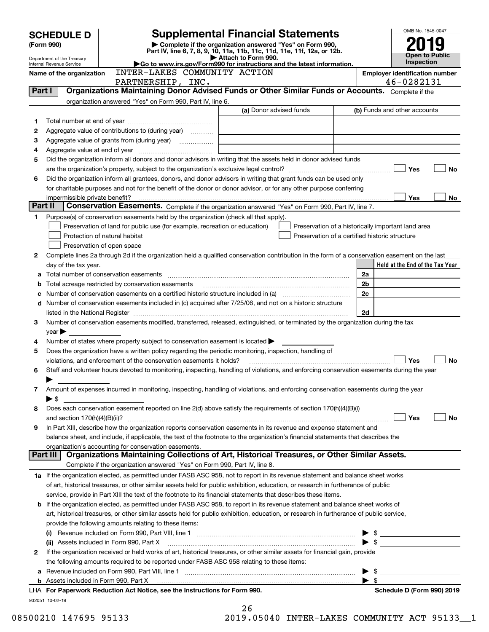|         | <b>Supplemental Financial Statements</b><br><b>SCHEDULE D</b>                                                                                           |                                                                                                        |                                                                                                                                                |                | OMB No. 1545-0047               |
|---------|---------------------------------------------------------------------------------------------------------------------------------------------------------|--------------------------------------------------------------------------------------------------------|------------------------------------------------------------------------------------------------------------------------------------------------|----------------|---------------------------------|
|         | Complete if the organization answered "Yes" on Form 990,<br>(Form 990)                                                                                  |                                                                                                        |                                                                                                                                                |                |                                 |
|         |                                                                                                                                                         | <b>Open to Public</b>                                                                                  |                                                                                                                                                |                |                                 |
|         | Attach to Form 990.<br>Department of the Treasury<br>Go to www.irs.gov/Form990 for instructions and the latest information.<br>Internal Revenue Service |                                                                                                        |                                                                                                                                                |                |                                 |
|         | Name of the organization                                                                                                                                | <b>Employer identification number</b>                                                                  |                                                                                                                                                |                |                                 |
|         |                                                                                                                                                         | PARTNERSHIP, INC.                                                                                      |                                                                                                                                                |                | 46-0282131                      |
| Part I  |                                                                                                                                                         |                                                                                                        | Organizations Maintaining Donor Advised Funds or Other Similar Funds or Accounts. Complete if the                                              |                |                                 |
|         |                                                                                                                                                         | organization answered "Yes" on Form 990, Part IV, line 6.                                              |                                                                                                                                                |                |                                 |
|         |                                                                                                                                                         |                                                                                                        | (a) Donor advised funds                                                                                                                        |                | (b) Funds and other accounts    |
| 1       |                                                                                                                                                         |                                                                                                        |                                                                                                                                                |                |                                 |
| 2       |                                                                                                                                                         |                                                                                                        |                                                                                                                                                |                |                                 |
| з       |                                                                                                                                                         |                                                                                                        |                                                                                                                                                |                |                                 |
| 4       |                                                                                                                                                         |                                                                                                        |                                                                                                                                                |                |                                 |
| 5       |                                                                                                                                                         |                                                                                                        | Did the organization inform all donors and donor advisors in writing that the assets held in donor advised funds                               |                |                                 |
|         |                                                                                                                                                         |                                                                                                        |                                                                                                                                                |                | Yes<br><b>No</b>                |
| 6       |                                                                                                                                                         |                                                                                                        | Did the organization inform all grantees, donors, and donor advisors in writing that grant funds can be used only                              |                |                                 |
|         |                                                                                                                                                         |                                                                                                        | for charitable purposes and not for the benefit of the donor or donor advisor, or for any other purpose conferring                             |                |                                 |
|         | impermissible private benefit?                                                                                                                          |                                                                                                        |                                                                                                                                                |                | Yes<br>No                       |
| Part II |                                                                                                                                                         |                                                                                                        | Conservation Easements. Complete if the organization answered "Yes" on Form 990, Part IV, line 7.                                              |                |                                 |
| 1       |                                                                                                                                                         | Purpose(s) of conservation easements held by the organization (check all that apply).                  |                                                                                                                                                |                |                                 |
|         |                                                                                                                                                         | Preservation of land for public use (for example, recreation or education)                             | Preservation of a historically important land area                                                                                             |                |                                 |
|         |                                                                                                                                                         | Protection of natural habitat                                                                          | Preservation of a certified historic structure                                                                                                 |                |                                 |
|         |                                                                                                                                                         | Preservation of open space                                                                             |                                                                                                                                                |                |                                 |
| 2       |                                                                                                                                                         |                                                                                                        | Complete lines 2a through 2d if the organization held a qualified conservation contribution in the form of a conservation easement on the last |                |                                 |
|         | day of the tax year.                                                                                                                                    |                                                                                                        |                                                                                                                                                |                | Held at the End of the Tax Year |
|         |                                                                                                                                                         | Total number of conservation easements                                                                 |                                                                                                                                                | 2a             |                                 |
| b       |                                                                                                                                                         | Total acreage restricted by conservation easements                                                     |                                                                                                                                                | 2 <sub>b</sub> |                                 |
|         |                                                                                                                                                         |                                                                                                        |                                                                                                                                                | 2c             |                                 |
| d       |                                                                                                                                                         |                                                                                                        | Number of conservation easements included in (c) acquired after 7/25/06, and not on a historic structure                                       |                |                                 |
|         |                                                                                                                                                         |                                                                                                        |                                                                                                                                                | 2d             |                                 |
| З       |                                                                                                                                                         |                                                                                                        | Number of conservation easements modified, transferred, released, extinguished, or terminated by the organization during the tax               |                |                                 |
|         | $year \blacktriangleright$                                                                                                                              |                                                                                                        |                                                                                                                                                |                |                                 |
| 4       |                                                                                                                                                         | Number of states where property subject to conservation easement is located $\blacktriangleright$      |                                                                                                                                                |                |                                 |
| 5       |                                                                                                                                                         | Does the organization have a written policy regarding the periodic monitoring, inspection, handling of |                                                                                                                                                |                |                                 |
|         |                                                                                                                                                         | violations, and enforcement of the conservation easements it holds?                                    |                                                                                                                                                |                | Yes<br><b>No</b>                |
| 6       |                                                                                                                                                         |                                                                                                        | Staff and volunteer hours devoted to monitoring, inspecting, handling of violations, and enforcing conservation easements during the year      |                |                                 |
|         |                                                                                                                                                         |                                                                                                        |                                                                                                                                                |                |                                 |
| 7       |                                                                                                                                                         |                                                                                                        | Amount of expenses incurred in monitoring, inspecting, handling of violations, and enforcing conservation easements during the year            |                |                                 |
|         | ► \$                                                                                                                                                    |                                                                                                        |                                                                                                                                                |                |                                 |
| 8       |                                                                                                                                                         |                                                                                                        | Does each conservation easement reported on line 2(d) above satisfy the requirements of section 170(h)(4)(B)(i)                                |                | Yes<br>No                       |
| 9       |                                                                                                                                                         |                                                                                                        | In Part XIII, describe how the organization reports conservation easements in its revenue and expense statement and                            |                |                                 |
|         |                                                                                                                                                         |                                                                                                        | balance sheet, and include, if applicable, the text of the footnote to the organization's financial statements that describes the              |                |                                 |
|         |                                                                                                                                                         | organization's accounting for conservation easements.                                                  |                                                                                                                                                |                |                                 |
|         | Part III                                                                                                                                                |                                                                                                        | Organizations Maintaining Collections of Art, Historical Treasures, or Other Similar Assets.                                                   |                |                                 |
|         |                                                                                                                                                         | Complete if the organization answered "Yes" on Form 990, Part IV, line 8.                              |                                                                                                                                                |                |                                 |
|         |                                                                                                                                                         |                                                                                                        | 1a If the organization elected, as permitted under FASB ASC 958, not to report in its revenue statement and balance sheet works                |                |                                 |
|         |                                                                                                                                                         |                                                                                                        | of art, historical treasures, or other similar assets held for public exhibition, education, or research in furtherance of public              |                |                                 |
|         |                                                                                                                                                         |                                                                                                        | service, provide in Part XIII the text of the footnote to its financial statements that describes these items.                                 |                |                                 |
| b       |                                                                                                                                                         |                                                                                                        | If the organization elected, as permitted under FASB ASC 958, to report in its revenue statement and balance sheet works of                    |                |                                 |
|         |                                                                                                                                                         |                                                                                                        | art, historical treasures, or other similar assets held for public exhibition, education, or research in furtherance of public service,        |                |                                 |
|         |                                                                                                                                                         | provide the following amounts relating to these items:                                                 |                                                                                                                                                |                |                                 |
|         |                                                                                                                                                         |                                                                                                        |                                                                                                                                                |                |                                 |
|         |                                                                                                                                                         | (ii) Assets included in Form 990, Part X                                                               |                                                                                                                                                |                |                                 |
| 2       |                                                                                                                                                         |                                                                                                        | If the organization received or held works of art, historical treasures, or other similar assets for financial gain, provide                   |                |                                 |
|         |                                                                                                                                                         | the following amounts required to be reported under FASB ASC 958 relating to these items:              |                                                                                                                                                |                |                                 |
| а       |                                                                                                                                                         |                                                                                                        |                                                                                                                                                |                |                                 |
|         |                                                                                                                                                         |                                                                                                        |                                                                                                                                                |                |                                 |
|         |                                                                                                                                                         | LHA For Paperwork Reduction Act Notice, see the Instructions for Form 990.                             |                                                                                                                                                |                | Schedule D (Form 990) 2019      |
|         | 932051 10-02-19                                                                                                                                         |                                                                                                        |                                                                                                                                                |                |                                 |
|         |                                                                                                                                                         |                                                                                                        | 26                                                                                                                                             |                |                                 |

| ∡໐  |       |  |  |  |
|-----|-------|--|--|--|
| 1 ດ | 05010 |  |  |  |

08500210 147695 95133 2019.05040 INTER-LAKES COMMUNITY ACT 95133\_\_1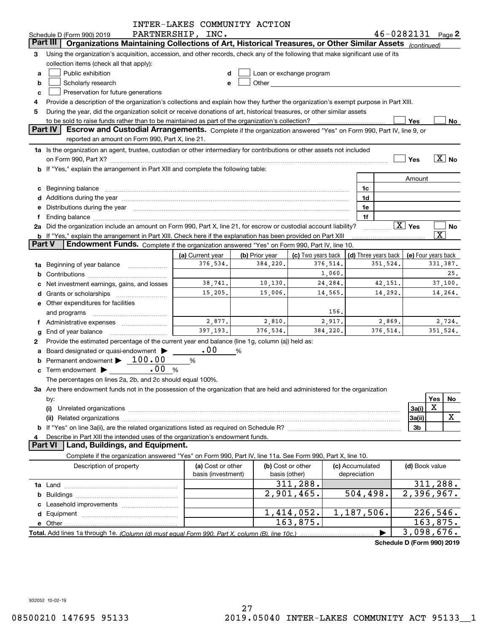|               |                                                                                                                                                                                                                                | INTER-LAKES COMMUNITY ACTION |                |        |                                                                                                                                                                                                                                    |          |                 |                      |                            |                         |                       |
|---------------|--------------------------------------------------------------------------------------------------------------------------------------------------------------------------------------------------------------------------------|------------------------------|----------------|--------|------------------------------------------------------------------------------------------------------------------------------------------------------------------------------------------------------------------------------------|----------|-----------------|----------------------|----------------------------|-------------------------|-----------------------|
|               | Schedule D (Form 990) 2019                                                                                                                                                                                                     | PARTNERSHIP, INC.            |                |        |                                                                                                                                                                                                                                    |          |                 |                      | $46 - 0282131$ Page 2      |                         |                       |
|               | Organizations Maintaining Collections of Art, Historical Treasures, or Other Similar Assets (continued)<br>Part III                                                                                                            |                              |                |        |                                                                                                                                                                                                                                    |          |                 |                      |                            |                         |                       |
| 3             | Using the organization's acquisition, accession, and other records, check any of the following that make significant use of its                                                                                                |                              |                |        |                                                                                                                                                                                                                                    |          |                 |                      |                            |                         |                       |
|               | collection items (check all that apply):                                                                                                                                                                                       |                              |                |        |                                                                                                                                                                                                                                    |          |                 |                      |                            |                         |                       |
| a             | Public exhibition<br>Loan or exchange program<br>d                                                                                                                                                                             |                              |                |        |                                                                                                                                                                                                                                    |          |                 |                      |                            |                         |                       |
| b             | Scholarly research                                                                                                                                                                                                             | e                            |                |        | <b>Other Contract Contract Contract Contract Contract Contract Contract Contract Contract Contract Contract Contract Contract Contract Contract Contract Contract Contract Contract Contract Contract Contract Contract Contra</b> |          |                 |                      |                            |                         |                       |
| c             | Preservation for future generations                                                                                                                                                                                            |                              |                |        |                                                                                                                                                                                                                                    |          |                 |                      |                            |                         |                       |
| 4             | Provide a description of the organization's collections and explain how they further the organization's exempt purpose in Part XIII.                                                                                           |                              |                |        |                                                                                                                                                                                                                                    |          |                 |                      |                            |                         |                       |
| 5             | During the year, did the organization solicit or receive donations of art, historical treasures, or other similar assets                                                                                                       |                              |                |        |                                                                                                                                                                                                                                    |          |                 |                      |                            |                         |                       |
|               | to be sold to raise funds rather than to be maintained as part of the organization's collection?                                                                                                                               |                              |                |        |                                                                                                                                                                                                                                    |          |                 |                      | Yes                        |                         | No                    |
|               | Part IV<br>Escrow and Custodial Arrangements. Complete if the organization answered "Yes" on Form 990, Part IV, line 9, or                                                                                                     |                              |                |        |                                                                                                                                                                                                                                    |          |                 |                      |                            |                         |                       |
|               | reported an amount on Form 990, Part X, line 21.                                                                                                                                                                               |                              |                |        |                                                                                                                                                                                                                                    |          |                 |                      |                            |                         |                       |
|               | 1a Is the organization an agent, trustee, custodian or other intermediary for contributions or other assets not included                                                                                                       |                              |                |        |                                                                                                                                                                                                                                    |          |                 |                      |                            |                         |                       |
|               | on Form 990, Part X? [11] matter and the contract of the contract of the contract of the contract of the contract of the contract of the contract of the contract of the contract of the contract of the contract of the contr |                              |                |        |                                                                                                                                                                                                                                    |          |                 |                      | Yes                        |                         | $\boxed{\text{X}}$ No |
|               | <b>b</b> If "Yes," explain the arrangement in Part XIII and complete the following table:                                                                                                                                      |                              |                |        |                                                                                                                                                                                                                                    |          |                 |                      |                            |                         |                       |
|               |                                                                                                                                                                                                                                |                              |                |        |                                                                                                                                                                                                                                    |          |                 |                      | Amount                     |                         |                       |
| c             | Beginning balance                                                                                                                                                                                                              |                              |                |        |                                                                                                                                                                                                                                    |          | 1c              |                      |                            |                         |                       |
|               |                                                                                                                                                                                                                                |                              |                |        |                                                                                                                                                                                                                                    |          | 1d              |                      |                            |                         |                       |
| е             | Distributions during the year manufactured and continuum control of the year manufactured and the year manufactured and the year manufactured and the year manufactured and the year manufactured and the year manufactured an |                              |                |        |                                                                                                                                                                                                                                    |          | 1e              |                      |                            |                         |                       |
| f             |                                                                                                                                                                                                                                |                              |                |        |                                                                                                                                                                                                                                    |          | 1f              |                      |                            |                         |                       |
|               | 2a Did the organization include an amount on Form 990, Part X, line 21, for escrow or custodial account liability?                                                                                                             |                              |                |        |                                                                                                                                                                                                                                    |          |                 |                      | $\boxed{\text{X}}$ Yes     |                         | No                    |
|               | b If "Yes," explain the arrangement in Part XIII. Check here if the explanation has been provided on Part XIII                                                                                                                 |                              |                |        |                                                                                                                                                                                                                                    |          |                 |                      |                            | $\overline{\texttt{x}}$ |                       |
| <b>Part V</b> | Endowment Funds. Complete if the organization answered "Yes" on Form 990, Part IV, line 10.                                                                                                                                    |                              |                |        |                                                                                                                                                                                                                                    |          |                 |                      |                            |                         |                       |
|               |                                                                                                                                                                                                                                | (a) Current year             | (b) Prior year |        | (c) Two years back                                                                                                                                                                                                                 |          |                 | (d) Three years back | (e) Four years back        |                         |                       |
| 1a            | Beginning of year balance                                                                                                                                                                                                      | 376,534.                     | 384,220.       |        |                                                                                                                                                                                                                                    | 376,514. |                 | 351,524.             |                            |                         | 331,387.              |
| b             |                                                                                                                                                                                                                                |                              |                |        |                                                                                                                                                                                                                                    | 1,060.   |                 |                      |                            |                         | 25.                   |
| c             | Net investment earnings, gains, and losses                                                                                                                                                                                     | 38,741.                      | 10, 130.       |        |                                                                                                                                                                                                                                    | 24,284.  |                 | 42,151.              |                            |                         | 37,100.               |
|               |                                                                                                                                                                                                                                | 15,205.                      | 15,006.        |        |                                                                                                                                                                                                                                    | 14,565.  |                 | 14,292.              |                            |                         | 14,264.               |
|               |                                                                                                                                                                                                                                |                              |                |        |                                                                                                                                                                                                                                    |          |                 |                      |                            |                         |                       |
|               | <b>e</b> Other expenditures for facilities                                                                                                                                                                                     |                              |                |        |                                                                                                                                                                                                                                    | 156.     |                 |                      |                            |                         |                       |
|               | and programs                                                                                                                                                                                                                   | 2,877.                       |                | 2,810. |                                                                                                                                                                                                                                    | 2,917.   |                 | 2,869.               |                            |                         | 2,724.                |
| f             | Administrative expenses                                                                                                                                                                                                        | 397, 193.                    | 376, 534.      |        |                                                                                                                                                                                                                                    | 384,220. |                 | 376,514.             |                            |                         | 351,524.              |
| g             | End of year balance                                                                                                                                                                                                            |                              |                |        |                                                                                                                                                                                                                                    |          |                 |                      |                            |                         |                       |
| 2             | Provide the estimated percentage of the current year end balance (line 1g, column (a)) held as:                                                                                                                                |                              |                |        |                                                                                                                                                                                                                                    |          |                 |                      |                            |                         |                       |
| a             | Board designated or quasi-endowment                                                                                                                                                                                            | .00                          | %              |        |                                                                                                                                                                                                                                    |          |                 |                      |                            |                         |                       |
| b             | Permanent endowment > 100.00                                                                                                                                                                                                   | %                            |                |        |                                                                                                                                                                                                                                    |          |                 |                      |                            |                         |                       |
| c             | .00%<br>Term endowment $\blacktriangleright$ __                                                                                                                                                                                |                              |                |        |                                                                                                                                                                                                                                    |          |                 |                      |                            |                         |                       |
|               | The percentages on lines 2a, 2b, and 2c should equal 100%.                                                                                                                                                                     |                              |                |        |                                                                                                                                                                                                                                    |          |                 |                      |                            |                         |                       |
|               | 3a Are there endowment funds not in the possession of the organization that are held and administered for the organization                                                                                                     |                              |                |        |                                                                                                                                                                                                                                    |          |                 |                      |                            |                         |                       |
|               | by:                                                                                                                                                                                                                            |                              |                |        |                                                                                                                                                                                                                                    |          |                 |                      |                            | Yes                     | No                    |
|               | (i)                                                                                                                                                                                                                            |                              |                |        |                                                                                                                                                                                                                                    |          |                 |                      | 3a(i)                      | X                       |                       |
|               | (ii)                                                                                                                                                                                                                           |                              |                |        |                                                                                                                                                                                                                                    |          |                 |                      | 3a(ii)                     |                         | X                     |
|               |                                                                                                                                                                                                                                |                              |                |        |                                                                                                                                                                                                                                    |          |                 |                      | 3b                         |                         |                       |
| 4             | Describe in Part XIII the intended uses of the organization's endowment funds.                                                                                                                                                 |                              |                |        |                                                                                                                                                                                                                                    |          |                 |                      |                            |                         |                       |
|               | Land, Buildings, and Equipment.<br><b>Part VI</b>                                                                                                                                                                              |                              |                |        |                                                                                                                                                                                                                                    |          |                 |                      |                            |                         |                       |
|               | Complete if the organization answered "Yes" on Form 990, Part IV, line 11a. See Form 990, Part X, line 10.                                                                                                                     |                              |                |        |                                                                                                                                                                                                                                    |          |                 |                      |                            |                         |                       |
|               | Description of property                                                                                                                                                                                                        | (a) Cost or other            |                |        | (b) Cost or other                                                                                                                                                                                                                  |          | (c) Accumulated |                      | (d) Book value             |                         |                       |
|               |                                                                                                                                                                                                                                | basis (investment)           |                |        | basis (other)                                                                                                                                                                                                                      |          | depreciation    |                      |                            |                         |                       |
|               |                                                                                                                                                                                                                                |                              |                |        | 311,288.                                                                                                                                                                                                                           |          |                 |                      |                            | 311, 288.               |                       |
|               |                                                                                                                                                                                                                                |                              |                |        | 2,901,465.                                                                                                                                                                                                                         |          |                 | 504, 498.            | 2,396,967.                 |                         |                       |
|               |                                                                                                                                                                                                                                |                              |                |        |                                                                                                                                                                                                                                    |          |                 |                      |                            |                         |                       |
|               |                                                                                                                                                                                                                                |                              |                |        | 1,414,052.                                                                                                                                                                                                                         |          |                 | 1,187,506.           |                            | 226,546.                |                       |
|               |                                                                                                                                                                                                                                |                              |                |        | 163,875.                                                                                                                                                                                                                           |          |                 |                      |                            | 163,875.                |                       |
|               |                                                                                                                                                                                                                                |                              |                |        |                                                                                                                                                                                                                                    |          |                 |                      | 3,098,676.                 |                         |                       |
|               |                                                                                                                                                                                                                                |                              |                |        |                                                                                                                                                                                                                                    |          |                 |                      | Schedule D (Form 990) 2019 |                         |                       |
|               |                                                                                                                                                                                                                                |                              |                |        |                                                                                                                                                                                                                                    |          |                 |                      |                            |                         |                       |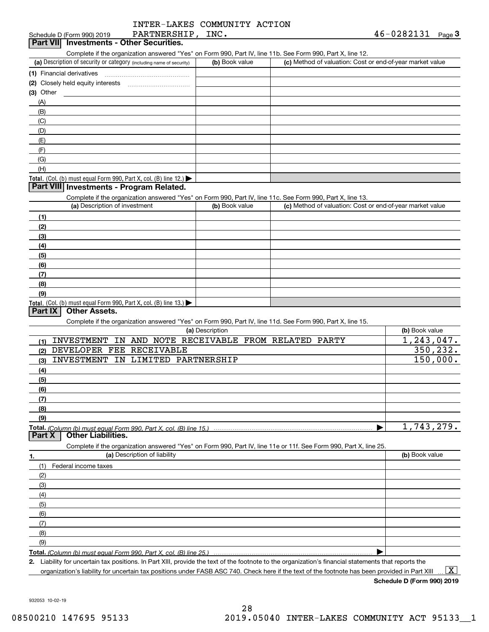| INTER-LAKES COMMUNITY ACTION |  |
|------------------------------|--|
|                              |  |
|                              |  |

| PARTNERSHIP,<br>INC. |                                                                                          | 46-0282131<br>Page $\bf{3}$                                                                                                                                                                                                                                                                                                                                                                                                                                                                                                                                                                                                                                                                                                                                                                                         |
|----------------------|------------------------------------------------------------------------------------------|---------------------------------------------------------------------------------------------------------------------------------------------------------------------------------------------------------------------------------------------------------------------------------------------------------------------------------------------------------------------------------------------------------------------------------------------------------------------------------------------------------------------------------------------------------------------------------------------------------------------------------------------------------------------------------------------------------------------------------------------------------------------------------------------------------------------|
|                      |                                                                                          |                                                                                                                                                                                                                                                                                                                                                                                                                                                                                                                                                                                                                                                                                                                                                                                                                     |
|                      |                                                                                          |                                                                                                                                                                                                                                                                                                                                                                                                                                                                                                                                                                                                                                                                                                                                                                                                                     |
|                      |                                                                                          |                                                                                                                                                                                                                                                                                                                                                                                                                                                                                                                                                                                                                                                                                                                                                                                                                     |
|                      |                                                                                          |                                                                                                                                                                                                                                                                                                                                                                                                                                                                                                                                                                                                                                                                                                                                                                                                                     |
|                      |                                                                                          |                                                                                                                                                                                                                                                                                                                                                                                                                                                                                                                                                                                                                                                                                                                                                                                                                     |
|                      |                                                                                          |                                                                                                                                                                                                                                                                                                                                                                                                                                                                                                                                                                                                                                                                                                                                                                                                                     |
|                      |                                                                                          |                                                                                                                                                                                                                                                                                                                                                                                                                                                                                                                                                                                                                                                                                                                                                                                                                     |
|                      |                                                                                          |                                                                                                                                                                                                                                                                                                                                                                                                                                                                                                                                                                                                                                                                                                                                                                                                                     |
|                      |                                                                                          |                                                                                                                                                                                                                                                                                                                                                                                                                                                                                                                                                                                                                                                                                                                                                                                                                     |
|                      |                                                                                          |                                                                                                                                                                                                                                                                                                                                                                                                                                                                                                                                                                                                                                                                                                                                                                                                                     |
|                      |                                                                                          |                                                                                                                                                                                                                                                                                                                                                                                                                                                                                                                                                                                                                                                                                                                                                                                                                     |
|                      |                                                                                          |                                                                                                                                                                                                                                                                                                                                                                                                                                                                                                                                                                                                                                                                                                                                                                                                                     |
|                      |                                                                                          |                                                                                                                                                                                                                                                                                                                                                                                                                                                                                                                                                                                                                                                                                                                                                                                                                     |
|                      |                                                                                          |                                                                                                                                                                                                                                                                                                                                                                                                                                                                                                                                                                                                                                                                                                                                                                                                                     |
|                      |                                                                                          |                                                                                                                                                                                                                                                                                                                                                                                                                                                                                                                                                                                                                                                                                                                                                                                                                     |
|                      |                                                                                          |                                                                                                                                                                                                                                                                                                                                                                                                                                                                                                                                                                                                                                                                                                                                                                                                                     |
|                      |                                                                                          |                                                                                                                                                                                                                                                                                                                                                                                                                                                                                                                                                                                                                                                                                                                                                                                                                     |
|                      |                                                                                          |                                                                                                                                                                                                                                                                                                                                                                                                                                                                                                                                                                                                                                                                                                                                                                                                                     |
|                      |                                                                                          |                                                                                                                                                                                                                                                                                                                                                                                                                                                                                                                                                                                                                                                                                                                                                                                                                     |
|                      |                                                                                          |                                                                                                                                                                                                                                                                                                                                                                                                                                                                                                                                                                                                                                                                                                                                                                                                                     |
|                      |                                                                                          |                                                                                                                                                                                                                                                                                                                                                                                                                                                                                                                                                                                                                                                                                                                                                                                                                     |
|                      |                                                                                          |                                                                                                                                                                                                                                                                                                                                                                                                                                                                                                                                                                                                                                                                                                                                                                                                                     |
|                      |                                                                                          |                                                                                                                                                                                                                                                                                                                                                                                                                                                                                                                                                                                                                                                                                                                                                                                                                     |
|                      |                                                                                          |                                                                                                                                                                                                                                                                                                                                                                                                                                                                                                                                                                                                                                                                                                                                                                                                                     |
|                      |                                                                                          |                                                                                                                                                                                                                                                                                                                                                                                                                                                                                                                                                                                                                                                                                                                                                                                                                     |
|                      |                                                                                          |                                                                                                                                                                                                                                                                                                                                                                                                                                                                                                                                                                                                                                                                                                                                                                                                                     |
|                      |                                                                                          |                                                                                                                                                                                                                                                                                                                                                                                                                                                                                                                                                                                                                                                                                                                                                                                                                     |
|                      |                                                                                          |                                                                                                                                                                                                                                                                                                                                                                                                                                                                                                                                                                                                                                                                                                                                                                                                                     |
|                      |                                                                                          |                                                                                                                                                                                                                                                                                                                                                                                                                                                                                                                                                                                                                                                                                                                                                                                                                     |
|                      |                                                                                          |                                                                                                                                                                                                                                                                                                                                                                                                                                                                                                                                                                                                                                                                                                                                                                                                                     |
|                      |                                                                                          | (b) Book value                                                                                                                                                                                                                                                                                                                                                                                                                                                                                                                                                                                                                                                                                                                                                                                                      |
|                      |                                                                                          | 1, 243, 047.                                                                                                                                                                                                                                                                                                                                                                                                                                                                                                                                                                                                                                                                                                                                                                                                        |
|                      |                                                                                          | 350, 232.                                                                                                                                                                                                                                                                                                                                                                                                                                                                                                                                                                                                                                                                                                                                                                                                           |
|                      |                                                                                          | 150,000.                                                                                                                                                                                                                                                                                                                                                                                                                                                                                                                                                                                                                                                                                                                                                                                                            |
|                      |                                                                                          |                                                                                                                                                                                                                                                                                                                                                                                                                                                                                                                                                                                                                                                                                                                                                                                                                     |
|                      |                                                                                          |                                                                                                                                                                                                                                                                                                                                                                                                                                                                                                                                                                                                                                                                                                                                                                                                                     |
|                      |                                                                                          |                                                                                                                                                                                                                                                                                                                                                                                                                                                                                                                                                                                                                                                                                                                                                                                                                     |
|                      |                                                                                          |                                                                                                                                                                                                                                                                                                                                                                                                                                                                                                                                                                                                                                                                                                                                                                                                                     |
|                      |                                                                                          |                                                                                                                                                                                                                                                                                                                                                                                                                                                                                                                                                                                                                                                                                                                                                                                                                     |
|                      |                                                                                          |                                                                                                                                                                                                                                                                                                                                                                                                                                                                                                                                                                                                                                                                                                                                                                                                                     |
|                      |                                                                                          | 1,743,279.                                                                                                                                                                                                                                                                                                                                                                                                                                                                                                                                                                                                                                                                                                                                                                                                          |
|                      |                                                                                          |                                                                                                                                                                                                                                                                                                                                                                                                                                                                                                                                                                                                                                                                                                                                                                                                                     |
|                      |                                                                                          |                                                                                                                                                                                                                                                                                                                                                                                                                                                                                                                                                                                                                                                                                                                                                                                                                     |
|                      |                                                                                          | (b) Book value                                                                                                                                                                                                                                                                                                                                                                                                                                                                                                                                                                                                                                                                                                                                                                                                      |
|                      |                                                                                          |                                                                                                                                                                                                                                                                                                                                                                                                                                                                                                                                                                                                                                                                                                                                                                                                                     |
|                      |                                                                                          |                                                                                                                                                                                                                                                                                                                                                                                                                                                                                                                                                                                                                                                                                                                                                                                                                     |
|                      |                                                                                          |                                                                                                                                                                                                                                                                                                                                                                                                                                                                                                                                                                                                                                                                                                                                                                                                                     |
|                      |                                                                                          |                                                                                                                                                                                                                                                                                                                                                                                                                                                                                                                                                                                                                                                                                                                                                                                                                     |
|                      |                                                                                          |                                                                                                                                                                                                                                                                                                                                                                                                                                                                                                                                                                                                                                                                                                                                                                                                                     |
|                      |                                                                                          |                                                                                                                                                                                                                                                                                                                                                                                                                                                                                                                                                                                                                                                                                                                                                                                                                     |
|                      |                                                                                          |                                                                                                                                                                                                                                                                                                                                                                                                                                                                                                                                                                                                                                                                                                                                                                                                                     |
|                      |                                                                                          |                                                                                                                                                                                                                                                                                                                                                                                                                                                                                                                                                                                                                                                                                                                                                                                                                     |
|                      |                                                                                          |                                                                                                                                                                                                                                                                                                                                                                                                                                                                                                                                                                                                                                                                                                                                                                                                                     |
|                      |                                                                                          |                                                                                                                                                                                                                                                                                                                                                                                                                                                                                                                                                                                                                                                                                                                                                                                                                     |
|                      |                                                                                          |                                                                                                                                                                                                                                                                                                                                                                                                                                                                                                                                                                                                                                                                                                                                                                                                                     |
|                      | (b) Book value<br>(b) Book value<br>(a) Description<br>INVESTMENT IN LIMITED PARTNERSHIP | Complete if the organization answered "Yes" on Form 990, Part IV, line 11b. See Form 990, Part X, line 12.<br>(c) Method of valuation: Cost or end-of-year market value<br>Complete if the organization answered "Yes" on Form 990, Part IV, line 11c. See Form 990, Part X, line 13.<br>(c) Method of valuation: Cost or end-of-year market value<br>Complete if the organization answered "Yes" on Form 990, Part IV, line 11d. See Form 990, Part X, line 15.<br>INVESTMENT IN AND NOTE RECEIVABLE FROM RELATED PARTY<br>Total. (Column (b) must equal Form 990. Part X. col. (B) line 15.) …………………………………………………………………<br>Complete if the organization answered "Yes" on Form 990, Part IV, line 11e or 11f. See Form 990, Part X, line 25.<br>Total. (Column (b) must equal Form 990. Part X, col. (B) line 25.) |

organization's liability for uncertain tax positions under FASB ASC 740. Check here if the text of the footnote has been provided in Part XIII  $\,\ldots\,$   $\overline{\rm X}$ 

**Schedule D (Form 990) 2019**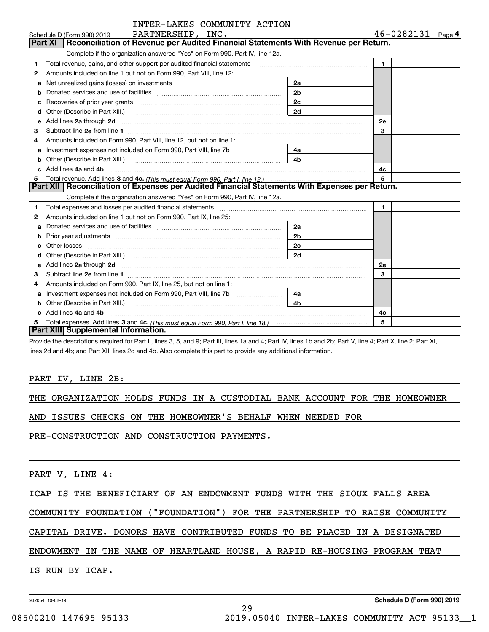|              | INTER-LAKES COMMUNITY ACTION                                                                                                                                                                         |                |                       |
|--------------|------------------------------------------------------------------------------------------------------------------------------------------------------------------------------------------------------|----------------|-----------------------|
|              | PARTNERSHIP, INC.<br>Schedule D (Form 990) 2019                                                                                                                                                      |                | $46 - 0282131$ Page 4 |
|              | Reconciliation of Revenue per Audited Financial Statements With Revenue per Return.<br><b>Part XI</b>                                                                                                |                |                       |
|              | Complete if the organization answered "Yes" on Form 990, Part IV, line 12a.                                                                                                                          |                |                       |
| 1            | Total revenue, gains, and other support per audited financial statements                                                                                                                             |                | $\blacksquare$        |
| $\mathbf{2}$ | Amounts included on line 1 but not on Form 990, Part VIII, line 12:                                                                                                                                  |                |                       |
| a            |                                                                                                                                                                                                      | 2a             |                       |
| b            |                                                                                                                                                                                                      | 2 <sub>b</sub> |                       |
| с            |                                                                                                                                                                                                      | 2c             |                       |
| d            | Other (Describe in Part XIII.) <b>Construction Construction</b> Chern Construction Chern Chern Chern Chern Chern Chern                                                                               | 2d             |                       |
| е            | Add lines 2a through 2d                                                                                                                                                                              |                | 2e                    |
| 3            |                                                                                                                                                                                                      |                | 3                     |
| 4            | Amounts included on Form 990, Part VIII, line 12, but not on line 1:                                                                                                                                 |                |                       |
| a            |                                                                                                                                                                                                      | 4a l           |                       |
| b            |                                                                                                                                                                                                      | 4b             |                       |
| c.           | Add lines 4a and 4b                                                                                                                                                                                  |                | 4c                    |
|              |                                                                                                                                                                                                      |                | 5                     |
|              | Part XII   Reconciliation of Expenses per Audited Financial Statements With Expenses per Return.                                                                                                     |                |                       |
|              | Complete if the organization answered "Yes" on Form 990, Part IV, line 12a.                                                                                                                          |                |                       |
| 1            | Total expenses and losses per audited financial statements [11] [11] Total expenses and losses per audited financial statements [11] [11] Total expenses and losses per audited financial statements |                | $\mathbf{1}$          |
| 2            | Amounts included on line 1 but not on Form 990, Part IX, line 25:                                                                                                                                    |                |                       |
| a            |                                                                                                                                                                                                      | 2a             |                       |
|              |                                                                                                                                                                                                      | 2 <sub>b</sub> |                       |
|              |                                                                                                                                                                                                      | 2c             |                       |
| d            |                                                                                                                                                                                                      | 2d             |                       |
| e            | Add lines 2a through 2d <b>must be a constructed as the constant of the constant of the constant of the construction</b>                                                                             |                | 2e                    |
| З            |                                                                                                                                                                                                      |                | 3                     |
| 4            | Amounts included on Form 990, Part IX, line 25, but not on line 1:                                                                                                                                   |                |                       |
| a            | Investment expenses not included on Form 990, Part VIII, line 7b                                                                                                                                     | 4a             |                       |
|              | Other (Describe in Part XIII.)                                                                                                                                                                       | 4b             |                       |
|              | Add lines 4a and 4b                                                                                                                                                                                  |                | 4c                    |
| 5            |                                                                                                                                                                                                      |                | 5                     |
|              | Part XIII Supplemental Information.                                                                                                                                                                  |                |                       |

INTER-ACIDEMITY ACTION

Provide the descriptions required for Part II, lines 3, 5, and 9; Part III, lines 1a and 4; Part IV, lines 1b and 2b; Part V, line 4; Part X, line 2; Part XI, lines 2d and 4b; and Part XII, lines 2d and 4b. Also complete this part to provide any additional information.

### PART IV, LINE 2B:

|  | THE ORGANIZATION HOLDS FUNDS IN A CUSTODIAL BANK ACCOUNT FOR THE HOMEOWNER |  |  |  |  |  |  |  |  |  |  |
|--|----------------------------------------------------------------------------|--|--|--|--|--|--|--|--|--|--|
|--|----------------------------------------------------------------------------|--|--|--|--|--|--|--|--|--|--|

AND ISSUES CHECKS ON THE HOMEOWNER'S BEHALF WHEN NEEDED FOR

PRE-CONSTRUCTION AND CONSTRUCTION PAYMENTS.

PART V, LINE 4:

ICAP IS THE BENEFICIARY OF AN ENDOWMENT FUNDS WITH THE SIOUX FALLS AREA

COMMUNITY FOUNDATION ("FOUNDATION") FOR THE PARTNERSHIP TO RAISE COMMUNITY

CAPITAL DRIVE. DONORS HAVE CONTRIBUTED FUNDS TO BE PLACED IN A DESIGNATED

ENDOWMENT IN THE NAME OF HEARTLAND HOUSE, A RAPID RE-HOUSING PROGRAM THAT

29

IS RUN BY ICAP.

932054 10-02-19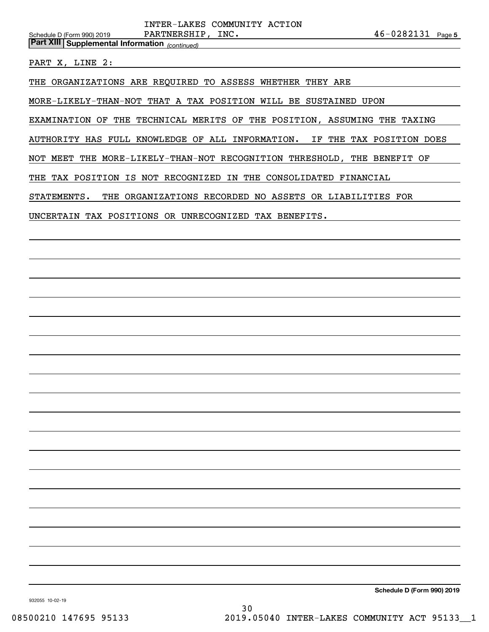*(continued)* **Part XIII Supplemental Information** 

PART X, LINE 2:

THE ORGANIZATIONS ARE REQUIRED TO ASSESS WHETHER THEY ARE

MORE-LIKELY-THAN-NOT THAT A TAX POSITION WILL BE SUSTAINED UPON

EXAMINATION OF THE TECHNICAL MERITS OF THE POSITION, ASSUMING THE TAXING

AUTHORITY HAS FULL KNOWLEDGE OF ALL INFORMATION. IF THE TAX POSITION DOES

NOT MEET THE MORE-LIKELY-THAN-NOT RECOGNITION THRESHOLD, THE BENEFIT OF

THE TAX POSITION IS NOT RECOGNIZED IN THE CONSOLIDATED FINANCIAL

STATEMENTS. THE ORGANIZATIONS RECORDED NO ASSETS OR LIABILITIES FOR

UNCERTAIN TAX POSITIONS OR UNRECOGNIZED TAX BENEFITS.

**Schedule D (Form 990) 2019**

932055 10-02-19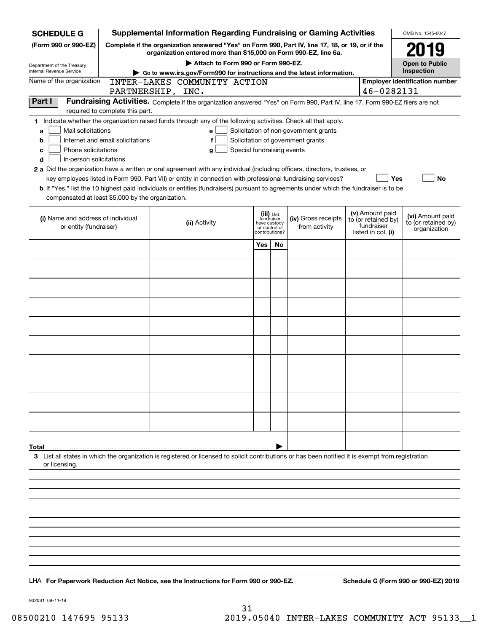| <b>SCHEDULE G</b>                                                                                                                             |                                  | <b>Supplemental Information Regarding Fundraising or Gaming Activities</b>                                                                                                                                                                                                                                                                                                                                                                                                                                                                                |                                                           |               |                                                                            |                                                                            | OMB No. 1545-0047                                       |  |
|-----------------------------------------------------------------------------------------------------------------------------------------------|----------------------------------|-----------------------------------------------------------------------------------------------------------------------------------------------------------------------------------------------------------------------------------------------------------------------------------------------------------------------------------------------------------------------------------------------------------------------------------------------------------------------------------------------------------------------------------------------------------|-----------------------------------------------------------|---------------|----------------------------------------------------------------------------|----------------------------------------------------------------------------|---------------------------------------------------------|--|
| (Form 990 or 990-EZ)                                                                                                                          |                                  | Complete if the organization answered "Yes" on Form 990, Part IV, line 17, 18, or 19, or if the                                                                                                                                                                                                                                                                                                                                                                                                                                                           |                                                           |               |                                                                            |                                                                            | 2019                                                    |  |
| Department of the Treasury                                                                                                                    |                                  | organization entered more than \$15,000 on Form 990-EZ, line 6a.<br>Attach to Form 990 or Form 990-EZ.                                                                                                                                                                                                                                                                                                                                                                                                                                                    |                                                           |               |                                                                            |                                                                            | <b>Open to Public</b>                                   |  |
| Internal Revenue Service                                                                                                                      |                                  | Go to www.irs.gov/Form990 for instructions and the latest information.                                                                                                                                                                                                                                                                                                                                                                                                                                                                                    |                                                           |               |                                                                            |                                                                            | Inspection                                              |  |
| Name of the organization                                                                                                                      | PARTNERSHIP, INC.                | INTER-LAKES COMMUNITY ACTION                                                                                                                                                                                                                                                                                                                                                                                                                                                                                                                              |                                                           |               |                                                                            | 46-0282131                                                                 | <b>Employer identification number</b>                   |  |
| Part I                                                                                                                                        | required to complete this part.  | Fundraising Activities. Complete if the organization answered "Yes" on Form 990, Part IV, line 17. Form 990-EZ filers are not                                                                                                                                                                                                                                                                                                                                                                                                                             |                                                           |               |                                                                            |                                                                            |                                                         |  |
| Mail solicitations<br>a<br>b<br>Phone solicitations<br>c<br>In-person solicitations<br>d<br>compensated at least \$5,000 by the organization. | Internet and email solicitations | 1 Indicate whether the organization raised funds through any of the following activities. Check all that apply.<br>e<br>f<br>Special fundraising events<br>g<br>2 a Did the organization have a written or oral agreement with any individual (including officers, directors, trustees, or<br>key employees listed in Form 990, Part VII) or entity in connection with professional fundraising services?<br><b>b</b> If "Yes," list the 10 highest paid individuals or entities (fundraisers) pursuant to agreements under which the fundraiser is to be |                                                           |               | Solicitation of non-government grants<br>Solicitation of government grants | Yes                                                                        | No                                                      |  |
| (i) Name and address of individual<br>or entity (fundraiser)                                                                                  |                                  | (ii) Activity                                                                                                                                                                                                                                                                                                                                                                                                                                                                                                                                             | (iii) Did<br>fundraiser<br>have custody<br>contributions? | or control of | (iv) Gross receipts<br>from activity                                       | (v) Amount paid<br>to (or retained by)<br>fundraiser<br>listed in col. (i) | (vi) Amount paid<br>to (or retained by)<br>organization |  |
|                                                                                                                                               |                                  |                                                                                                                                                                                                                                                                                                                                                                                                                                                                                                                                                           | Yes                                                       | No            |                                                                            |                                                                            |                                                         |  |
|                                                                                                                                               |                                  |                                                                                                                                                                                                                                                                                                                                                                                                                                                                                                                                                           |                                                           |               |                                                                            |                                                                            |                                                         |  |
|                                                                                                                                               |                                  |                                                                                                                                                                                                                                                                                                                                                                                                                                                                                                                                                           |                                                           |               |                                                                            |                                                                            |                                                         |  |
|                                                                                                                                               |                                  |                                                                                                                                                                                                                                                                                                                                                                                                                                                                                                                                                           |                                                           |               |                                                                            |                                                                            |                                                         |  |
|                                                                                                                                               |                                  |                                                                                                                                                                                                                                                                                                                                                                                                                                                                                                                                                           |                                                           |               |                                                                            |                                                                            |                                                         |  |
|                                                                                                                                               |                                  |                                                                                                                                                                                                                                                                                                                                                                                                                                                                                                                                                           |                                                           |               |                                                                            |                                                                            |                                                         |  |
|                                                                                                                                               |                                  |                                                                                                                                                                                                                                                                                                                                                                                                                                                                                                                                                           |                                                           |               |                                                                            |                                                                            |                                                         |  |
|                                                                                                                                               |                                  |                                                                                                                                                                                                                                                                                                                                                                                                                                                                                                                                                           |                                                           |               |                                                                            |                                                                            |                                                         |  |
|                                                                                                                                               |                                  |                                                                                                                                                                                                                                                                                                                                                                                                                                                                                                                                                           |                                                           |               |                                                                            |                                                                            |                                                         |  |
|                                                                                                                                               |                                  |                                                                                                                                                                                                                                                                                                                                                                                                                                                                                                                                                           |                                                           |               |                                                                            |                                                                            |                                                         |  |
|                                                                                                                                               |                                  |                                                                                                                                                                                                                                                                                                                                                                                                                                                                                                                                                           |                                                           |               |                                                                            |                                                                            |                                                         |  |
|                                                                                                                                               |                                  |                                                                                                                                                                                                                                                                                                                                                                                                                                                                                                                                                           |                                                           |               |                                                                            |                                                                            |                                                         |  |
| Total<br>or licensing.                                                                                                                        |                                  | 3 List all states in which the organization is registered or licensed to solicit contributions or has been notified it is exempt from registration                                                                                                                                                                                                                                                                                                                                                                                                        |                                                           |               |                                                                            |                                                                            |                                                         |  |
|                                                                                                                                               |                                  |                                                                                                                                                                                                                                                                                                                                                                                                                                                                                                                                                           |                                                           |               |                                                                            |                                                                            |                                                         |  |
|                                                                                                                                               |                                  |                                                                                                                                                                                                                                                                                                                                                                                                                                                                                                                                                           |                                                           |               |                                                                            |                                                                            |                                                         |  |
|                                                                                                                                               |                                  |                                                                                                                                                                                                                                                                                                                                                                                                                                                                                                                                                           |                                                           |               |                                                                            |                                                                            |                                                         |  |
|                                                                                                                                               |                                  |                                                                                                                                                                                                                                                                                                                                                                                                                                                                                                                                                           |                                                           |               |                                                                            |                                                                            |                                                         |  |
|                                                                                                                                               |                                  |                                                                                                                                                                                                                                                                                                                                                                                                                                                                                                                                                           |                                                           |               |                                                                            |                                                                            |                                                         |  |
|                                                                                                                                               |                                  |                                                                                                                                                                                                                                                                                                                                                                                                                                                                                                                                                           |                                                           |               |                                                                            |                                                                            |                                                         |  |
|                                                                                                                                               |                                  | LHA For Paperwork Reduction Act Notice, see the Instructions for Form 990 or 990-EZ.                                                                                                                                                                                                                                                                                                                                                                                                                                                                      |                                                           |               |                                                                            |                                                                            | Schedule G (Form 990 or 990-EZ) 2019                    |  |

932081 09-11-19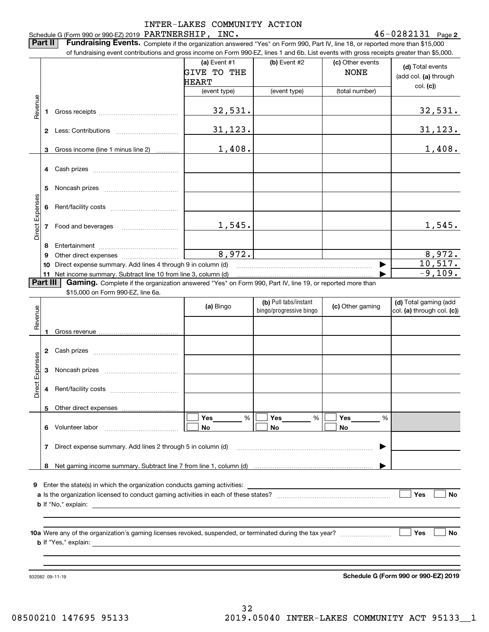### Schedule G (Form 990 or 990-EZ) 2019 Page PARTNERSHIP, INC. 46-0282131 INTER-LAKES COMMUNITY ACTION

**2**

**Part II** | Fundraising Events. Complete if the organization answered "Yes" on Form 990, Part IV, line 18, or reported more than \$15,000

| (c) Other events<br>(d) Total events<br>(add col. (a) through<br>col. (c)<br>(total number)<br>32,531.<br><u>31,123.</u><br>1,408. |
|------------------------------------------------------------------------------------------------------------------------------------|
|                                                                                                                                    |
|                                                                                                                                    |
|                                                                                                                                    |
|                                                                                                                                    |
|                                                                                                                                    |
|                                                                                                                                    |
|                                                                                                                                    |
|                                                                                                                                    |
|                                                                                                                                    |
| 1,545.                                                                                                                             |
|                                                                                                                                    |
| 8,972.                                                                                                                             |
| 10,517.<br>▶                                                                                                                       |
| $-9,109.$                                                                                                                          |
| Gaming. Complete if the organization answered "Yes" on Form 990, Part IV, line 19, or reported more than                           |
|                                                                                                                                    |
| (d) Total gaming (add<br>(c) Other gaming<br>col. (a) through col. (c))                                                            |
|                                                                                                                                    |
|                                                                                                                                    |
|                                                                                                                                    |
|                                                                                                                                    |
|                                                                                                                                    |
| $\frac{0}{0}$                                                                                                                      |
|                                                                                                                                    |
| ▶                                                                                                                                  |
|                                                                                                                                    |
| Enter the state(s) in which the organization conducts gaming activities:                                                           |
| Yes<br>No                                                                                                                          |
|                                                                                                                                    |
|                                                                                                                                    |
| Yes<br>No                                                                                                                          |
|                                                                                                                                    |
|                                                                                                                                    |
|                                                                                                                                    |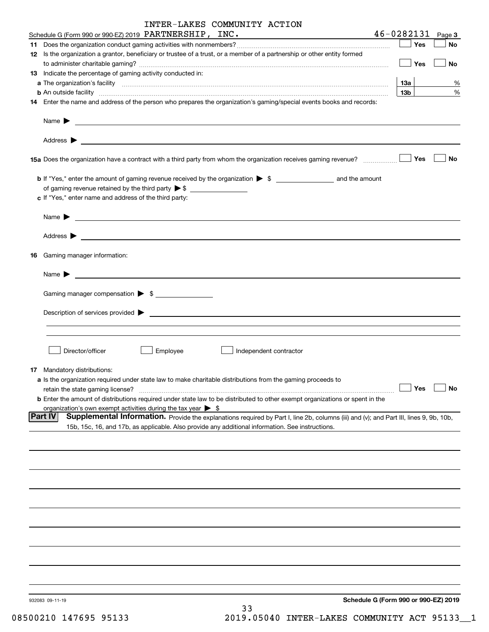| INTER-LAKES COMMUNITY ACTION                                                                                                                                                                                                                          |                 |        |
|-------------------------------------------------------------------------------------------------------------------------------------------------------------------------------------------------------------------------------------------------------|-----------------|--------|
| Schedule G (Form 990 or 990-EZ) 2019 PARTNERSHIP, INC.                                                                                                                                                                                                | $46 - 0282131$  | Page 3 |
|                                                                                                                                                                                                                                                       | Yes             | No     |
| 12 Is the organization a grantor, beneficiary or trustee of a trust, or a member of a partnership or other entity formed                                                                                                                              | Yes             | No     |
| 13 Indicate the percentage of gaming activity conducted in:                                                                                                                                                                                           |                 |        |
|                                                                                                                                                                                                                                                       | $13a$           | %      |
| <b>b</b> An outside facility <b>contained and the contract of the contract of the contract of the contract of the contract of the contract of the contract of the contract of the contract of the contract of the contract of the con</b>             | 13 <sub>b</sub> | %      |
| 14 Enter the name and address of the person who prepares the organization's gaming/special events books and records:                                                                                                                                  |                 |        |
|                                                                                                                                                                                                                                                       |                 |        |
|                                                                                                                                                                                                                                                       |                 |        |
| 15a Does the organization have a contract with a third party from whom the organization receives gaming revenue?                                                                                                                                      | Yes             | No     |
|                                                                                                                                                                                                                                                       |                 |        |
|                                                                                                                                                                                                                                                       |                 |        |
| c If "Yes," enter name and address of the third party:                                                                                                                                                                                                |                 |        |
|                                                                                                                                                                                                                                                       |                 |        |
|                                                                                                                                                                                                                                                       |                 |        |
| 16 Gaming manager information:                                                                                                                                                                                                                        |                 |        |
| Name $\blacktriangleright$ $\lrcorner$                                                                                                                                                                                                                |                 |        |
| Gaming manager compensation > \$                                                                                                                                                                                                                      |                 |        |
|                                                                                                                                                                                                                                                       |                 |        |
|                                                                                                                                                                                                                                                       |                 |        |
| Director/officer<br>Employee<br>Independent contractor                                                                                                                                                                                                |                 |        |
| 17 Mandatory distributions:                                                                                                                                                                                                                           |                 |        |
| a Is the organization required under state law to make charitable distributions from the gaming proceeds to                                                                                                                                           |                 |        |
| retain the state gaming license?                                                                                                                                                                                                                      | Yes             | No     |
| <b>b</b> Enter the amount of distributions required under state law to be distributed to other exempt organizations or spent in the                                                                                                                   |                 |        |
| organization's own exempt activities during the tax year $\triangleright$ \$                                                                                                                                                                          |                 |        |
| Part IV<br>Supplemental Information. Provide the explanations required by Part I, line 2b, columns (iii) and (v); and Part III, lines 9, 9b, 10b,<br>15b, 15c, 16, and 17b, as applicable. Also provide any additional information. See instructions. |                 |        |
|                                                                                                                                                                                                                                                       |                 |        |
|                                                                                                                                                                                                                                                       |                 |        |
|                                                                                                                                                                                                                                                       |                 |        |
|                                                                                                                                                                                                                                                       |                 |        |
|                                                                                                                                                                                                                                                       |                 |        |
|                                                                                                                                                                                                                                                       |                 |        |
|                                                                                                                                                                                                                                                       |                 |        |
|                                                                                                                                                                                                                                                       |                 |        |
|                                                                                                                                                                                                                                                       |                 |        |
|                                                                                                                                                                                                                                                       |                 |        |
| Schedule G (Form 990 or 990-EZ) 2019<br>932083 09-11-19<br>33                                                                                                                                                                                         |                 |        |

08500210 147695 95133 2019.05040 INTER-LAKES COMMUNITY ACT 95133\_1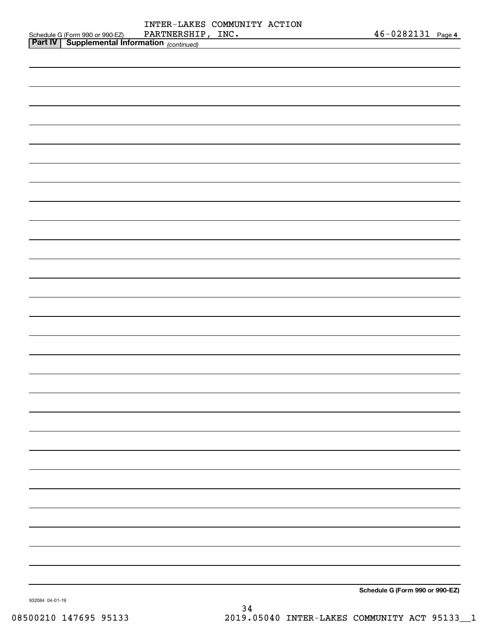| <b>Part IV   Supplemental Information</b> (continued) |                              |            |        |
|-------------------------------------------------------|------------------------------|------------|--------|
| Schedule G (Form 990 or 990-EZ)                       | PARTNERSHIP, INC.            | 46-0282131 | Page 4 |
|                                                       | INTER-LAKES COMMUNITY ACTION |            |        |

**Schedule G (Form 990 or 990-EZ)**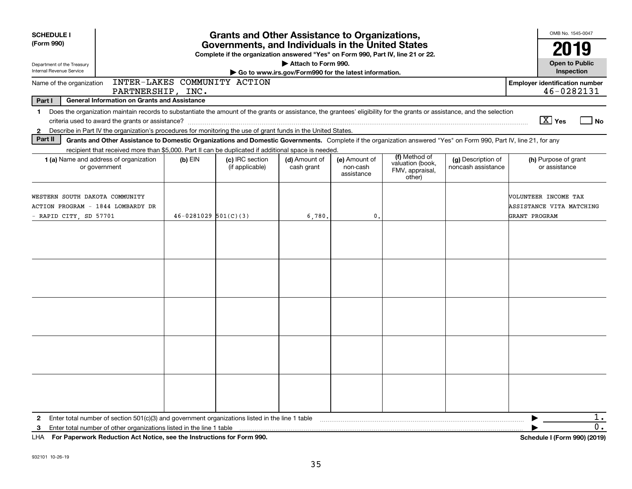| <b>SCHEDULE I</b>                                                                                                                                                                                                                                                                                           |                                                   | <b>Grants and Other Assistance to Organizations,</b>                                                                                  |                                                                              |                                         | OMB No. 1545-0047<br>2019                                      |                                          |                                                                   |  |  |  |
|-------------------------------------------------------------------------------------------------------------------------------------------------------------------------------------------------------------------------------------------------------------------------------------------------------------|---------------------------------------------------|---------------------------------------------------------------------------------------------------------------------------------------|------------------------------------------------------------------------------|-----------------------------------------|----------------------------------------------------------------|------------------------------------------|-------------------------------------------------------------------|--|--|--|
| (Form 990)                                                                                                                                                                                                                                                                                                  |                                                   | Governments, and Individuals in the United States<br>Complete if the organization answered "Yes" on Form 990, Part IV, line 21 or 22. |                                                                              |                                         |                                                                |                                          |                                                                   |  |  |  |
| Department of the Treasury<br>Internal Revenue Service                                                                                                                                                                                                                                                      |                                                   |                                                                                                                                       | Attach to Form 990.<br>Go to www.irs.gov/Form990 for the latest information. |                                         |                                                                |                                          | <b>Open to Public</b><br>Inspection                               |  |  |  |
| Name of the organization                                                                                                                                                                                                                                                                                    | INTER-LAKES COMMUNITY ACTION<br>PARTNERSHIP, INC. |                                                                                                                                       |                                                                              |                                         |                                                                |                                          | <b>Employer identification number</b><br>46-0282131               |  |  |  |
| Part I<br><b>General Information on Grants and Assistance</b>                                                                                                                                                                                                                                               |                                                   |                                                                                                                                       |                                                                              |                                         |                                                                |                                          |                                                                   |  |  |  |
| 1 Does the organization maintain records to substantiate the amount of the grants or assistance, the grantees' eligibility for the grants or assistance, and the selection<br>Describe in Part IV the organization's procedures for monitoring the use of grant funds in the United States.<br>$\mathbf{2}$ |                                                   |                                                                                                                                       |                                                                              |                                         |                                                                |                                          | $\boxed{\text{X}}$ Yes<br>  No                                    |  |  |  |
| Part II<br>Grants and Other Assistance to Domestic Organizations and Domestic Governments. Complete if the organization answered "Yes" on Form 990, Part IV, line 21, for any<br>recipient that received more than \$5,000. Part II can be duplicated if additional space is needed.                        |                                                   |                                                                                                                                       |                                                                              |                                         |                                                                |                                          |                                                                   |  |  |  |
| <b>1 (a)</b> Name and address of organization<br>or government                                                                                                                                                                                                                                              | $(b)$ EIN                                         | (c) IRC section<br>(if applicable)                                                                                                    | (d) Amount of<br>cash grant                                                  | (e) Amount of<br>non-cash<br>assistance | (f) Method of<br>valuation (book,<br>FMV, appraisal,<br>other) | (g) Description of<br>noncash assistance | (h) Purpose of grant<br>or assistance                             |  |  |  |
| WESTERN SOUTH DAKOTA COMMUNITY<br>ACTION PROGRAM - 1844 LOMBARDY DR<br>- RAPID CITY, SD 57701                                                                                                                                                                                                               | $46 - 0281029$ 501(C)(3)                          |                                                                                                                                       | 6,780,                                                                       | $\mathbf{0}$                            |                                                                |                                          | VOLUNTEER INCOME TAX<br>ASSISTANCE VITA MATCHING<br>GRANT PROGRAM |  |  |  |
|                                                                                                                                                                                                                                                                                                             |                                                   |                                                                                                                                       |                                                                              |                                         |                                                                |                                          |                                                                   |  |  |  |
|                                                                                                                                                                                                                                                                                                             |                                                   |                                                                                                                                       |                                                                              |                                         |                                                                |                                          |                                                                   |  |  |  |
|                                                                                                                                                                                                                                                                                                             |                                                   |                                                                                                                                       |                                                                              |                                         |                                                                |                                          |                                                                   |  |  |  |
|                                                                                                                                                                                                                                                                                                             |                                                   |                                                                                                                                       |                                                                              |                                         |                                                                |                                          |                                                                   |  |  |  |
|                                                                                                                                                                                                                                                                                                             |                                                   |                                                                                                                                       |                                                                              |                                         |                                                                |                                          |                                                                   |  |  |  |
| Enter total number of section $501(c)(3)$ and government organizations listed in the line 1 table<br>$\mathbf{2}$                                                                                                                                                                                           |                                                   |                                                                                                                                       |                                                                              |                                         |                                                                |                                          | $1$ .                                                             |  |  |  |
| Enter total number of other organizations listed in the line 1 table<br>3<br>LHA For Paperwork Reduction Act Notice, see the Instructions for Form 990.                                                                                                                                                     |                                                   |                                                                                                                                       |                                                                              |                                         |                                                                |                                          | 0.<br>Schedule I (Form 990) (2019)                                |  |  |  |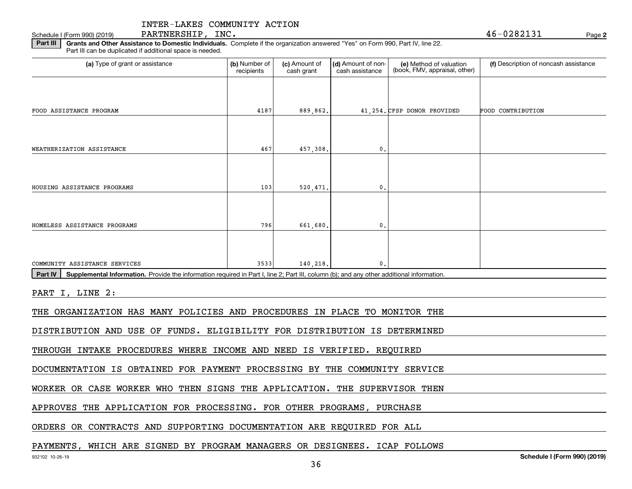**2**Schedule I (Form 990) (2019) Page PARTNERSHIP, INC. 46-0282131

**Part III** | Grants and Other Assistance to Domestic Individuals. Complete if the organization answered "Yes" on Form 990, Part IV, line 22. Part III can be duplicated if additional space is needed.

| (a) Type of grant or assistance                                                                                                                      | (b) Number of<br>recipients | (c) Amount of<br>cash grant | (d) Amount of non-<br>cash assistance | (e) Method of valuation<br>(book, FMV, appraisal, other) | (f) Description of noncash assistance |
|------------------------------------------------------------------------------------------------------------------------------------------------------|-----------------------------|-----------------------------|---------------------------------------|----------------------------------------------------------|---------------------------------------|
|                                                                                                                                                      |                             |                             |                                       |                                                          |                                       |
| FOOD ASSISTANCE PROGRAM                                                                                                                              | 4187                        | 889,862.                    |                                       | 41,254. CFSP DONOR PROVIDED                              | FOOD CONTRIBUTION                     |
| WEATHERIZATION ASSISTANCE                                                                                                                            | 467                         | 457,308.                    | $\mathbf{0}$                          |                                                          |                                       |
|                                                                                                                                                      |                             |                             |                                       |                                                          |                                       |
| HOUSING ASSISTANCE PROGRAMS                                                                                                                          | 103                         | 520,471.                    | 0                                     |                                                          |                                       |
|                                                                                                                                                      |                             |                             |                                       |                                                          |                                       |
| HOMELESS ASSISTANCE PROGRAMS                                                                                                                         | 796                         | 661.680.                    | $\mathbf{0}$ .                        |                                                          |                                       |
|                                                                                                                                                      |                             |                             |                                       |                                                          |                                       |
| COMMUNITY ASSISTANCE SERVICES                                                                                                                        | 3533                        | 140.218.                    | $\mathbf{0}$ .                        |                                                          |                                       |
| Supplemental Information. Provide the information required in Part I, line 2; Part III, column (b); and any other additional information.<br>Part IV |                             |                             |                                       |                                                          |                                       |
| PART I, LINE 2:                                                                                                                                      |                             |                             |                                       |                                                          |                                       |
| THE ORGANIZATION HAS MANY POLICIES AND PROCEDURES IN PLACE TO MONITOR THE                                                                            |                             |                             |                                       |                                                          |                                       |
| DISTRIBUTION AND USE OF FUNDS. ELIGIBILITY FOR DISTRIBUTION IS DETERMINED                                                                            |                             |                             |                                       |                                                          |                                       |
| THROUGH INTAKE PROCEDURES WHERE INCOME AND NEED IS VERIFIED. REQUIRED                                                                                |                             |                             |                                       |                                                          |                                       |
| DOCUMENTATION IS OBTAINED FOR PAYMENT PROCESSING BY THE COMMUNITY SERVICE                                                                            |                             |                             |                                       |                                                          |                                       |
| WORKER OR CASE WORKER WHO THEN SIGNS THE APPLICATION. THE SUPERVISOR THEN                                                                            |                             |                             |                                       |                                                          |                                       |
| ADDOVEC MUE ION ICAMION DO DOCECCINO                                                                                                                 |                             | מתגמממת מסטחת ממס           |                                       | סים געומסוות                                             |                                       |

APPROVES THE APPLICATION FOR PROCESSING. FOR OTHER PROGRAMS, PURCHASE

ORDERS OR CONTRACTS AND SUPPORTING DOCUMENTATION ARE REQUIRED FOR ALL

### PAYMENTS, WHICH ARE SIGNED BY PROGRAM MANAGERS OR DESIGNEES. ICAP FOLLOWS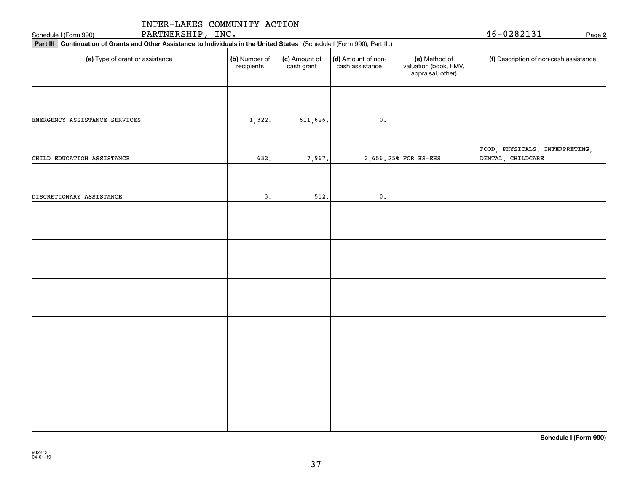| PARTNERSHIP, INC.<br>Schedule I (Form 990)                                                                                  | $46 - 0282131$<br>Page 2    |                             |                                       |                                                             |                                        |  |
|-----------------------------------------------------------------------------------------------------------------------------|-----------------------------|-----------------------------|---------------------------------------|-------------------------------------------------------------|----------------------------------------|--|
| Part III Continuation of Grants and Other Assistance to Individuals in the United States (Schedule I (Form 990), Part III.) |                             |                             |                                       |                                                             |                                        |  |
| (a) Type of grant or assistance                                                                                             | (b) Number of<br>recipients | (c) Amount of<br>cash grant | (d) Amount of non-<br>cash assistance | (e) Method of<br>valuation (book, FMV,<br>appraisal, other) | (f) Description of non-cash assistance |  |
| EMERGENCY ASSISTANCE SERVICES                                                                                               | 1,322.                      | 611,626.                    | $\mathfrak o$ .                       |                                                             |                                        |  |
|                                                                                                                             |                             |                             |                                       |                                                             | FOOD, PHYSICALS, INTERPRETING,         |  |
| CHILD EDUCATION ASSISTANCE                                                                                                  | 632.                        | 7,967.                      |                                       | 2,656. 25% FOR HS-EHS                                       | DENTAL, CHILDCARE                      |  |
| DISCRETIONARY ASSISTANCE                                                                                                    | 3.                          | 512.                        | $\mathbf{0}$ .                        |                                                             |                                        |  |
|                                                                                                                             |                             |                             |                                       |                                                             |                                        |  |
|                                                                                                                             |                             |                             |                                       |                                                             |                                        |  |
|                                                                                                                             |                             |                             |                                       |                                                             |                                        |  |
|                                                                                                                             |                             |                             |                                       |                                                             |                                        |  |
|                                                                                                                             |                             |                             |                                       |                                                             |                                        |  |
|                                                                                                                             |                             |                             |                                       |                                                             |                                        |  |
|                                                                                                                             |                             |                             |                                       |                                                             |                                        |  |

**Schedule I (Form 990)**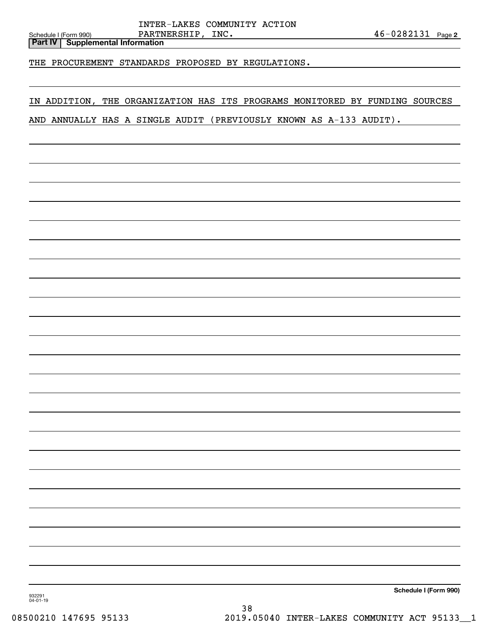**Part IV Supplemental Information**

THE PROCUREMENT STANDARDS PROPOSED BY REGULATIONS.

### IN ADDITION, THE ORGANIZATION HAS ITS PROGRAMS MONITORED BY FUNDING SOURCES

AND ANNUALLY HAS A SINGLE AUDIT (PREVIOUSLY KNOWN AS A-133 AUDIT).

**Schedule I (Form 990)**

932291 04-01-19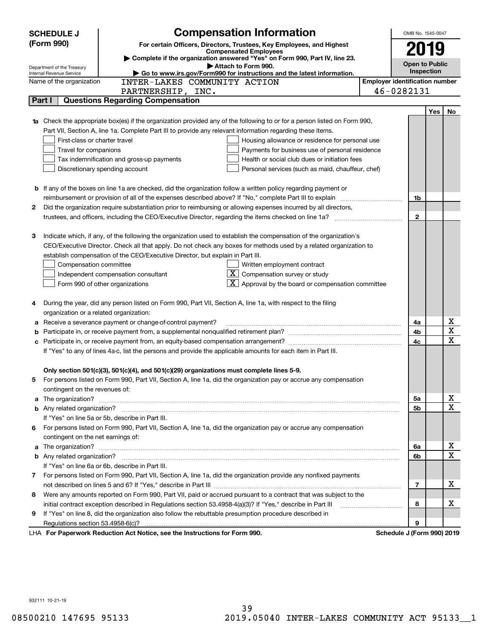|   | <b>Compensation Information</b><br><b>SCHEDULE J</b> |                                                                                                                                                                                                                                      | OMB No. 1545-0047                     |     |    |
|---|------------------------------------------------------|--------------------------------------------------------------------------------------------------------------------------------------------------------------------------------------------------------------------------------------|---------------------------------------|-----|----|
|   | (Form 990)                                           | For certain Officers, Directors, Trustees, Key Employees, and Highest                                                                                                                                                                |                                       |     |    |
|   |                                                      | <b>Compensated Employees</b>                                                                                                                                                                                                         | 2019                                  |     |    |
|   | Department of the Treasury                           | Complete if the organization answered "Yes" on Form 990, Part IV, line 23.<br>Attach to Form 990.                                                                                                                                    | <b>Open to Public</b>                 |     |    |
|   | Internal Revenue Service                             | Go to www.irs.gov/Form990 for instructions and the latest information.                                                                                                                                                               | Inspection                            |     |    |
|   | Name of the organization                             | INTER-LAKES COMMUNITY ACTION                                                                                                                                                                                                         | <b>Employer identification number</b> |     |    |
|   |                                                      | PARTNERSHIP, INC.                                                                                                                                                                                                                    | 46-0282131                            |     |    |
|   | Part I                                               | <b>Questions Regarding Compensation</b>                                                                                                                                                                                              |                                       |     |    |
|   |                                                      |                                                                                                                                                                                                                                      |                                       | Yes | No |
|   |                                                      | Check the appropriate box(es) if the organization provided any of the following to or for a person listed on Form 990,                                                                                                               |                                       |     |    |
|   |                                                      | Part VII, Section A, line 1a. Complete Part III to provide any relevant information regarding these items.                                                                                                                           |                                       |     |    |
|   | First-class or charter travel                        | Housing allowance or residence for personal use                                                                                                                                                                                      |                                       |     |    |
|   | Travel for companions                                | Payments for business use of personal residence                                                                                                                                                                                      |                                       |     |    |
|   |                                                      | Tax indemnification and gross-up payments<br>Health or social club dues or initiation fees                                                                                                                                           |                                       |     |    |
|   |                                                      | Discretionary spending account<br>Personal services (such as maid, chauffeur, chef)                                                                                                                                                  |                                       |     |    |
|   |                                                      |                                                                                                                                                                                                                                      |                                       |     |    |
|   |                                                      | <b>b</b> If any of the boxes on line 1a are checked, did the organization follow a written policy regarding payment or                                                                                                               |                                       |     |    |
|   |                                                      |                                                                                                                                                                                                                                      | 1b                                    |     |    |
| 2 |                                                      | Did the organization require substantiation prior to reimbursing or allowing expenses incurred by all directors,                                                                                                                     |                                       |     |    |
|   |                                                      | trustees, and officers, including the CEO/Executive Director, regarding the items checked on line 1a?                                                                                                                                | $\mathbf{2}$                          |     |    |
|   |                                                      |                                                                                                                                                                                                                                      |                                       |     |    |
| З |                                                      | Indicate which, if any, of the following the organization used to establish the compensation of the organization's                                                                                                                   |                                       |     |    |
|   |                                                      | CEO/Executive Director. Check all that apply. Do not check any boxes for methods used by a related organization to                                                                                                                   |                                       |     |    |
|   |                                                      | establish compensation of the CEO/Executive Director, but explain in Part III.                                                                                                                                                       |                                       |     |    |
|   | Compensation committee                               | Written employment contract<br>$X$ Compensation survey or study                                                                                                                                                                      |                                       |     |    |
|   |                                                      | Independent compensation consultant<br>$\overline{\mathbf{X}}$ Approval by the board or compensation committee                                                                                                                       |                                       |     |    |
|   |                                                      | Form 990 of other organizations                                                                                                                                                                                                      |                                       |     |    |
| 4 |                                                      | During the year, did any person listed on Form 990, Part VII, Section A, line 1a, with respect to the filing                                                                                                                         |                                       |     |    |
|   | organization or a related organization:              |                                                                                                                                                                                                                                      |                                       |     |    |
| а |                                                      | Receive a severance payment or change-of-control payment?                                                                                                                                                                            | 4a                                    |     | х  |
|   |                                                      |                                                                                                                                                                                                                                      | 4b                                    |     | X  |
| c |                                                      |                                                                                                                                                                                                                                      | 4c                                    |     | X  |
|   |                                                      | If "Yes" to any of lines 4a-c, list the persons and provide the applicable amounts for each item in Part III.                                                                                                                        |                                       |     |    |
|   |                                                      |                                                                                                                                                                                                                                      |                                       |     |    |
|   |                                                      | Only section 501(c)(3), 501(c)(4), and 501(c)(29) organizations must complete lines 5-9.                                                                                                                                             |                                       |     |    |
|   |                                                      | For persons listed on Form 990, Part VII, Section A, line 1a, did the organization pay or accrue any compensation                                                                                                                    |                                       |     |    |
|   | contingent on the revenues of:                       |                                                                                                                                                                                                                                      |                                       |     |    |
| a |                                                      | The organization? <b>With the contract of the contract of the contract of the contract of the contract of the contract of the contract of the contract of the contract of the contract of the contract of the contract of the co</b> | 5a                                    |     | x  |
|   |                                                      |                                                                                                                                                                                                                                      | 5b                                    |     | X  |
|   |                                                      | If "Yes" on line 5a or 5b, describe in Part III.                                                                                                                                                                                     |                                       |     |    |
|   |                                                      | 6 For persons listed on Form 990, Part VII, Section A, line 1a, did the organization pay or accrue any compensation                                                                                                                  |                                       |     |    |
|   | contingent on the net earnings of:                   |                                                                                                                                                                                                                                      |                                       |     |    |
| a |                                                      |                                                                                                                                                                                                                                      | 6a                                    |     | x  |
|   |                                                      |                                                                                                                                                                                                                                      | 6b                                    |     | X  |
|   |                                                      | If "Yes" on line 6a or 6b, describe in Part III.                                                                                                                                                                                     |                                       |     |    |
|   |                                                      | 7 For persons listed on Form 990, Part VII, Section A, line 1a, did the organization provide any nonfixed payments                                                                                                                   |                                       |     |    |
|   |                                                      |                                                                                                                                                                                                                                      | $\overline{7}$                        |     | х  |
|   |                                                      | 8 Were any amounts reported on Form 990, Part VII, paid or accrued pursuant to a contract that was subject to the                                                                                                                    |                                       |     |    |
|   |                                                      | initial contract exception described in Regulations section 53.4958-4(a)(3)? If "Yes," describe in Part III                                                                                                                          | 8                                     |     | х  |
| 9 |                                                      | If "Yes" on line 8, did the organization also follow the rebuttable presumption procedure described in                                                                                                                               |                                       |     |    |
|   | Regulations section 53.4958-6(c)?                    |                                                                                                                                                                                                                                      | 9                                     |     |    |
|   |                                                      | LHA For Paperwork Reduction Act Notice, see the Instructions for Form 990.                                                                                                                                                           | Schedule J (Form 990) 2019            |     |    |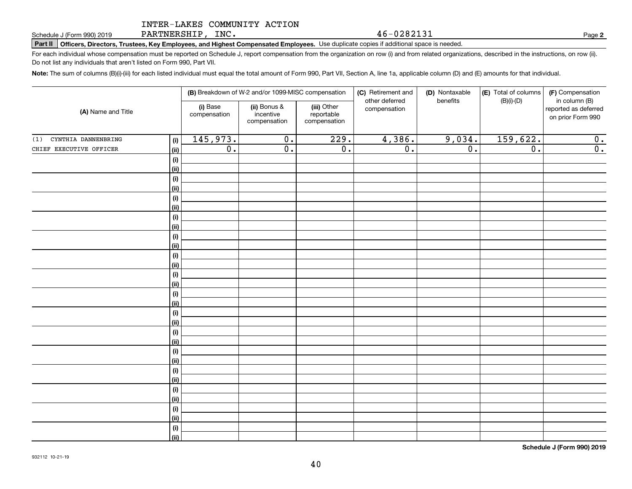PARTNERSHIP, INC.

**Part II Officers, Directors, Trustees, Key Employees, and Highest Compensated Employees.**  Schedule J (Form 990) 2019 Page Use duplicate copies if additional space is needed.

For each individual whose compensation must be reported on Schedule J, report compensation from the organization on row (i) and from related organizations, described in the instructions, on row (ii). Do not list any individuals that aren't listed on Form 990, Part VII.

**Note:**  The sum of columns (B)(i)-(iii) for each listed individual must equal the total amount of Form 990, Part VII, Section A, line 1a, applicable column (D) and (E) amounts for that individual.

|                                   |                          | (B) Breakdown of W-2 and/or 1099-MISC compensation |                                           | (C) Retirement and<br>other deferred | (D) Nontaxable<br>benefits | (E) Total of columns | (F) Compensation<br>in column (B)         |  |
|-----------------------------------|--------------------------|----------------------------------------------------|-------------------------------------------|--------------------------------------|----------------------------|----------------------|-------------------------------------------|--|
| (A) Name and Title                | (i) Base<br>compensation | (ii) Bonus &<br>incentive<br>compensation          | (iii) Other<br>reportable<br>compensation | compensation                         |                            | $(B)(i)-(D)$         | reported as deferred<br>on prior Form 990 |  |
| CYNTHIA DANNENBRING<br>(1)<br>(i) | 145,973.                 | $\overline{0}$ .                                   | 229.                                      | 4,386.                               | 9,034.                     | 159,622.             | 0.                                        |  |
| CHIEF EXECUTIVE OFFICER<br>(ii)   | $\overline{0}$ .         | $\overline{\mathfrak{0}}$ .                        | $\overline{0}$ .                          | $\overline{0}$ .                     | $\overline{0}$ .           | $\overline{0}$ .     | $\overline{0}$ .                          |  |
|                                   | (i)                      |                                                    |                                           |                                      |                            |                      |                                           |  |
| (ii)                              |                          |                                                    |                                           |                                      |                            |                      |                                           |  |
|                                   | (i)                      |                                                    |                                           |                                      |                            |                      |                                           |  |
| (ii)                              |                          |                                                    |                                           |                                      |                            |                      |                                           |  |
|                                   | (i)                      |                                                    |                                           |                                      |                            |                      |                                           |  |
| (ii)                              |                          |                                                    |                                           |                                      |                            |                      |                                           |  |
|                                   | (i)                      |                                                    |                                           |                                      |                            |                      |                                           |  |
| (ii)                              |                          |                                                    |                                           |                                      |                            |                      |                                           |  |
|                                   | (i)                      |                                                    |                                           |                                      |                            |                      |                                           |  |
|                                   | (ii)                     |                                                    |                                           |                                      |                            |                      |                                           |  |
|                                   | (i)                      |                                                    |                                           |                                      |                            |                      |                                           |  |
|                                   | (ii)                     |                                                    |                                           |                                      |                            |                      |                                           |  |
|                                   | $(\sf{i})$               |                                                    |                                           |                                      |                            |                      |                                           |  |
|                                   | (ii)                     |                                                    |                                           |                                      |                            |                      |                                           |  |
|                                   | (i)                      |                                                    |                                           |                                      |                            |                      |                                           |  |
|                                   | (ii)                     |                                                    |                                           |                                      |                            |                      |                                           |  |
| (ii)                              | (i)                      |                                                    |                                           |                                      |                            |                      |                                           |  |
|                                   | (i)                      |                                                    |                                           |                                      |                            |                      |                                           |  |
| (ii)                              |                          |                                                    |                                           |                                      |                            |                      |                                           |  |
|                                   | (i)                      |                                                    |                                           |                                      |                            |                      |                                           |  |
| (ii)                              |                          |                                                    |                                           |                                      |                            |                      |                                           |  |
|                                   | (i)                      |                                                    |                                           |                                      |                            |                      |                                           |  |
|                                   | (ii)                     |                                                    |                                           |                                      |                            |                      |                                           |  |
|                                   | (i)                      |                                                    |                                           |                                      |                            |                      |                                           |  |
|                                   | (ii)                     |                                                    |                                           |                                      |                            |                      |                                           |  |
|                                   | (i)                      |                                                    |                                           |                                      |                            |                      |                                           |  |
|                                   | (ii)                     |                                                    |                                           |                                      |                            |                      |                                           |  |
|                                   | (i)                      |                                                    |                                           |                                      |                            |                      |                                           |  |
|                                   | (ii)                     |                                                    |                                           |                                      |                            |                      |                                           |  |

**Schedule J (Form 990) 2019**

**2**

46-0282131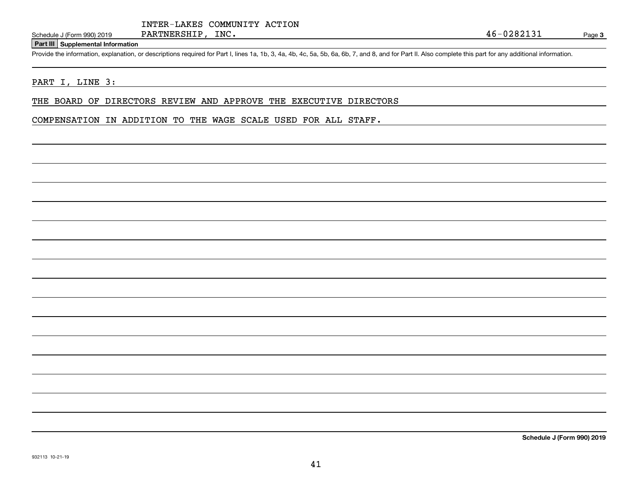### **Part III Supplemental Information**

Schedule J (Form 990) 2019 PARTNERSHIP, INC.<br>Part III Supplemental Information<br>Provide the information, explanation, or descriptions required for Part I, lines 1a, 1b, 3, 4a, 4b, 4c, 5a, 5b, 6a, 6b, 7, and 8, and for Part

### PART I, LINE 3:

THE BOARD OF DIRECTORS REVIEW AND APPROVE THE EXECUTIVE DIRECTORS

COMPENSATION IN ADDITION TO THE WAGE SCALE USED FOR ALL STAFF.

**Schedule J (Form 990) 2019**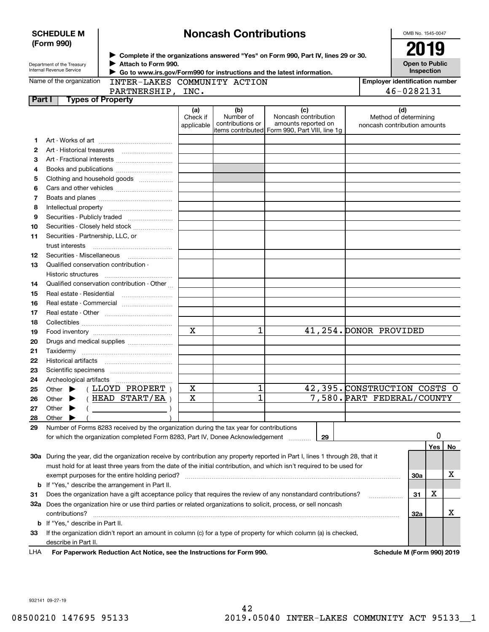|              | <b>SCHEDULE M</b>                                      |                                                                                                                                |                               | <b>Noncash Contributions</b>         |                                                                                                      | OMB No. 1545-0047                                            |     |    |
|--------------|--------------------------------------------------------|--------------------------------------------------------------------------------------------------------------------------------|-------------------------------|--------------------------------------|------------------------------------------------------------------------------------------------------|--------------------------------------------------------------|-----|----|
|              | (Form 990)                                             |                                                                                                                                |                               |                                      |                                                                                                      | 2019                                                         |     |    |
|              | Department of the Treasury<br>Internal Revenue Service | Attach to Form 990.<br>Go to www.irs.gov/Form990 for instructions and the latest information.                                  |                               |                                      | ▶ Complete if the organizations answered "Yes" on Form 990, Part IV, lines 29 or 30.                 | <b>Open to Public</b><br>Inspection                          |     |    |
|              | Name of the organization                               | INTER-LAKES COMMUNITY ACTION                                                                                                   |                               |                                      |                                                                                                      | <b>Employer identification number</b>                        |     |    |
|              |                                                        | PARTNERSHIP, INC.                                                                                                              |                               |                                      |                                                                                                      | 46-0282131                                                   |     |    |
| Part I       | <b>Types of Property</b>                               |                                                                                                                                |                               |                                      |                                                                                                      |                                                              |     |    |
|              |                                                        |                                                                                                                                | (a)<br>Check if<br>applicable | (b)<br>Number of<br>contributions or | (c)<br>Noncash contribution<br>amounts reported on<br>items contributed Form 990, Part VIII, line 1g | (d)<br>Method of determining<br>noncash contribution amounts |     |    |
| 1.           |                                                        |                                                                                                                                |                               |                                      |                                                                                                      |                                                              |     |    |
| $\mathbf{2}$ |                                                        |                                                                                                                                |                               |                                      |                                                                                                      |                                                              |     |    |
| З            |                                                        |                                                                                                                                |                               |                                      |                                                                                                      |                                                              |     |    |
| 4            |                                                        |                                                                                                                                |                               |                                      |                                                                                                      |                                                              |     |    |
| 5            |                                                        | Clothing and household goods                                                                                                   |                               |                                      |                                                                                                      |                                                              |     |    |
| 6            |                                                        |                                                                                                                                |                               |                                      |                                                                                                      |                                                              |     |    |
| 7            |                                                        |                                                                                                                                |                               |                                      |                                                                                                      |                                                              |     |    |
| 8            |                                                        |                                                                                                                                |                               |                                      |                                                                                                      |                                                              |     |    |
| 9            |                                                        |                                                                                                                                |                               |                                      |                                                                                                      |                                                              |     |    |
| 10           |                                                        | Securities - Closely held stock                                                                                                |                               |                                      |                                                                                                      |                                                              |     |    |
| 11           | Securities - Partnership, LLC, or                      |                                                                                                                                |                               |                                      |                                                                                                      |                                                              |     |    |
|              | trust interests                                        |                                                                                                                                |                               |                                      |                                                                                                      |                                                              |     |    |
| 12           | Securities Miscellaneous                               |                                                                                                                                |                               |                                      |                                                                                                      |                                                              |     |    |
| 13           | Qualified conservation contribution -                  |                                                                                                                                |                               |                                      |                                                                                                      |                                                              |     |    |
|              | Historic structures                                    |                                                                                                                                |                               |                                      |                                                                                                      |                                                              |     |    |
| 14           |                                                        | Qualified conservation contribution - Other                                                                                    |                               |                                      |                                                                                                      |                                                              |     |    |
| 15           | Real estate - Residential                              |                                                                                                                                |                               |                                      |                                                                                                      |                                                              |     |    |
| 16           |                                                        | Real estate - Commercial                                                                                                       |                               |                                      |                                                                                                      |                                                              |     |    |
| 17           |                                                        |                                                                                                                                |                               |                                      |                                                                                                      |                                                              |     |    |
| 18           |                                                        |                                                                                                                                |                               |                                      |                                                                                                      |                                                              |     |    |
| 19           |                                                        |                                                                                                                                | $\overline{\mathbf{x}}$       | 1                                    |                                                                                                      | 41,254. DONOR PROVIDED                                       |     |    |
| 20           |                                                        | Drugs and medical supplies                                                                                                     |                               |                                      |                                                                                                      |                                                              |     |    |
| 21           |                                                        |                                                                                                                                |                               |                                      |                                                                                                      |                                                              |     |    |
| 22           |                                                        |                                                                                                                                |                               |                                      |                                                                                                      |                                                              |     |    |
| 23           |                                                        |                                                                                                                                |                               |                                      |                                                                                                      |                                                              |     |    |
| 24           | Archeological artifacts                                |                                                                                                                                |                               |                                      |                                                                                                      |                                                              |     |    |
|              |                                                        | LLOYD PROPERT)                                                                                                                 | X                             | 1                                    |                                                                                                      | 42,395. CONSTRUCTION COSTS O                                 |     |    |
| 25<br>26     | Other<br>Other                                         | HEAD START/EA                                                                                                                  | $\mathbf X$                   | 1                                    |                                                                                                      | 7,580. PART FEDERAL/COUNTY                                   |     |    |
| 27           | Other                                                  |                                                                                                                                |                               |                                      |                                                                                                      |                                                              |     |    |
| 28           | Other                                                  |                                                                                                                                |                               |                                      |                                                                                                      |                                                              |     |    |
| 29           |                                                        | Number of Forms 8283 received by the organization during the tax year for contributions                                        |                               |                                      |                                                                                                      |                                                              |     |    |
|              |                                                        | for which the organization completed Form 8283, Part IV, Donee Acknowledgement                                                 |                               |                                      | 29                                                                                                   |                                                              | 0   |    |
|              |                                                        |                                                                                                                                |                               |                                      |                                                                                                      |                                                              | Yes | No |
|              |                                                        | 30a During the year, did the organization receive by contribution any property reported in Part I, lines 1 through 28, that it |                               |                                      |                                                                                                      |                                                              |     |    |
|              |                                                        | must hold for at least three years from the date of the initial contribution, and which isn't required to be used for          |                               |                                      |                                                                                                      |                                                              |     |    |
|              |                                                        | exempt purposes for the entire holding period?                                                                                 |                               |                                      |                                                                                                      | 30a                                                          |     | X  |
|              |                                                        | <b>b</b> If "Yes," describe the arrangement in Part II.                                                                        |                               |                                      |                                                                                                      |                                                              |     |    |
| 31           |                                                        | Does the organization have a gift acceptance policy that requires the review of any nonstandard contributions?                 |                               |                                      |                                                                                                      | 31                                                           | Х   |    |
|              |                                                        | 32a Does the organization hire or use third parties or related organizations to solicit, process, or sell noncash              |                               |                                      |                                                                                                      |                                                              |     |    |
|              | contributions?                                         |                                                                                                                                |                               |                                      |                                                                                                      | 32a                                                          |     | х  |
|              | b If "Yes," describe in Part II.                       |                                                                                                                                |                               |                                      |                                                                                                      |                                                              |     |    |
| 33           |                                                        | If the organization didn't report an amount in column (c) for a type of property for which column (a) is checked,              |                               |                                      |                                                                                                      |                                                              |     |    |
|              | describe in Part II.                                   |                                                                                                                                |                               |                                      |                                                                                                      |                                                              |     |    |
|              |                                                        | For Departments Reduction Act Notice, and the Instructions for Form 000                                                        |                               |                                      |                                                                                                      | Cohodulo M (Corm 000) 2010                                   |     |    |

**For Paperwork Reduction Act Notice, see the Instructions for Form 990. Schedule M (Form 990) 2019** LHA

932141 09-27-19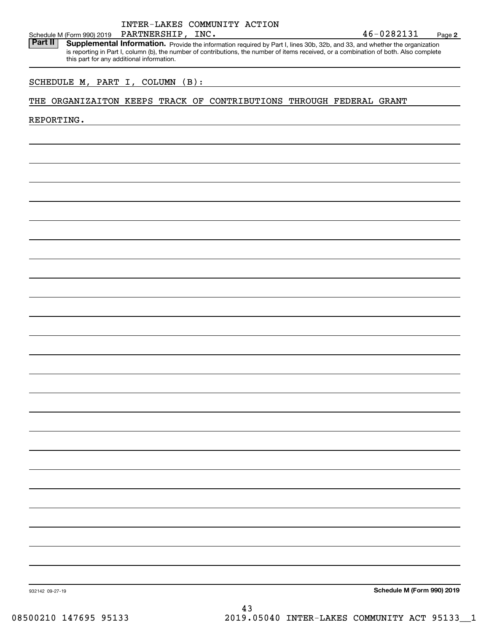### INTER-LAKES COMMUNITY ACTION PARTNERSHIP,

**2**

Schedule M (Form 990) 2019 PARTNERSHIP, INC.<br>**Part II** Supplemental Information. Provide the information required by Part I. lines 30b. 32b. and 33, and whether the organ Part II | Supplemental Information. Provide the information required by Part I, lines 30b, 32b, and 33, and whether the organization is reporting in Part I, column (b), the number of contributions, the number of items received, or a combination of both. Also complete this part for any additional information.

### SCHEDULE M, PART I, COLUMN (B):

### THE ORGANIZAITON KEEPS TRACK OF CONTRIBUTIONS THROUGH FEDERAL GRANT

### REPORTING.

**Schedule M (Form 990) 2019**

932142 09-27-19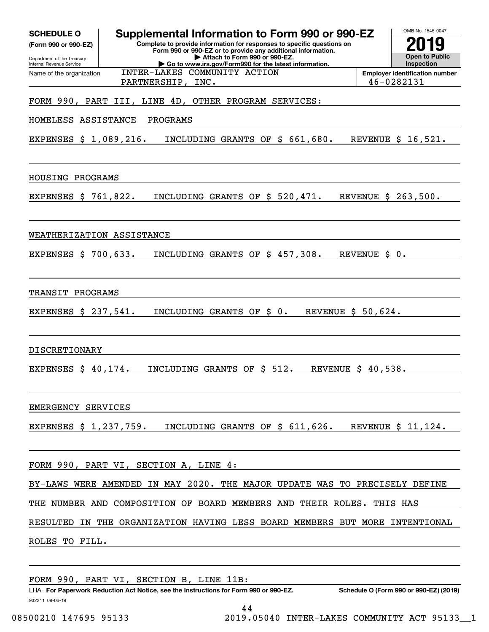| Supplemental Information to Form 990 or 990-EZ<br><b>SCHEDULE O</b><br>Complete to provide information for responses to specific questions on<br>(Form 990 or 990-EZ)<br>Form 990 or 990-EZ or to provide any additional information.<br>Attach to Form 990 or 990-EZ.<br>Department of the Treasury<br>Go to www.irs.gov/Form990 for the latest information.<br>Internal Revenue Service<br>INTER-LAKES COMMUNITY ACTION<br>Name of the organization<br>PARTNERSHIP, INC. | OMB No. 1545-0047<br>IJ<br><b>Open to Public</b><br>Inspection<br><b>Employer identification number</b><br>46-0282131 |
|----------------------------------------------------------------------------------------------------------------------------------------------------------------------------------------------------------------------------------------------------------------------------------------------------------------------------------------------------------------------------------------------------------------------------------------------------------------------------|-----------------------------------------------------------------------------------------------------------------------|
| FORM 990, PART III, LINE 4D, OTHER PROGRAM SERVICES:                                                                                                                                                                                                                                                                                                                                                                                                                       |                                                                                                                       |
| PROGRAMS<br>HOMELESS ASSISTANCE                                                                                                                                                                                                                                                                                                                                                                                                                                            |                                                                                                                       |
| INCLUDING GRANTS OF \$ 661,680.<br>EXPENSES \$ 1,089,216.                                                                                                                                                                                                                                                                                                                                                                                                                  | REVENUE \$ 16,521.                                                                                                    |
| HOUSING PROGRAMS                                                                                                                                                                                                                                                                                                                                                                                                                                                           |                                                                                                                       |
| EXPENSES \$ 761,822.<br>INCLUDING GRANTS OF \$ 520,471.                                                                                                                                                                                                                                                                                                                                                                                                                    | REVENUE \$ 263,500.                                                                                                   |
| WEATHERIZATION ASSISTANCE                                                                                                                                                                                                                                                                                                                                                                                                                                                  |                                                                                                                       |
| EXPENSES \$ 700,633.<br>INCLUDING GRANTS OF \$ 457,308.                                                                                                                                                                                                                                                                                                                                                                                                                    | REVENUE \$ 0.                                                                                                         |
| TRANSIT PROGRAMS                                                                                                                                                                                                                                                                                                                                                                                                                                                           |                                                                                                                       |
| REVENUE \$ 50,624.<br>EXPENSES \$ 237,541.<br>INCLUDING GRANTS OF \$ 0.                                                                                                                                                                                                                                                                                                                                                                                                    |                                                                                                                       |
| <b>DISCRETIONARY</b>                                                                                                                                                                                                                                                                                                                                                                                                                                                       |                                                                                                                       |
| INCLUDING GRANTS OF \$ 512.<br>EXPENSES $$40,174.$                                                                                                                                                                                                                                                                                                                                                                                                                         | REVENUE \$ 40,538.                                                                                                    |
| EMERGENCY SERVICES                                                                                                                                                                                                                                                                                                                                                                                                                                                         |                                                                                                                       |
| EXPENSES $\sharp$ 1,237,759. INCLUDING GRANTS OF $\sharp$ 611,626. REVENUE $\sharp$ 11,124.                                                                                                                                                                                                                                                                                                                                                                                |                                                                                                                       |
| FORM 990, PART VI, SECTION A, LINE 4:                                                                                                                                                                                                                                                                                                                                                                                                                                      |                                                                                                                       |
| BY-LAWS WERE AMENDED IN MAY 2020. THE MAJOR UPDATE WAS TO PRECISELY DEFINE                                                                                                                                                                                                                                                                                                                                                                                                 |                                                                                                                       |
| THE NUMBER AND COMPOSITION OF BOARD MEMBERS AND THEIR ROLES. THIS HAS                                                                                                                                                                                                                                                                                                                                                                                                      |                                                                                                                       |
| RESULTED IN THE ORGANIZATION HAVING LESS BOARD MEMBERS BUT MORE INTENTIONAL                                                                                                                                                                                                                                                                                                                                                                                                |                                                                                                                       |
| ROLES TO FILL.                                                                                                                                                                                                                                                                                                                                                                                                                                                             |                                                                                                                       |
|                                                                                                                                                                                                                                                                                                                                                                                                                                                                            |                                                                                                                       |

LHA For Paperwork Reduction Act Notice, see the Instructions for Form 990 or 990-EZ. Schedule O (Form 990 or 990-EZ) (2019) FORM 990, PART VI, SECTION B, LINE 11B:

932211 09-06-19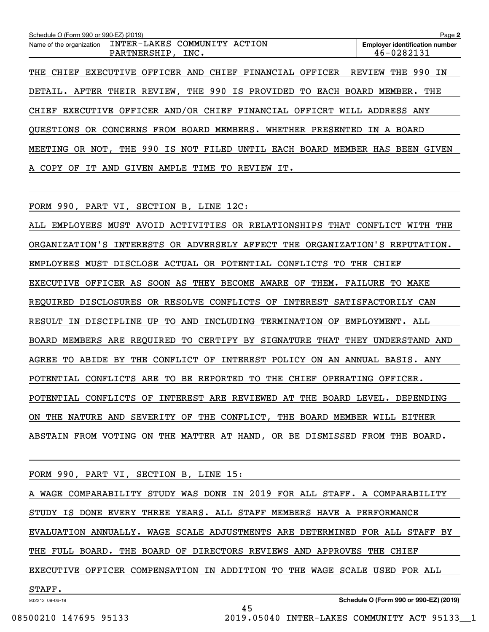| Schedule O (Form 990 or 990-EZ) (2019) |                                                                         | Page 2                      |  |  |
|----------------------------------------|-------------------------------------------------------------------------|-----------------------------|--|--|
| Name of the organization               | <b>Employer identification number</b><br>46-0282131                     |                             |  |  |
| THE CHIEF                              | EXECUTIVE OFFICER AND CHIEF FINANCIAL OFFICER                           | <b>THE 990 IN</b><br>REVIEW |  |  |
|                                        | DETAIL. AFTER THEIR REVIEW, THE 990 IS PROVIDED TO EACH BOARD MEMBER.   | THE                         |  |  |
|                                        | CHIEF EXECUTIVE OFFICER AND/OR CHIEF FINANCIAL OFFICRT WILL ADDRESS ANY |                             |  |  |
|                                        | OUESTIONS OR CONCERNS FROM BOARD MEMBERS. WHETHER PRESENTED             | A BOARD<br>IN               |  |  |
| MEETING                                | OR NOT, THE 990 IS NOT FILED UNTIL EACH BOARD MEMBER HAS BEEN GIVEN     |                             |  |  |
| A COPY OF<br>IT.                       | AND GIVEN AMPLE TIME TO REVIEW IT.                                      |                             |  |  |

FORM 990, PART VI, SECTION B, LINE 12C:

ALL EMPLOYEES MUST AVOID ACTIVITIES OR RELATIONSHIPS THAT CONFLICT WITH THE ORGANIZATION'S INTERESTS OR ADVERSELY AFFECT THE ORGANIZATION'S REPUTATION. EMPLOYEES MUST DISCLOSE ACTUAL OR POTENTIAL CONFLICTS TO THE CHIEF EXECUTIVE OFFICER AS SOON AS THEY BECOME AWARE OF THEM. FAILURE TO MAKE REQUIRED DISCLOSURES OR RESOLVE CONFLICTS OF INTEREST SATISFACTORILY CAN RESULT IN DISCIPLINE UP TO AND INCLUDING TERMINATION OF EMPLOYMENT. ALL BOARD MEMBERS ARE REQUIRED TO CERTIFY BY SIGNATURE THAT THEY UNDERSTAND AND AGREE TO ABIDE BY THE CONFLICT OF INTEREST POLICY ON AN ANNUAL BASIS. ANY POTENTIAL CONFLICTS ARE TO BE REPORTED TO THE CHIEF OPERATING OFFICER. POTENTIAL CONFLICTS OF INTEREST ARE REVIEWED AT THE BOARD LEVEL. DEPENDING ON THE NATURE AND SEVERITY OF THE CONFLICT, THE BOARD MEMBER WILL EITHER ABSTAIN FROM VOTING ON THE MATTER AT HAND, OR BE DISMISSED FROM THE BOARD.

FORM 990, PART VI, SECTION B, LINE 15:

A WAGE COMPARABILITY STUDY WAS DONE IN 2019 FOR ALL STAFF. A COMPARABILITY STUDY IS DONE EVERY THREE YEARS. ALL STAFF MEMBERS HAVE A PERFORMANCE EVALUATION ANNUALLY. WAGE SCALE ADJUSTMENTS ARE DETERMINED FOR ALL STAFF BY THE FULL BOARD. THE BOARD OF DIRECTORS REVIEWS AND APPROVES THE CHIEF EXECUTIVE OFFICER COMPENSATION IN ADDITION TO THE WAGE SCALE USED FOR ALL STAFF.

45

932212 09-06-19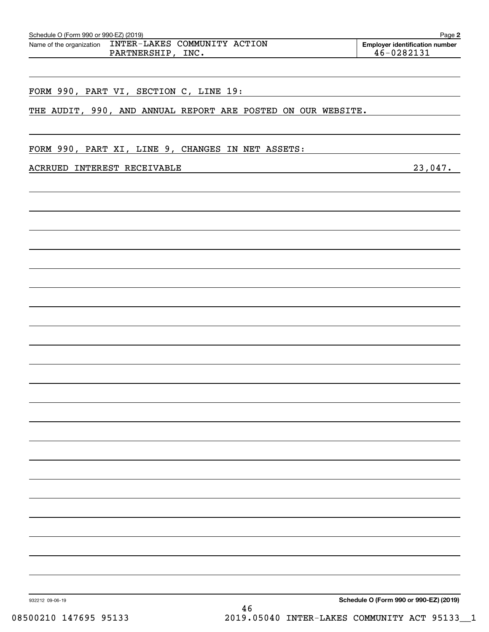| ACRRUED INTEREST RECEIVABLE 23,047. |  |
|-------------------------------------|--|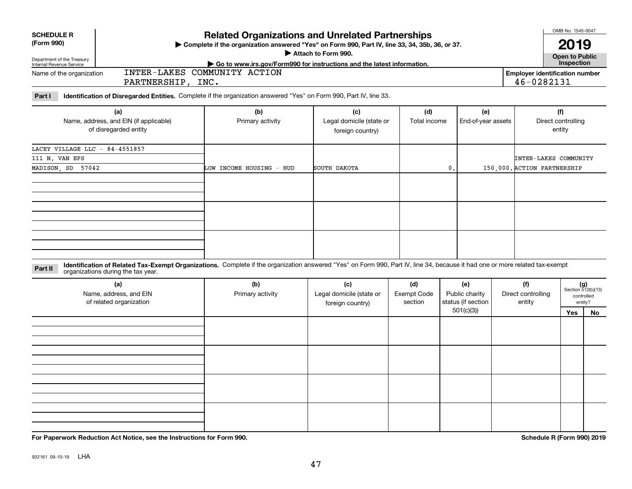Department of the Treasury Internal Revenue Service

Name of the organization

**SCHEDULE R (Form 990)**

**For Paperwork Reduction Act Notice, see the Instructions for Form 990. Schedule R (Form 990) 2019**

932161 09-10-19 LHA

# **Related Organizations and Unrelated Partnerships**

**Complete if the organization answered "Yes" on Form 990, Part IV, line 33, 34, 35b, 36, or 37.** |

**Attach to Form 990.**  |

OMB No. 1545-0047

**2019**

46-0282131

**Part I Identification of Disregarded Entities.**  Complete if the organization answered "Yes" on Form 990, Part IV, line 33.

INTER-LAKES COMMUNITY ACTION

PARTNERSHIP, INC.

| (a)<br>Name, address, and EIN (if applicable)<br>of disregarded entity | (b)<br>Primary activity  | (c)<br>Legal domicile (state or<br>foreign country) | (d)<br>Total income | (e)<br>End-of-year assets | (f)<br>Direct controlling<br>entity |
|------------------------------------------------------------------------|--------------------------|-----------------------------------------------------|---------------------|---------------------------|-------------------------------------|
| LACEY VILLAGE LLC - 84-4551857                                         |                          |                                                     |                     |                           |                                     |
| 111 N. VAN EPS                                                         |                          |                                                     |                     |                           | INTER-LAKES COMMUNITY               |
| MADISON, SD 57042                                                      | LOW INCOME HOUSING - HUD | SOUTH DAKOTA                                        | 0.                  |                           | 150,000. ACTION PARTNERSHIP         |
|                                                                        |                          |                                                     |                     |                           |                                     |
|                                                                        |                          |                                                     |                     |                           |                                     |
|                                                                        |                          |                                                     |                     |                           |                                     |

**Identification of Related Tax-Exempt Organizations.** Complete if the organization answered "Yes" on Form 990, Part IV, line 34, because it had one or more related tax-exempt **Part II** organizations during the tax year.

| organizations during the tax year.                       |                         |                                                     |                                      |                                             |                                     |     |                                                      |
|----------------------------------------------------------|-------------------------|-----------------------------------------------------|--------------------------------------|---------------------------------------------|-------------------------------------|-----|------------------------------------------------------|
| (a)<br>Name, address, and EIN<br>of related organization | (b)<br>Primary activity | (c)<br>Legal domicile (state or<br>foreign country) | (d)<br><b>Exempt Code</b><br>section | (e)<br>Public charity<br>status (if section | (f)<br>Direct controlling<br>entity |     | $(g)$<br>Section 512(b)(13)<br>controlled<br>entity? |
|                                                          |                         |                                                     |                                      | 501(c)(3))                                  |                                     | Yes | No                                                   |
|                                                          |                         |                                                     |                                      |                                             |                                     |     |                                                      |
|                                                          |                         |                                                     |                                      |                                             |                                     |     |                                                      |
|                                                          |                         |                                                     |                                      |                                             |                                     |     |                                                      |
|                                                          |                         |                                                     |                                      |                                             |                                     |     |                                                      |
|                                                          |                         |                                                     |                                      |                                             |                                     |     |                                                      |
|                                                          |                         |                                                     |                                      |                                             |                                     |     |                                                      |
|                                                          |                         |                                                     |                                      |                                             |                                     |     |                                                      |
|                                                          |                         |                                                     |                                      |                                             |                                     |     |                                                      |
|                                                          |                         |                                                     |                                      |                                             |                                     |     |                                                      |
|                                                          |                         |                                                     |                                      |                                             |                                     |     |                                                      |
|                                                          |                         |                                                     |                                      |                                             |                                     |     |                                                      |
|                                                          |                         |                                                     |                                      |                                             |                                     |     |                                                      |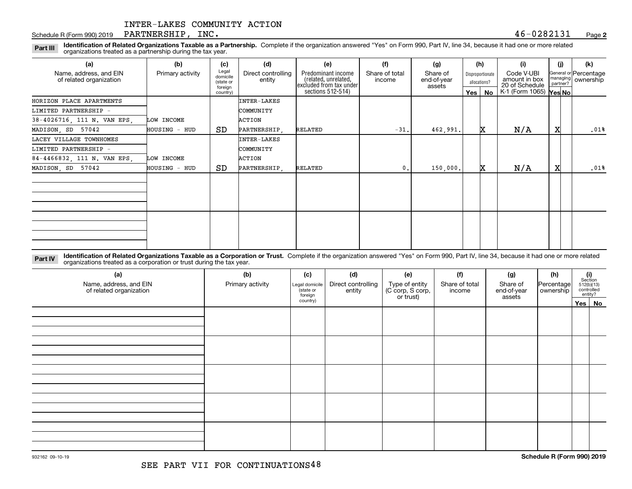### Schedule R (Form 990) 2019  $\rm {PARTNERSHIP}$  ,  $\rm{INC.}$  and the contract of the contract of the contract of the contract of the contract of the contract of the contract of the contract of the contract of the contract of the c

**2**

**Identification of Related Organizations Taxable as a Partnership.** Complete if the organization answered "Yes" on Form 990, Part IV, line 34, because it had one or more related **Part III** organizations treated as a partnership during the tax year.

| (a)                                               | (b)              | (c)                                       | (d)                          | (e)                                                                   | (f)                      | (g)                               |         | (h)                              | (i)                                           | (i)                  | (k)                                |
|---------------------------------------------------|------------------|-------------------------------------------|------------------------------|-----------------------------------------------------------------------|--------------------------|-----------------------------------|---------|----------------------------------|-----------------------------------------------|----------------------|------------------------------------|
| Name, address, and EIN<br>of related organization | Primary activity | Legal<br>domicile<br>(state or<br>foreign | Direct controlling<br>entity | Predominant income<br>(related, unrelated,<br>excluded from tax under | Share of total<br>income | Share of<br>end-of-year<br>assets |         | Disproportionate<br>allocations? | Code V-UBI<br>amount in box<br>20 of Schedule | managing<br>partner? | General or Percentage<br>ownership |
|                                                   |                  | country)                                  |                              | sections 512-514)                                                     |                          |                                   | Yes $ $ | No                               | K-1 (Form 1065) Yes No                        |                      |                                    |
| HORIZON PLACE APARTMENTS                          |                  |                                           | <b>INTER-LAKES</b>           |                                                                       |                          |                                   |         |                                  |                                               |                      |                                    |
| LIMITED PARTNERSHIP -                             |                  |                                           | COMMUNITY                    |                                                                       |                          |                                   |         |                                  |                                               |                      |                                    |
| 38-4026716, 111 N. VAN EPS,                       | LOW INCOME       |                                           | ACTION                       |                                                                       |                          |                                   |         |                                  |                                               |                      |                                    |
| MADISON, SD 57042                                 | HOUSING - HUD    | SD.                                       | PARTNERSHIP,                 | RELATED                                                               | $-31.$                   | 462,991.                          |         | <b>X</b>                         | N/A                                           | X                    | .01%                               |
| LACEY VILLAGE TOWNHOMES                           |                  |                                           | <b>INTER-LAKES</b>           |                                                                       |                          |                                   |         |                                  |                                               |                      |                                    |
| LIMITED PARTNERSHIP -                             |                  |                                           | COMMUNITY                    |                                                                       |                          |                                   |         |                                  |                                               |                      |                                    |
| 84-4466832, 111 N. VAN EPS,                       | LOW INCOME       |                                           | ACTION                       |                                                                       |                          |                                   |         |                                  |                                               |                      |                                    |
| MADISON, SD 57042                                 | HOUSING - HUD    | SD.                                       | PARTNERSHIP.                 | RELATED                                                               | $\mathbf{0}$ .           | 150,000.                          |         | x                                | N/A                                           | X                    | .01%                               |
|                                                   |                  |                                           |                              |                                                                       |                          |                                   |         |                                  |                                               |                      |                                    |
|                                                   |                  |                                           |                              |                                                                       |                          |                                   |         |                                  |                                               |                      |                                    |
|                                                   |                  |                                           |                              |                                                                       |                          |                                   |         |                                  |                                               |                      |                                    |
|                                                   |                  |                                           |                              |                                                                       |                          |                                   |         |                                  |                                               |                      |                                    |
|                                                   |                  |                                           |                              |                                                                       |                          |                                   |         |                                  |                                               |                      |                                    |
|                                                   |                  |                                           |                              |                                                                       |                          |                                   |         |                                  |                                               |                      |                                    |
|                                                   |                  |                                           |                              |                                                                       |                          |                                   |         |                                  |                                               |                      |                                    |

**Identification of Related Organizations Taxable as a Corporation or Trust.** Complete if the organization answered "Yes" on Form 990, Part IV, line 34, because it had one or more related **Part IV** organizations treated as a corporation or trust during the tax year.

| (a)<br>Name, address, and EIN<br>of related organization | (b)<br>Primary activity | (c)<br>Legal domicile<br>(state or<br>foreign | (d)<br>Direct controlling<br>entity | (e)<br>Type of entity<br>(C corp, S corp,<br>or trust) | (f)<br>Share of total<br>income | (g)<br>Share of<br>end-of-year<br>assets | (h)<br> Percentage <br>ownership | $\begin{array}{c} \textbf{(i)}\\ \text{Section}\\ 512 \text{(b)} \text{(13)}\\ \text{controlled}\\ \text{entity?} \end{array}$ |
|----------------------------------------------------------|-------------------------|-----------------------------------------------|-------------------------------------|--------------------------------------------------------|---------------------------------|------------------------------------------|----------------------------------|--------------------------------------------------------------------------------------------------------------------------------|
|                                                          |                         | country)                                      |                                     |                                                        |                                 |                                          |                                  | Yes No                                                                                                                         |
|                                                          |                         |                                               |                                     |                                                        |                                 |                                          |                                  |                                                                                                                                |
|                                                          |                         |                                               |                                     |                                                        |                                 |                                          |                                  |                                                                                                                                |
|                                                          |                         |                                               |                                     |                                                        |                                 |                                          |                                  |                                                                                                                                |
|                                                          |                         |                                               |                                     |                                                        |                                 |                                          |                                  |                                                                                                                                |
|                                                          |                         |                                               |                                     |                                                        |                                 |                                          |                                  |                                                                                                                                |
|                                                          |                         |                                               |                                     |                                                        |                                 |                                          |                                  |                                                                                                                                |
|                                                          |                         |                                               |                                     |                                                        |                                 |                                          |                                  |                                                                                                                                |
|                                                          |                         |                                               |                                     |                                                        |                                 |                                          |                                  |                                                                                                                                |
|                                                          |                         |                                               |                                     |                                                        |                                 |                                          |                                  |                                                                                                                                |
|                                                          |                         |                                               |                                     |                                                        |                                 |                                          |                                  |                                                                                                                                |
|                                                          |                         |                                               |                                     |                                                        |                                 |                                          |                                  |                                                                                                                                |
|                                                          |                         |                                               |                                     |                                                        |                                 |                                          |                                  |                                                                                                                                |
|                                                          |                         |                                               |                                     |                                                        |                                 |                                          |                                  |                                                                                                                                |
|                                                          |                         |                                               |                                     |                                                        |                                 |                                          |                                  |                                                                                                                                |
|                                                          |                         |                                               |                                     |                                                        |                                 |                                          |                                  |                                                                                                                                |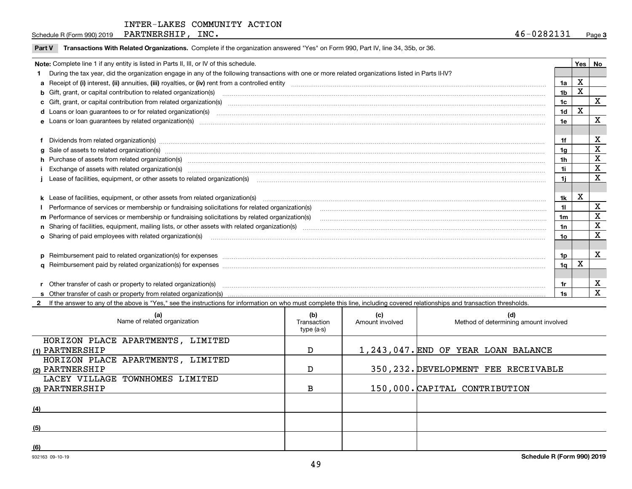Schedule R (Form 990) 2019  $\rm {PARTNERSHIP}$  ,  $\rm{INC.}$  and the contract of the contract of the contract of the contract of the contract of the contract of the contract of the contract of the contract of the contract of the c

| <b>Part V</b> | Transactions With Related Organizations. Complete if the organization answered "Yes" on Form 990, Part IV, line 34, 35b, or 36.                                                                                                |                 |   |             |
|---------------|--------------------------------------------------------------------------------------------------------------------------------------------------------------------------------------------------------------------------------|-----------------|---|-------------|
|               | Note: Complete line 1 if any entity is listed in Parts II, III, or IV of this schedule.                                                                                                                                        |                 |   | Yes   No    |
|               | During the tax year, did the organization engage in any of the following transactions with one or more related organizations listed in Parts II-IV?                                                                            |                 |   |             |
|               |                                                                                                                                                                                                                                | 1a              | X |             |
|               | b Gift, grant, or capital contribution to related organization(s) manufaction contracts and contribution to related organization(s)                                                                                            | 1 <sub>b</sub>  | х |             |
|               | c Gift, grant, or capital contribution from related organization(s) manufaction(s) and contribution from related organization(s) manufaction contribution from related organization(s) manufaction contribution from related o | 1 <sub>c</sub>  |   | $\mathbf X$ |
|               |                                                                                                                                                                                                                                | 1d              | X |             |
|               |                                                                                                                                                                                                                                | 1e              |   | X           |
|               |                                                                                                                                                                                                                                |                 |   |             |
|               | Dividends from related organization(s) Entertainment and the contract of the contract of the contract of the contract of the contract of the contract of the contract of the contract of the contract of the contract of the c | 1f              |   | X           |
|               | g Sale of assets to related organization(s) manufactured content and content and content and content and content and content and content and content and content and content and content and content and content and content a | 1g              |   | X           |
|               | h Purchase of assets from related organization(s) www.communically.com/www.communically.com/www.communically.com/www.communically.com/www.communically.com/www.communically.com/www.communically.com/www.communically.com/www. | 1 <sub>h</sub>  |   | X           |
|               |                                                                                                                                                                                                                                | 1i              |   | X           |
|               | Lease of facilities, equipment, or other assets to related organization(s) material content and content and content and content and content and content and content and content and content and content and content and conten | 1i              |   | X           |
|               |                                                                                                                                                                                                                                |                 |   |             |
|               | k Lease of facilities, equipment, or other assets from related organization(s) manufaction content and content to the assets from related organization(s) manufaction content and content and content and content and content  | 1k              | X |             |
|               |                                                                                                                                                                                                                                | 11              |   | X           |
|               |                                                                                                                                                                                                                                | 1m              |   | X           |
|               |                                                                                                                                                                                                                                | 1n              |   | X           |
|               | <b>o</b> Sharing of paid employees with related organization(s)                                                                                                                                                                | 10 <sub>o</sub> |   | X           |
|               |                                                                                                                                                                                                                                |                 |   |             |
|               | p Reimbursement paid to related organization(s) for expenses [11111] [12] reasonal content of the separation (s) for expenses [11111] [12] reasonal content in the separation (s) for expenses [1111] [12] reasonal content in | 1p              |   | х           |
|               |                                                                                                                                                                                                                                | 1 <sub>q</sub>  | X |             |
|               |                                                                                                                                                                                                                                |                 |   |             |
|               | r Other transfer of cash or property to related organization(s)                                                                                                                                                                | 1r              |   | х           |
|               |                                                                                                                                                                                                                                | 1s              |   | X           |

**2**If the answer to any of the above is "Yes," see the instructions for information on who must complete this line, including covered relationships and transaction thresholds.

| (a)<br>Name of related organization | (b)<br>Transaction<br>type (a-s) | (c)<br>Amount involved | (d)<br>Method of determining amount involved |
|-------------------------------------|----------------------------------|------------------------|----------------------------------------------|
| HORIZON PLACE APARTMENTS, LIMITED   |                                  |                        |                                              |
| (1) PARTNERSHIP                     | D                                |                        | 1,243,047. END OF YEAR LOAN BALANCE          |
| HORIZON PLACE APARTMENTS, LIMITED   |                                  |                        |                                              |
| (2) PARTNERSHIP                     | D                                |                        | 350, 232. DEVELOPMENT FEE RECEIVABLE         |
| LACEY VILLAGE TOWNHOMES LIMITED     |                                  |                        |                                              |
| (3) PARTNERSHIP                     | B                                |                        | 150,000. CAPITAL CONTRIBUTION                |
|                                     |                                  |                        |                                              |
| (4)                                 |                                  |                        |                                              |
|                                     |                                  |                        |                                              |
| (5)                                 |                                  |                        |                                              |
|                                     |                                  |                        |                                              |
| (6)                                 |                                  |                        |                                              |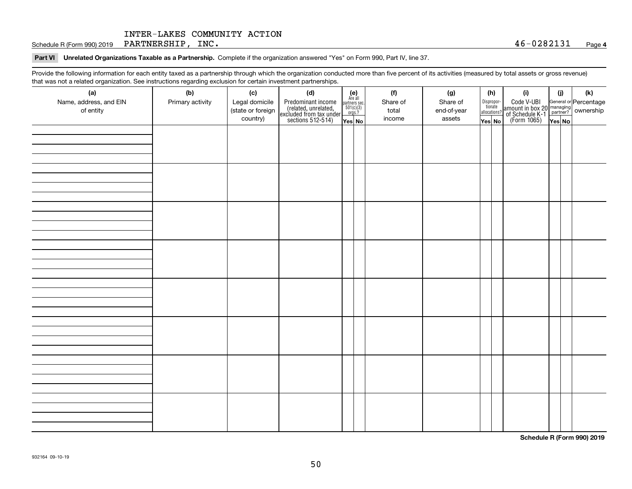Schedule R (Form 990) 2019  $\rm {PARTNERSHIP}$  ,  $\rm{INC.}$  and the contract of the contract of the contract of the contract of the contract of the contract of the contract of the contract of the contract of the contract of the c

### **Part VI Unrelated Organizations Taxable as a Partnership. Complete if the organization answered "Yes" on Form 990, Part IV, line 37.**

Provide the following information for each entity taxed as a partnership through which the organization conducted more than five percent of its activities (measured by total assets or gross revenue) that was not a related organization. See instructions regarding exclusion for certain investment partnerships.

| ັ<br>(a)<br>Name, address, and EIN<br>of entity | ັ<br>ັ<br>(b)<br>Primary activity | (c)<br>Legal domicile<br>(state or foreign<br>country) | (d)<br>Predominant income<br>(related, unrelated,<br>excluded from tax under<br>sections 512-514) | (e)<br>Are all<br>$\begin{array}{c}\n\text{partners} \sec.\n\\ \n501(c)(3)\n\\ \n0rgs.?\n\end{array}$<br>Yes No | (f)<br>Share of<br>total<br>income | (g)<br>Share of<br>end-of-year<br>assets | (h)<br>Dispropor-<br>tionate<br>allocations?<br>Yes No | (i)<br>Code V-UBI<br>amount in box 20 managing<br>of Schedule K-1<br>(Form 1065)<br>$\overline{Yes}$ No | (i)<br>Yes No | (k) |
|-------------------------------------------------|-----------------------------------|--------------------------------------------------------|---------------------------------------------------------------------------------------------------|-----------------------------------------------------------------------------------------------------------------|------------------------------------|------------------------------------------|--------------------------------------------------------|---------------------------------------------------------------------------------------------------------|---------------|-----|
|                                                 |                                   |                                                        |                                                                                                   |                                                                                                                 |                                    |                                          |                                                        |                                                                                                         |               |     |
|                                                 |                                   |                                                        |                                                                                                   |                                                                                                                 |                                    |                                          |                                                        |                                                                                                         |               |     |
|                                                 |                                   |                                                        |                                                                                                   |                                                                                                                 |                                    |                                          |                                                        |                                                                                                         |               |     |
|                                                 |                                   |                                                        |                                                                                                   |                                                                                                                 |                                    |                                          |                                                        |                                                                                                         |               |     |
|                                                 |                                   |                                                        |                                                                                                   |                                                                                                                 |                                    |                                          |                                                        |                                                                                                         |               |     |
|                                                 |                                   |                                                        |                                                                                                   |                                                                                                                 |                                    |                                          |                                                        |                                                                                                         |               |     |
|                                                 |                                   |                                                        |                                                                                                   |                                                                                                                 |                                    |                                          |                                                        |                                                                                                         |               |     |
|                                                 |                                   |                                                        |                                                                                                   |                                                                                                                 |                                    |                                          |                                                        |                                                                                                         |               |     |

**Schedule R (Form 990) 2019**